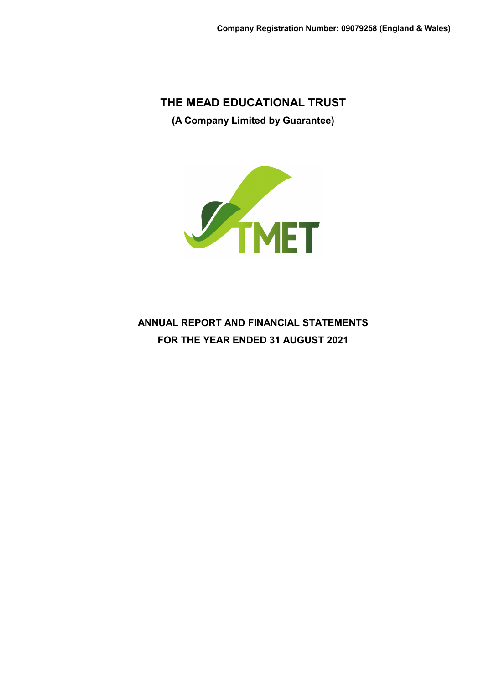**THE MEAD EDUCATIONAL TRUST (A Company Limited by Guarantee)**



**ANNUAL REPORT AND FINANCIAL STATEMENTS FOR THE YEAR ENDED 31 AUGUST 2021**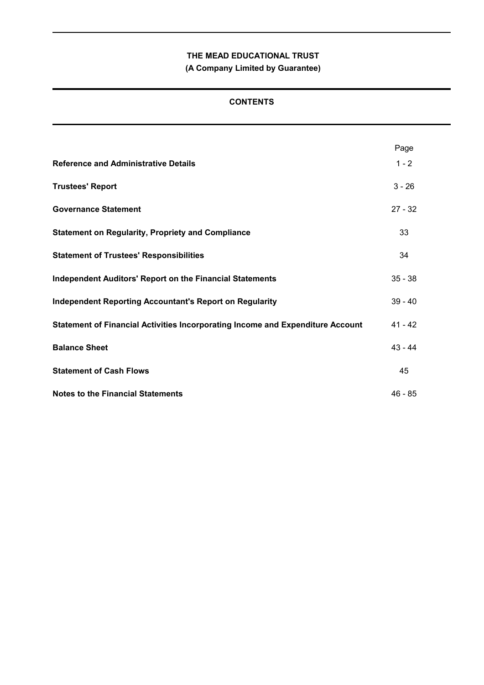**(A Company Limited by Guarantee)**

# **CONTENTS**

|                                                                                | Page      |
|--------------------------------------------------------------------------------|-----------|
| <b>Reference and Administrative Details</b>                                    | $1 - 2$   |
| <b>Trustees' Report</b>                                                        | $3 - 26$  |
| <b>Governance Statement</b>                                                    | $27 - 32$ |
| <b>Statement on Regularity, Propriety and Compliance</b>                       | 33        |
| <b>Statement of Trustees' Responsibilities</b>                                 | 34        |
| <b>Independent Auditors' Report on the Financial Statements</b>                | $35 - 38$ |
| <b>Independent Reporting Accountant's Report on Regularity</b>                 | $39 - 40$ |
| Statement of Financial Activities Incorporating Income and Expenditure Account | $41 - 42$ |
| <b>Balance Sheet</b>                                                           | $43 - 44$ |
| <b>Statement of Cash Flows</b>                                                 | 45        |
| <b>Notes to the Financial Statements</b>                                       | $46 - 85$ |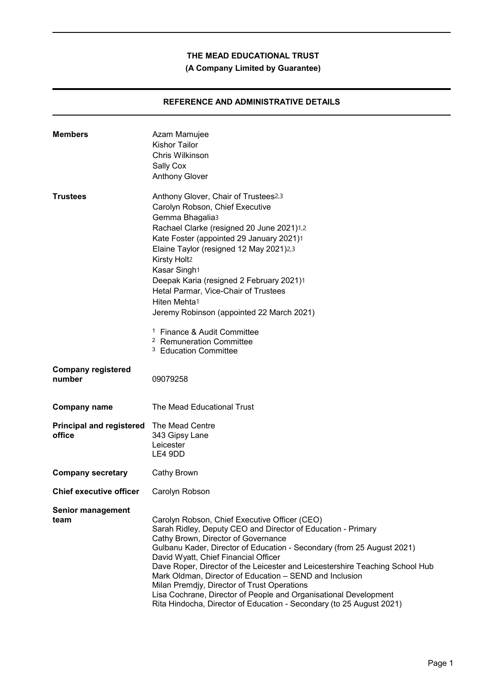**(A Company Limited by Guarantee)**

# **REFERENCE AND ADMINISTRATIVE DETAILS**

| <b>Members</b>                            | Azam Mamujee<br><b>Kishor Tailor</b><br>Chris Wilkinson<br>Sally Cox<br><b>Anthony Glover</b>                                                                                                                                                                                                                                                                                                                                                                                                                                                                                                                |
|-------------------------------------------|--------------------------------------------------------------------------------------------------------------------------------------------------------------------------------------------------------------------------------------------------------------------------------------------------------------------------------------------------------------------------------------------------------------------------------------------------------------------------------------------------------------------------------------------------------------------------------------------------------------|
| <b>Trustees</b>                           | Anthony Glover, Chair of Trustees2,3<br>Carolyn Robson, Chief Executive<br>Gemma Bhagalia3<br>Rachael Clarke (resigned 20 June 2021)1,2<br>Kate Foster (appointed 29 January 2021)1<br>Elaine Taylor (resigned 12 May 2021)2,3<br>Kirsty Holt2<br>Kasar Singh1<br>Deepak Karia (resigned 2 February 2021)1<br>Hetal Parmar, Vice-Chair of Trustees<br>Hiten Mehta1<br>Jeremy Robinson (appointed 22 March 2021)<br><sup>1</sup> Finance & Audit Committee<br><sup>2</sup> Remuneration Committee<br>3<br><b>Education Committee</b>                                                                          |
| <b>Company registered</b><br>number       | 09079258                                                                                                                                                                                                                                                                                                                                                                                                                                                                                                                                                                                                     |
| <b>Company name</b>                       | The Mead Educational Trust                                                                                                                                                                                                                                                                                                                                                                                                                                                                                                                                                                                   |
| <b>Principal and registered</b><br>office | The Mead Centre<br>343 Gipsy Lane<br>Leicester<br>LE4 9DD                                                                                                                                                                                                                                                                                                                                                                                                                                                                                                                                                    |
| <b>Company secretary</b>                  | Cathy Brown                                                                                                                                                                                                                                                                                                                                                                                                                                                                                                                                                                                                  |
| <b>Chief executive officer</b>            | Carolyn Robson                                                                                                                                                                                                                                                                                                                                                                                                                                                                                                                                                                                               |
| <b>Senior management</b><br>team          | Carolyn Robson, Chief Executive Officer (CEO)<br>Sarah Ridley, Deputy CEO and Director of Education - Primary<br>Cathy Brown, Director of Governance<br>Gulbanu Kader, Director of Education - Secondary (from 25 August 2021)<br>David Wyatt, Chief Financial Officer<br>Dave Roper, Director of the Leicester and Leicestershire Teaching School Hub<br>Mark Oldman, Director of Education - SEND and Inclusion<br>Milan Premdjy, Director of Trust Operations<br>Lisa Cochrane, Director of People and Organisational Development<br>Rita Hindocha, Director of Education - Secondary (to 25 August 2021) |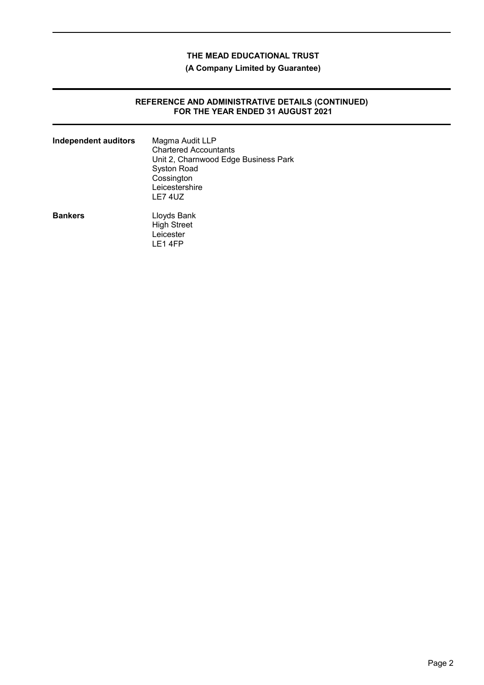**(A Company Limited by Guarantee)**

### **REFERENCE AND ADMINISTRATIVE DETAILS (CONTINUED) FOR THE YEAR ENDED 31 AUGUST 2021**

| <b>Independent auditors</b> | Magma Audit LLP<br><b>Chartered Accountants</b><br>Unit 2, Charnwood Edge Business Park<br><b>Syston Road</b><br>Cossington<br>Leicestershire<br>LE74UZ |
|-----------------------------|---------------------------------------------------------------------------------------------------------------------------------------------------------|
| <b>Bankers</b>              | Lloyds Bank<br><b>High Street</b><br>Leicester<br>LE14FP                                                                                                |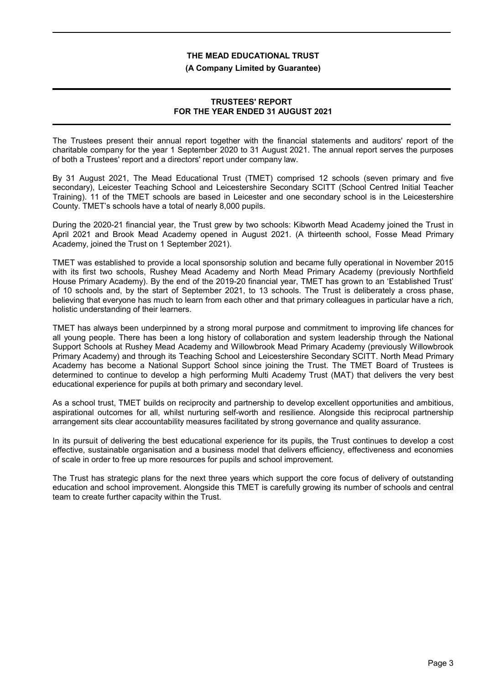#### **(A Company Limited by Guarantee)**

### **TRUSTEES' REPORT FOR THE YEAR ENDED 31 AUGUST 2021**

The Trustees present their annual report together with the financial statements and auditors' report of the charitable company for the year 1 September 2020 to 31 August 2021. The annual report serves the purposes of both a Trustees' report and a directors' report under company law.

By 31 August 2021, The Mead Educational Trust (TMET) comprised 12 schools (seven primary and five secondary), Leicester Teaching School and Leicestershire Secondary SCITT (School Centred Initial Teacher Training). 11 of the TMET schools are based in Leicester and one secondary school is in the Leicestershire County. TMET's schools have a total of nearly 8,000 pupils.

During the 2020-21 financial year, the Trust grew by two schools: Kibworth Mead Academy joined the Trust in April 2021 and Brook Mead Academy opened in August 2021. (A thirteenth school, Fosse Mead Primary Academy, joined the Trust on 1 September 2021).

TMET was established to provide a local sponsorship solution and became fully operational in November 2015 with its first two schools, Rushey Mead Academy and North Mead Primary Academy (previously Northfield House Primary Academy). By the end of the 2019-20 financial year, TMET has grown to an 'Established Trust' of 10 schools and, by the start of September 2021, to 13 schools. The Trust is deliberately a cross phase, believing that everyone has much to learn from each other and that primary colleagues in particular have a rich, holistic understanding of their learners.

TMET has always been underpinned by a strong moral purpose and commitment to improving life chances for all young people. There has been a long history of collaboration and system leadership through the National Support Schools at Rushey Mead Academy and Willowbrook Mead Primary Academy (previously Willowbrook Primary Academy) and through its Teaching School and Leicestershire Secondary SCITT. North Mead Primary Academy has become a National Support School since joining the Trust. The TMET Board of Trustees is determined to continue to develop a high performing Multi Academy Trust (MAT) that delivers the very best educational experience for pupils at both primary and secondary level.

As a school trust, TMET builds on reciprocity and partnership to develop excellent opportunities and ambitious, aspirational outcomes for all, whilst nurturing self-worth and resilience. Alongside this reciprocal partnership arrangement sits clear accountability measures facilitated by strong governance and quality assurance.

In its pursuit of delivering the best educational experience for its pupils, the Trust continues to develop a cost effective, sustainable organisation and a business model that delivers efficiency, effectiveness and economies of scale in order to free up more resources for pupils and school improvement.

The Trust has strategic plans for the next three years which support the core focus of delivery of outstanding education and school improvement. Alongside this TMET is carefully growing its number of schools and central team to create further capacity within the Trust.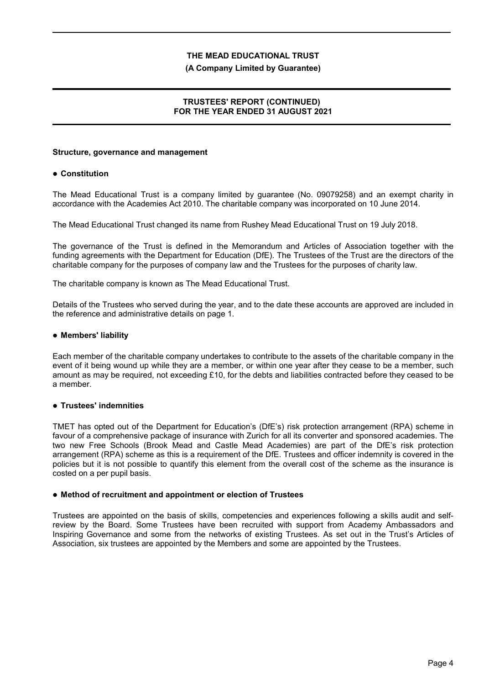#### **(A Company Limited by Guarantee)**

# **TRUSTEES' REPORT (CONTINUED) FOR THE YEAR ENDED 31 AUGUST 2021**

#### **Structure, governance and management**

### **Constitution**

The Mead Educational Trust is a company limited by guarantee (No. 09079258) and an exempt charity in accordance with the Academies Act 2010. The charitable company was incorporated on 10 June 2014.

The Mead Educational Trust changed its name from Rushey Mead Educational Trust on 19 July 2018.

The governance of the Trust is defined in the Memorandum and Articles of Association together with the funding agreements with the Department for Education (DfE). The Trustees of the Trust are the directors of the charitable company for the purposes of company law and the Trustees for the purposes of charity law.

The charitable company is known as The Mead Educational Trust.

Details of the Trustees who served during the year, and to the date these accounts are approved are included in the reference and administrative details on page 1.

### **Members' liability**

Each member of the charitable company undertakes to contribute to the assets of the charitable company in the event of it being wound up while they are a member, or within one year after they cease to be a member, such amount as may be required, not exceeding £10, for the debts and liabilities contracted before they ceased to be a member.

# **Trustees' indemnities**

TMET has opted out of the Department for Education's (DfE's) risk protection arrangement (RPA) scheme in favour of a comprehensive package of insurance with Zurich for all its converter and sponsored academies. The two new Free Schools (Brook Mead and Castle Mead Academies) are part of the DfE's risk protection arrangement (RPA) scheme as this is a requirement of the DfE. Trustees and officer indemnity is covered in the policies but it is not possible to quantify this element from the overall cost of the scheme as the insurance is costed on a per pupil basis.

#### **Method of recruitment and appointment or election of Trustees**

Trustees are appointed on the basis of skills, competencies and experiences following a skills audit and selfreview by the Board. Some Trustees have been recruited with support from Academy Ambassadors and Inspiring Governance and some from the networks of existing Trustees. As set out in the Trust's Articles of Association, six trustees are appointed by the Members and some are appointed by the Trustees.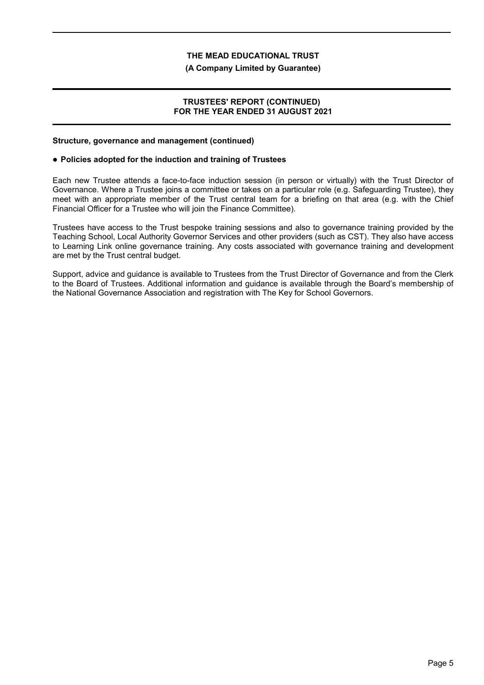#### **(A Company Limited by Guarantee)**

### **TRUSTEES' REPORT (CONTINUED) FOR THE YEAR ENDED 31 AUGUST 2021**

#### **Structure, governance and management (continued)**

#### **Policies adopted for the induction and training of Trustees**

Each new Trustee attends a face-to-face induction session (in person or virtually) with the Trust Director of Governance. Where a Trustee joins a committee or takes on a particular role (e.g. Safeguarding Trustee), they meet with an appropriate member of the Trust central team for a briefing on that area (e.g. with the Chief Financial Officer for a Trustee who will join the Finance Committee).

Trustees have access to the Trust bespoke training sessions and also to governance training provided by the Teaching School, Local Authority Governor Services and other providers (such as CST). They also have access to Learning Link online governance training. Any costs associated with governance training and development are met by the Trust central budget.

Support, advice and guidance is available to Trustees from the Trust Director of Governance and from the Clerk to the Board of Trustees. Additional information and guidance is available through the Board's membership of the National Governance Association and registration with The Key for School Governors.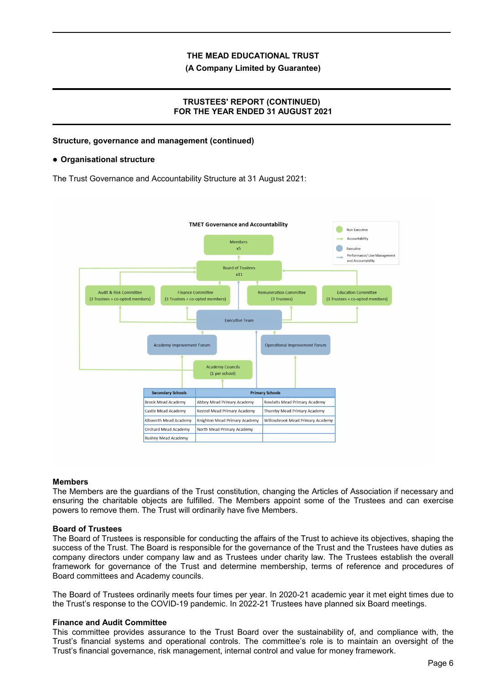**(A Company Limited by Guarantee)**

# **TRUSTEES' REPORT (CONTINUED) FOR THE YEAR ENDED 31 AUGUST 2021**

# **Structure, governance and management (continued)**

#### **Organisational structure**

The Trust Governance and Accountability Structure at 31 August 2021:



#### **Members**

The Members are the guardians of the Trust constitution, changing the Articles of Association if necessary and ensuring the charitable objects are fulfilled. The Members appoint some of the Trustees and can exercise powers to remove them. The Trust will ordinarily have five Members.

#### **Board of Trustees**

The Board of Trustees is responsible for conducting the affairs of the Trust to achieve its objectives, shaping the success of the Trust. The Board is responsible for the governance of the Trust and the Trustees have duties as company directors under company law and as Trustees under charity law. The Trustees establish the overall framework for governance of the Trust and determine membership, terms of reference and procedures of Board committees and Academy councils.

The Board of Trustees ordinarily meets four times per year. In 2020-21 academic year it met eight times due to the Trust's response to the COVID-19 pandemic. In 2022-21 Trustees have planned six Board meetings.

#### **Finance and Audit Committee**

This committee provides assurance to the Trust Board over the sustainability of, and compliance with, the Trust's financial systems and operational controls. The committee's role is to maintain an oversight of the Trust's financial governance, risk management, internal control and value for money framework.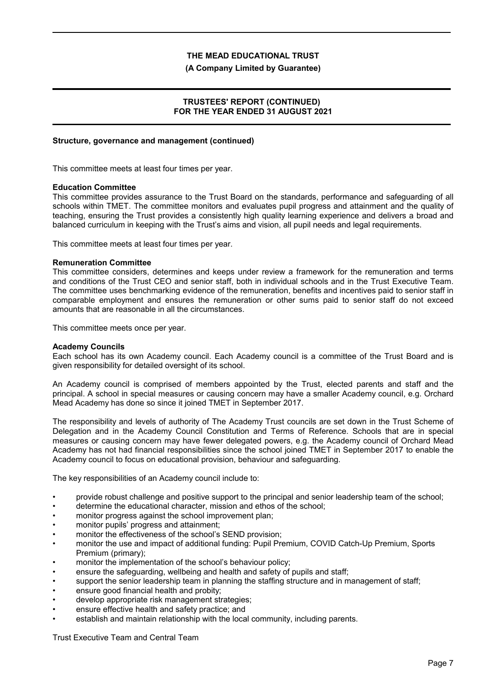#### **(A Company Limited by Guarantee)**

# **TRUSTEES' REPORT (CONTINUED) FOR THE YEAR ENDED 31 AUGUST 2021**

# **Structure, governance and management (continued)**

This committee meets at least four times per year.

#### **Education Committee**

This committee provides assurance to the Trust Board on the standards, performance and safeguarding of all schools within TMET. The committee monitors and evaluates pupil progress and attainment and the quality of teaching, ensuring the Trust provides a consistently high quality learning experience and delivers a broad and balanced curriculum in keeping with the Trust's aims and vision, all pupil needs and legal requirements.

This committee meets at least four times per year.

### **Remuneration Committee**

This committee considers, determines and keeps under review a framework for the remuneration and terms and conditions of the Trust CEO and senior staff, both in individual schools and in the Trust Executive Team. The committee uses benchmarking evidence of the remuneration, benefits and incentives paid to senior staff in comparable employment and ensures the remuneration or other sums paid to senior staff do not exceed amounts that are reasonable in all the circumstances.

This committee meets once per year.

#### **Academy Councils**

Each school has its own Academy council. Each Academy council is a committee of the Trust Board and is given responsibility for detailed oversight of its school.

An Academy council is comprised of members appointed by the Trust, elected parents and staff and the principal. A school in special measures or causing concern may have a smaller Academy council, e.g. Orchard Mead Academy has done so since it joined TMET in September 2017.

The responsibility and levels of authority of The Academy Trust councils are set down in the Trust Scheme of Delegation and in the Academy Council Constitution and Terms of Reference. Schools that are in special measures or causing concern may have fewer delegated powers, e.g. the Academy council of Orchard Mead Academy has not had financial responsibilities since the school joined TMET in September 2017 to enable the Academy council to focus on educational provision, behaviour and safeguarding.

The key responsibilities of an Academy council include to:

- provide robust challenge and positive support to the principal and senior leadership team of the school;
- determine the educational character, mission and ethos of the school;
- monitor progress against the school improvement plan;
- monitor pupils' progress and attainment;
- monitor the effectiveness of the school's SEND provision;
- monitor the use and impact of additional funding: Pupil Premium, COVID Catch-Up Premium, Sports Premium (primary);
- monitor the implementation of the school's behaviour policy;
- ensure the safeguarding, wellbeing and health and safety of pupils and staff;
- support the senior leadership team in planning the staffing structure and in management of staff;
- ensure good financial health and probity;
- develop appropriate risk management strategies;
- ensure effective health and safety practice; and
- establish and maintain relationship with the local community, including parents.

Trust Executive Team and Central Team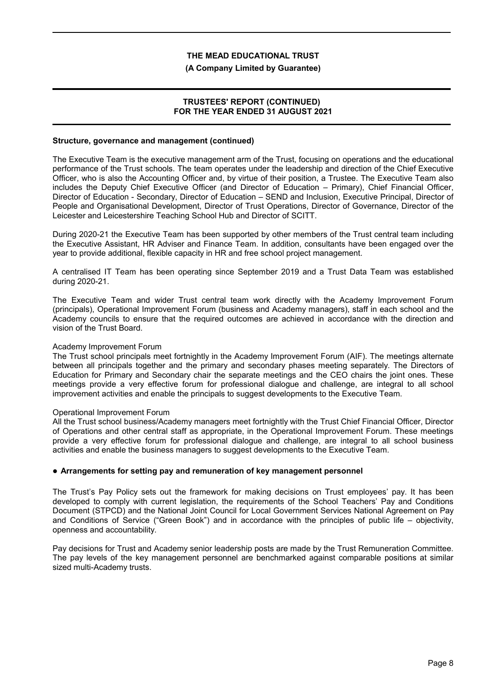#### **(A Company Limited by Guarantee)**

### **TRUSTEES' REPORT (CONTINUED) FOR THE YEAR ENDED 31 AUGUST 2021**

# **Structure, governance and management (continued)**

The Executive Team is the executive management arm of the Trust, focusing on operations and the educational performance of the Trust schools. The team operates under the leadership and direction of the Chief Executive Officer, who is also the Accounting Officer and, by virtue of their position, a Trustee. The Executive Team also includes the Deputy Chief Executive Officer (and Director of Education – Primary), Chief Financial Officer, Director of Education - Secondary, Director of Education – SEND and Inclusion, Executive Principal, Director of People and Organisational Development, Director of Trust Operations, Director of Governance, Director of the Leicester and Leicestershire Teaching School Hub and Director of SCITT.

During 2020-21 the Executive Team has been supported by other members of the Trust central team including the Executive Assistant, HR Adviser and Finance Team. In addition, consultants have been engaged over the year to provide additional, flexible capacity in HR and free school project management.

A centralised IT Team has been operating since September 2019 and a Trust Data Team was established during 2020-21.

The Executive Team and wider Trust central team work directly with the Academy Improvement Forum (principals), Operational Improvement Forum (business and Academy managers), staff in each school and the Academy councils to ensure that the required outcomes are achieved in accordance with the direction and vision of the Trust Board.

#### Academy Improvement Forum

The Trust school principals meet fortnightly in the Academy Improvement Forum (AIF). The meetings alternate between all principals together and the primary and secondary phases meeting separately. The Directors of Education for Primary and Secondary chair the separate meetings and the CEO chairs the joint ones. These meetings provide a very effective forum for professional dialogue and challenge, are integral to all school improvement activities and enable the principals to suggest developments to the Executive Team.

#### Operational Improvement Forum

All the Trust school business/Academy managers meet fortnightly with the Trust Chief Financial Officer, Director of Operations and other central staff as appropriate, in the Operational Improvement Forum. These meetings provide a very effective forum for professional dialogue and challenge, are integral to all school business activities and enable the business managers to suggest developments to the Executive Team.

#### **Arrangements for setting pay and remuneration of key management personnel**

The Trust's Pay Policy sets out the framework for making decisions on Trust employees' pay. It has been developed to comply with current legislation, the requirements of the School Teachers' Pay and Conditions Document (STPCD) and the National Joint Council for Local Government Services National Agreement on Pay and Conditions of Service ("Green Book") and in accordance with the principles of public life – objectivity, openness and accountability.

Pay decisions for Trust and Academy senior leadership posts are made by the Trust Remuneration Committee. The pay levels of the key management personnel are benchmarked against comparable positions at similar sized multi-Academy trusts.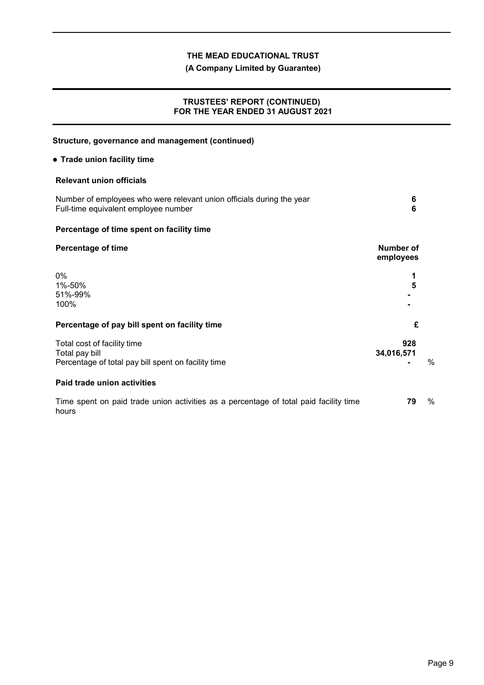# **(A Company Limited by Guarantee)**

# **TRUSTEES' REPORT (CONTINUED) FOR THE YEAR ENDED 31 AUGUST 2021**

# **Structure, governance and management (continued) Trade union facility time Relevant union officials** Number of employees who were relevant union officials during the year **6** Full-time equivalent employee number **6 Percentage of time spent on facility time Percentage of time Number of Number of Number of employees** 0% **1** 1%-50% **5** 51%-99% **-** 100% **- Percentage of pay bill spent on facility time £** Total cost of facility time **928** Total pay bill **34,016,571** Percentage of total pay bill spent on facility time **Fig. 2** and the set of the set of the set of the set of the set of the set of the set of the set of the set of the set of the set of the set of the set of the set of the **Paid trade union activities** Time spent on paid trade union activities as a percentage of total paid facility time hours **79** %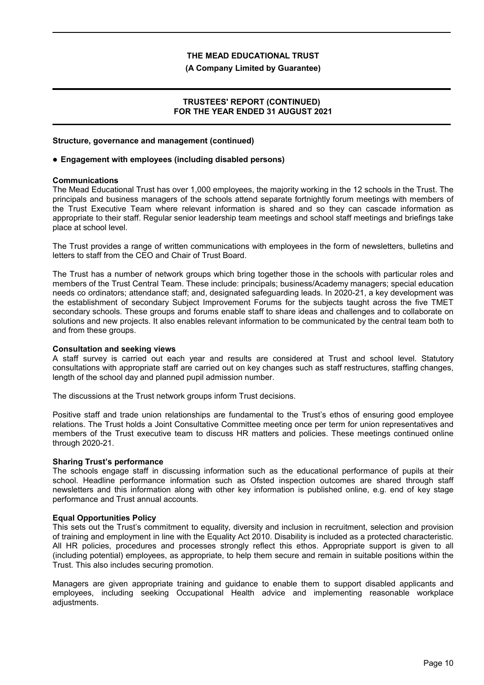#### **(A Company Limited by Guarantee)**

### **TRUSTEES' REPORT (CONTINUED) FOR THE YEAR ENDED 31 AUGUST 2021**

#### **Structure, governance and management (continued)**

#### **Engagement with employees (including disabled persons)**

#### **Communications**

The Mead Educational Trust has over 1,000 employees, the majority working in the 12 schools in the Trust. The principals and business managers of the schools attend separate fortnightly forum meetings with members of the Trust Executive Team where relevant information is shared and so they can cascade information as appropriate to their staff. Regular senior leadership team meetings and school staff meetings and briefings take place at school level.

The Trust provides a range of written communications with employees in the form of newsletters, bulletins and letters to staff from the CEO and Chair of Trust Board.

The Trust has a number of network groups which bring together those in the schools with particular roles and members of the Trust Central Team. These include: principals; business/Academy managers; special education needs co ordinators; attendance staff; and, designated safeguarding leads. In 2020-21, a key development was the establishment of secondary Subject Improvement Forums for the subjects taught across the five TMET secondary schools. These groups and forums enable staff to share ideas and challenges and to collaborate on solutions and new projects. It also enables relevant information to be communicated by the central team both to and from these groups.

#### **Consultation and seeking views**

A staff survey is carried out each year and results are considered at Trust and school level. Statutory consultations with appropriate staff are carried out on key changes such as staff restructures, staffing changes, length of the school day and planned pupil admission number.

The discussions at the Trust network groups inform Trust decisions.

Positive staff and trade union relationships are fundamental to the Trust's ethos of ensuring good employee relations. The Trust holds a Joint Consultative Committee meeting once per term for union representatives and members of the Trust executive team to discuss HR matters and policies. These meetings continued online through 2020-21.

#### **Sharing Trust's performance**

The schools engage staff in discussing information such as the educational performance of pupils at their school. Headline performance information such as Ofsted inspection outcomes are shared through staff newsletters and this information along with other key information is published online, e.g. end of key stage performance and Trust annual accounts.

#### **Equal Opportunities Policy**

This sets out the Trust's commitment to equality, diversity and inclusion in recruitment, selection and provision of training and employment in line with the Equality Act 2010. Disability is included as a protected characteristic. All HR policies, procedures and processes strongly reflect this ethos. Appropriate support is given to all (including potential) employees, as appropriate, to help them secure and remain in suitable positions within the Trust. This also includes securing promotion.

Managers are given appropriate training and guidance to enable them to support disabled applicants and employees, including seeking Occupational Health advice and implementing reasonable workplace adjustments.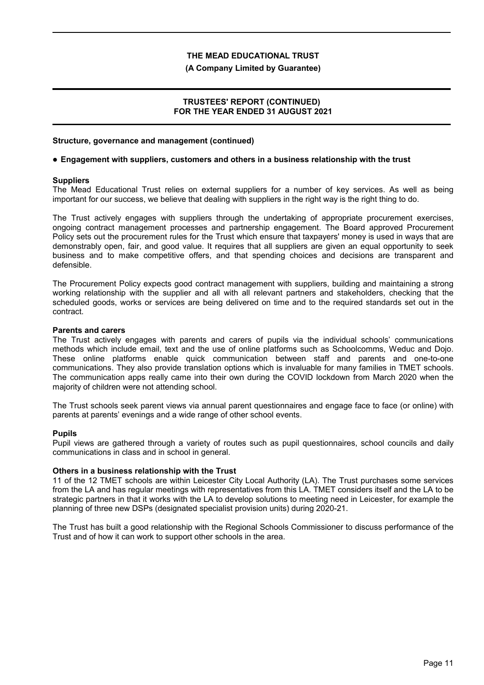#### **(A Company Limited by Guarantee)**

### **TRUSTEES' REPORT (CONTINUED) FOR THE YEAR ENDED 31 AUGUST 2021**

#### **Structure, governance and management (continued)**

#### **Engagement with suppliers, customers and others in a business relationship with the trust**

#### **Suppliers**

The Mead Educational Trust relies on external suppliers for a number of key services. As well as being important for our success, we believe that dealing with suppliers in the right way is the right thing to do.

The Trust actively engages with suppliers through the undertaking of appropriate procurement exercises, ongoing contract management processes and partnership engagement. The Board approved Procurement Policy sets out the procurement rules for the Trust which ensure that taxpayers' money is used in ways that are demonstrably open, fair, and good value. It requires that all suppliers are given an equal opportunity to seek business and to make competitive offers, and that spending choices and decisions are transparent and defensible.

The Procurement Policy expects good contract management with suppliers, building and maintaining a strong working relationship with the supplier and all with all relevant partners and stakeholders, checking that the scheduled goods, works or services are being delivered on time and to the required standards set out in the contract.

#### **Parents and carers**

The Trust actively engages with parents and carers of pupils via the individual schools' communications methods which include email, text and the use of online platforms such as Schoolcomms, Weduc and Dojo. These online platforms enable quick communication between staff and parents and one-to-one communications. They also provide translation options which is invaluable for many families in TMET schools. The communication apps really came into their own during the COVID lockdown from March 2020 when the majority of children were not attending school.

The Trust schools seek parent views via annual parent questionnaires and engage face to face (or online) with parents at parents' evenings and a wide range of other school events.

#### **Pupils**

Pupil views are gathered through a variety of routes such as pupil questionnaires, school councils and daily communications in class and in school in general.

#### **Others in a business relationship with the Trust**

11 of the 12 TMET schools are within Leicester City Local Authority (LA). The Trust purchases some services from the LA and has regular meetings with representatives from this LA. TMET considers itself and the LA to be strategic partners in that it works with the LA to develop solutions to meeting need in Leicester, for example the planning of three new DSPs (designated specialist provision units) during 2020-21.

The Trust has built a good relationship with the Regional Schools Commissioner to discuss performance of the Trust and of how it can work to support other schools in the area.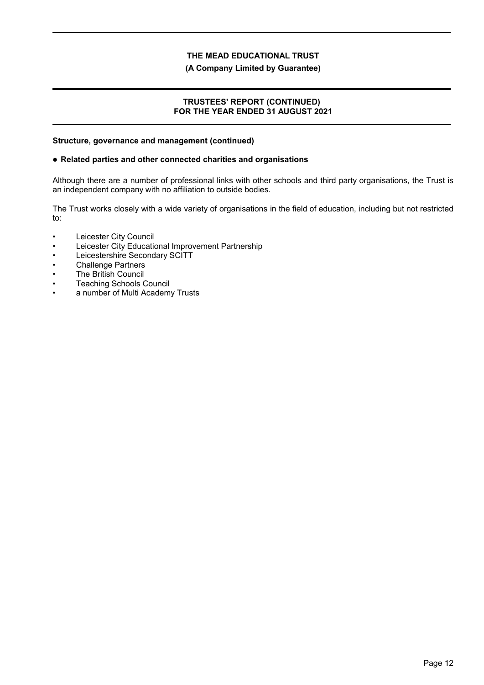#### **(A Company Limited by Guarantee)**

### **TRUSTEES' REPORT (CONTINUED) FOR THE YEAR ENDED 31 AUGUST 2021**

#### **Structure, governance and management (continued)**

#### **Related parties and other connected charities and organisations**

Although there are a number of professional links with other schools and third party organisations, the Trust is an independent company with no affiliation to outside bodies.

The Trust works closely with a wide variety of organisations in the field of education, including but not restricted to:

- Leicester City Council
- Leicester City Educational Improvement Partnership
- Leicestershire Secondary SCITT
- Challenge Partners
- **The British Council**
- Teaching Schools Council
- a number of Multi Academy Trusts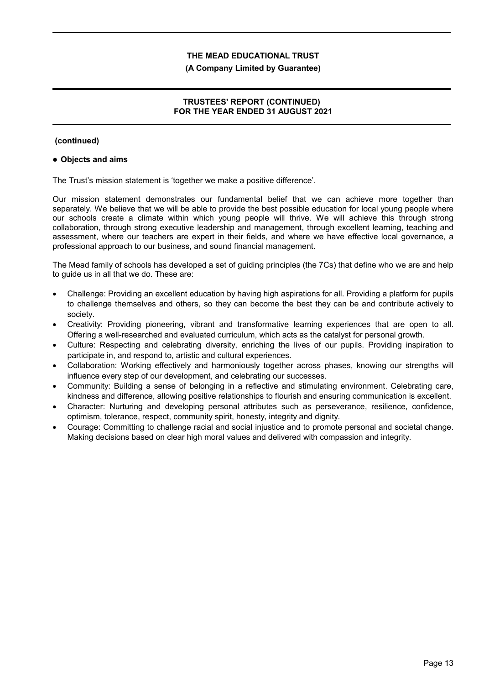#### **(A Company Limited by Guarantee)**

# **TRUSTEES' REPORT (CONTINUED) FOR THE YEAR ENDED 31 AUGUST 2021**

### **(continued)**

### **Objects and aims**

The Trust's mission statement is 'together we make a positive difference'.

Our mission statement demonstrates our fundamental belief that we can achieve more together than separately. We believe that we will be able to provide the best possible education for local young people where our schools create a climate within which young people will thrive. We will achieve this through strong collaboration, through strong executive leadership and management, through excellent learning, teaching and assessment, where our teachers are expert in their fields, and where we have effective local governance, a professional approach to our business, and sound financial management.

The Mead family of schools has developed a set of guiding principles (the 7Cs) that define who we are and help to guide us in all that we do. These are:

- Challenge: Providing an excellent education by having high aspirations for all. Providing a platform for pupils to challenge themselves and others, so they can become the best they can be and contribute actively to society.
- Creativity: Providing pioneering, vibrant and transformative learning experiences that are open to all. Offering a well-researched and evaluated curriculum, which acts as the catalyst for personal growth.
- Culture: Respecting and celebrating diversity, enriching the lives of our pupils. Providing inspiration to participate in, and respond to, artistic and cultural experiences.
- Collaboration: Working effectively and harmoniously together across phases, knowing our strengths will influence every step of our development, and celebrating our successes.
- Community: Building a sense of belonging in a reflective and stimulating environment. Celebrating care, kindness and difference, allowing positive relationships to flourish and ensuring communication is excellent.
- Character: Nurturing and developing personal attributes such as perseverance, resilience, confidence, optimism, tolerance, respect, community spirit, honesty, integrity and dignity.
- Courage: Committing to challenge racial and social injustice and to promote personal and societal change. Making decisions based on clear high moral values and delivered with compassion and integrity.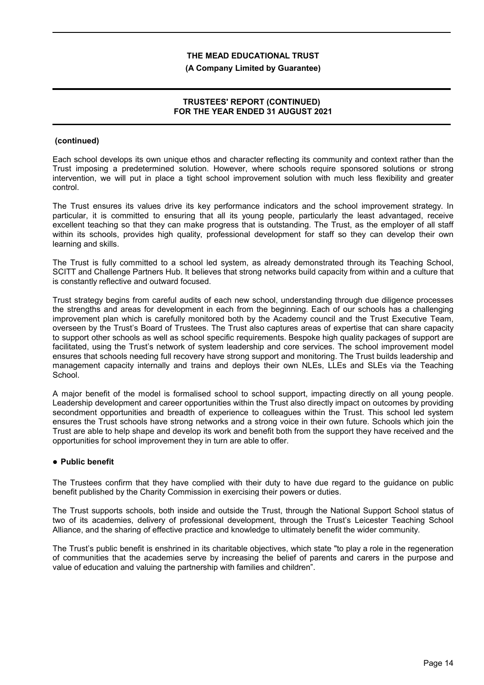#### **(A Company Limited by Guarantee)**

# **TRUSTEES' REPORT (CONTINUED) FOR THE YEAR ENDED 31 AUGUST 2021**

### **(continued)**

Each school develops its own unique ethos and character reflecting its community and context rather than the Trust imposing a predetermined solution. However, where schools require sponsored solutions or strong intervention, we will put in place a tight school improvement solution with much less flexibility and greater control.

The Trust ensures its values drive its key performance indicators and the school improvement strategy. In particular, it is committed to ensuring that all its young people, particularly the least advantaged, receive excellent teaching so that they can make progress that is outstanding. The Trust, as the employer of all staff within its schools, provides high quality, professional development for staff so they can develop their own learning and skills.

The Trust is fully committed to a school led system, as already demonstrated through its Teaching School, SCITT and Challenge Partners Hub. It believes that strong networks build capacity from within and a culture that is constantly reflective and outward focused.

Trust strategy begins from careful audits of each new school, understanding through due diligence processes the strengths and areas for development in each from the beginning. Each of our schools has a challenging improvement plan which is carefully monitored both by the Academy council and the Trust Executive Team, overseen by the Trust's Board of Trustees. The Trust also captures areas of expertise that can share capacity to support other schools as well as school specific requirements. Bespoke high quality packages of support are facilitated, using the Trust's network of system leadership and core services. The school improvement model ensures that schools needing full recovery have strong support and monitoring. The Trust builds leadership and management capacity internally and trains and deploys their own NLEs, LLEs and SLEs via the Teaching School.

A major benefit of the model is formalised school to school support, impacting directly on all young people. Leadership development and career opportunities within the Trust also directly impact on outcomes by providing secondment opportunities and breadth of experience to colleagues within the Trust. This school led system ensures the Trust schools have strong networks and a strong voice in their own future. Schools which join the Trust are able to help shape and develop its work and benefit both from the support they have received and the opportunities for school improvement they in turn are able to offer.

#### **Public benefit**

The Trustees confirm that they have complied with their duty to have due regard to the guidance on public benefit published by the Charity Commission in exercising their powers or duties.

The Trust supports schools, both inside and outside the Trust, through the National Support School status of two of its academies, delivery of professional development, through the Trust's Leicester Teaching School Alliance, and the sharing of effective practice and knowledge to ultimately benefit the wider community.

The Trust's public benefit is enshrined in its charitable objectives, which state "to play a role in the regeneration of communities that the academies serve by increasing the belief of parents and carers in the purpose and value of education and valuing the partnership with families and children".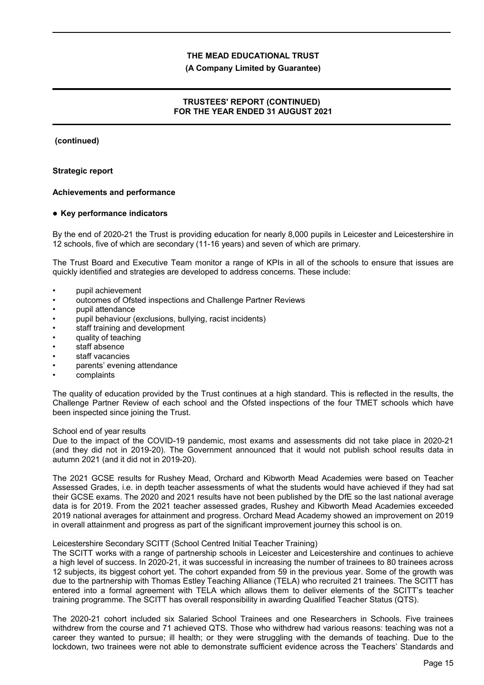#### **(A Company Limited by Guarantee)**

# **TRUSTEES' REPORT (CONTINUED) FOR THE YEAR ENDED 31 AUGUST 2021**

 **(continued)**

#### **Strategic report**

### **Achievements and performance**

#### **Key performance indicators**

By the end of 2020-21 the Trust is providing education for nearly 8,000 pupils in Leicester and Leicestershire in 12 schools, five of which are secondary (11-16 years) and seven of which are primary.

The Trust Board and Executive Team monitor a range of KPIs in all of the schools to ensure that issues are quickly identified and strategies are developed to address concerns. These include:

- pupil achievement
- outcomes of Ofsted inspections and Challenge Partner Reviews
- pupil attendance
- pupil behaviour (exclusions, bullying, racist incidents)
- staff training and development
- quality of teaching
- staff absence
- staff vacancies
- parents' evening attendance
- complaints

The quality of education provided by the Trust continues at a high standard. This is reflected in the results, the Challenge Partner Review of each school and the Ofsted inspections of the four TMET schools which have been inspected since joining the Trust.

#### School end of year results

Due to the impact of the COVID-19 pandemic, most exams and assessments did not take place in 2020-21 (and they did not in 2019-20). The Government announced that it would not publish school results data in autumn 2021 (and it did not in 2019-20).

The 2021 GCSE results for Rushey Mead, Orchard and Kibworth Mead Academies were based on Teacher Assessed Grades, i.e. in depth teacher assessments of what the students would have achieved if they had sat their GCSE exams. The 2020 and 2021 results have not been published by the DfE so the last national average data is for 2019. From the 2021 teacher assessed grades, Rushey and Kibworth Mead Academies exceeded 2019 national averages for attainment and progress. Orchard Mead Academy showed an improvement on 2019 in overall attainment and progress as part of the significant improvement journey this school is on.

### Leicestershire Secondary SCITT (School Centred Initial Teacher Training)

The SCITT works with a range of partnership schools in Leicester and Leicestershire and continues to achieve a high level of success. In 2020-21, it was successful in increasing the number of trainees to 80 trainees across 12 subjects, its biggest cohort yet. The cohort expanded from 59 in the previous year. Some of the growth was due to the partnership with Thomas Estley Teaching Alliance (TELA) who recruited 21 trainees. The SCITT has entered into a formal agreement with TELA which allows them to deliver elements of the SCITT's teacher training programme. The SCITT has overall responsibility in awarding Qualified Teacher Status (QTS).

The 2020-21 cohort included six Salaried School Trainees and one Researchers in Schools. Five trainees withdrew from the course and 71 achieved QTS. Those who withdrew had various reasons: teaching was not a career they wanted to pursue; ill health; or they were struggling with the demands of teaching. Due to the lockdown, two trainees were not able to demonstrate sufficient evidence across the Teachers' Standards and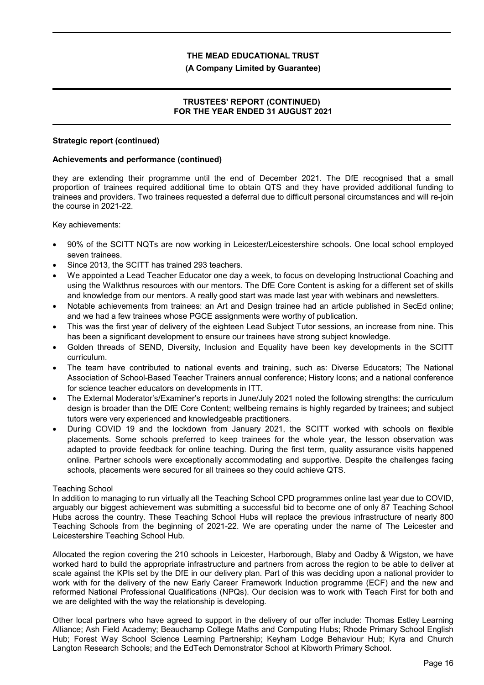#### **(A Company Limited by Guarantee)**

# **TRUSTEES' REPORT (CONTINUED) FOR THE YEAR ENDED 31 AUGUST 2021**

#### **Strategic report (continued)**

### **Achievements and performance (continued)**

they are extending their programme until the end of December 2021. The DfE recognised that a small proportion of trainees required additional time to obtain QTS and they have provided additional funding to trainees and providers. Two trainees requested a deferral due to difficult personal circumstances and will re-join the course in 2021-22.

Key achievements:

- 90% of the SCITT NQTs are now working in Leicester/Leicestershire schools. One local school employed seven trainees.
- Since 2013, the SCITT has trained 293 teachers.
- We appointed a Lead Teacher Educator one day a week, to focus on developing Instructional Coaching and using the Walkthrus resources with our mentors. The DfE Core Content is asking for a different set of skills and knowledge from our mentors. A really good start was made last year with webinars and newsletters.
- Notable achievements from trainees: an Art and Design trainee had an article published in SecEd online; and we had a few trainees whose PGCE assignments were worthy of publication.
- This was the first year of delivery of the eighteen Lead Subject Tutor sessions, an increase from nine. This has been a significant development to ensure our trainees have strong subject knowledge.
- Golden threads of SEND, Diversity, Inclusion and Equality have been key developments in the SCITT curriculum.
- The team have contributed to national events and training, such as: Diverse Educators; The National Association of School-Based Teacher Trainers annual conference; History Icons; and a national conference for science teacher educators on developments in ITT.
- The External Moderator's/Examiner's reports in June/July 2021 noted the following strengths: the curriculum design is broader than the DfE Core Content; wellbeing remains is highly regarded by trainees; and subject tutors were very experienced and knowledgeable practitioners.
- During COVID 19 and the lockdown from January 2021, the SCITT worked with schools on flexible placements. Some schools preferred to keep trainees for the whole year, the lesson observation was adapted to provide feedback for online teaching. During the first term, quality assurance visits happened online. Partner schools were exceptionally accommodating and supportive. Despite the challenges facing schools, placements were secured for all trainees so they could achieve QTS.

#### Teaching School

In addition to managing to run virtually all the Teaching School CPD programmes online last year due to COVID, arguably our biggest achievement was submitting a successful bid to become one of only 87 Teaching School Hubs across the country. These Teaching School Hubs will replace the previous infrastructure of nearly 800 Teaching Schools from the beginning of 2021-22. We are operating under the name of The Leicester and Leicestershire Teaching School Hub.

Allocated the region covering the 210 schools in Leicester, Harborough, Blaby and Oadby & Wigston, we have worked hard to build the appropriate infrastructure and partners from across the region to be able to deliver at scale against the KPIs set by the DfE in our delivery plan. Part of this was deciding upon a national provider to work with for the delivery of the new Early Career Framework Induction programme (ECF) and the new and reformed National Professional Qualifications (NPQs). Our decision was to work with Teach First for both and we are delighted with the way the relationship is developing.

Other local partners who have agreed to support in the delivery of our offer include: Thomas Estley Learning Alliance; Ash Field Academy; Beauchamp College Maths and Computing Hubs; Rhode Primary School English Hub; Forest Way School Science Learning Partnership; Keyham Lodge Behaviour Hub; Kyra and Church Langton Research Schools; and the EdTech Demonstrator School at Kibworth Primary School.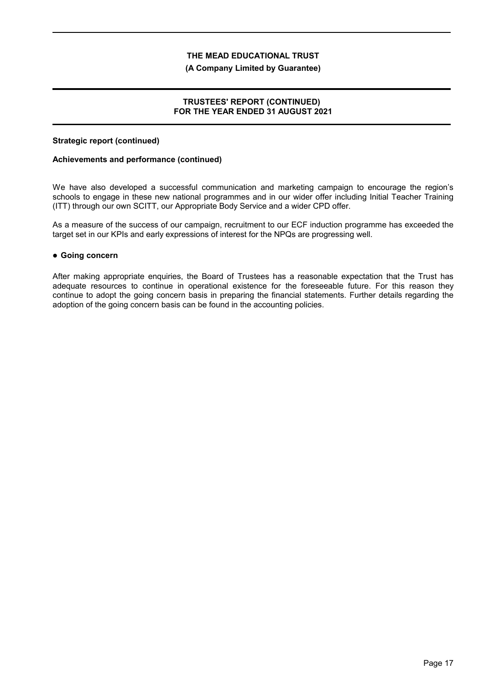#### **(A Company Limited by Guarantee)**

# **TRUSTEES' REPORT (CONTINUED) FOR THE YEAR ENDED 31 AUGUST 2021**

### **Strategic report (continued)**

### **Achievements and performance (continued)**

We have also developed a successful communication and marketing campaign to encourage the region's schools to engage in these new national programmes and in our wider offer including Initial Teacher Training (ITT) through our own SCITT, our Appropriate Body Service and a wider CPD offer.

As a measure of the success of our campaign, recruitment to our ECF induction programme has exceeded the target set in our KPIs and early expressions of interest for the NPQs are progressing well.

### **Going concern**

After making appropriate enquiries, the Board of Trustees has a reasonable expectation that the Trust has adequate resources to continue in operational existence for the foreseeable future. For this reason they continue to adopt the going concern basis in preparing the financial statements. Further details regarding the adoption of the going concern basis can be found in the accounting policies.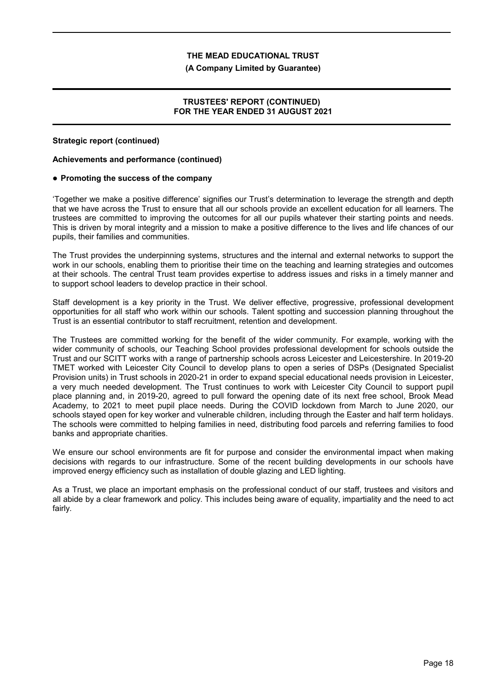#### **(A Company Limited by Guarantee)**

# **TRUSTEES' REPORT (CONTINUED) FOR THE YEAR ENDED 31 AUGUST 2021**

### **Strategic report (continued)**

### **Achievements and performance (continued)**

### **Promoting the success of the company**

'Together we make a positive difference' signifies our Trust's determination to leverage the strength and depth that we have across the Trust to ensure that all our schools provide an excellent education for all learners. The trustees are committed to improving the outcomes for all our pupils whatever their starting points and needs. This is driven by moral integrity and a mission to make a positive difference to the lives and life chances of our pupils, their families and communities.

The Trust provides the underpinning systems, structures and the internal and external networks to support the work in our schools, enabling them to prioritise their time on the teaching and learning strategies and outcomes at their schools. The central Trust team provides expertise to address issues and risks in a timely manner and to support school leaders to develop practice in their school.

Staff development is a key priority in the Trust. We deliver effective, progressive, professional development opportunities for all staff who work within our schools. Talent spotting and succession planning throughout the Trust is an essential contributor to staff recruitment, retention and development.

The Trustees are committed working for the benefit of the wider community. For example, working with the wider community of schools, our Teaching School provides professional development for schools outside the Trust and our SCITT works with a range of partnership schools across Leicester and Leicestershire. In 2019-20 TMET worked with Leicester City Council to develop plans to open a series of DSPs (Designated Specialist Provision units) in Trust schools in 2020-21 in order to expand special educational needs provision in Leicester, a very much needed development. The Trust continues to work with Leicester City Council to support pupil place planning and, in 2019-20, agreed to pull forward the opening date of its next free school, Brook Mead Academy, to 2021 to meet pupil place needs. During the COVID lockdown from March to June 2020, our schools stayed open for key worker and vulnerable children, including through the Easter and half term holidays. The schools were committed to helping families in need, distributing food parcels and referring families to food banks and appropriate charities.

We ensure our school environments are fit for purpose and consider the environmental impact when making decisions with regards to our infrastructure. Some of the recent building developments in our schools have improved energy efficiency such as installation of double glazing and LED lighting.

As a Trust, we place an important emphasis on the professional conduct of our staff, trustees and visitors and all abide by a clear framework and policy. This includes being aware of equality, impartiality and the need to act fairly.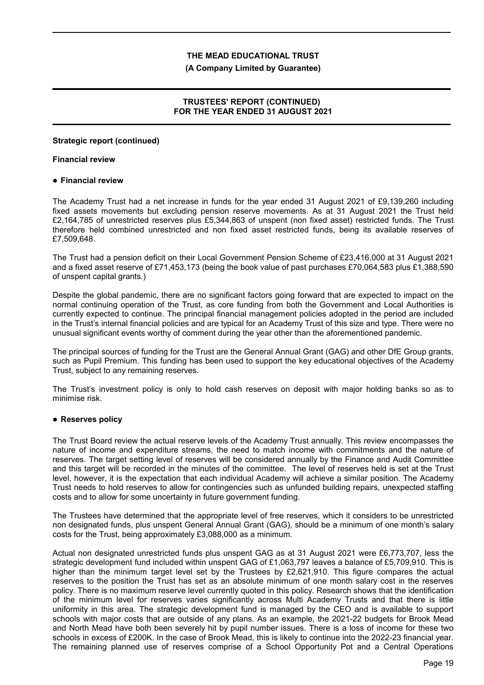#### **(A Company Limited by Guarantee)**

# **TRUSTEES' REPORT (CONTINUED) FOR THE YEAR ENDED 31 AUGUST 2021**

### **Strategic report (continued)**

### **Financial review**

### **Financial review**

The Academy Trust had a net increase in funds for the year ended 31 August 2021 of £9,139,260 including fixed assets movements but excluding pension reserve movements. As at 31 August 2021 the Trust held £2,164,785 of unrestricted reserves plus £5,344,863 of unspent (non fixed asset) restricted funds. The Trust therefore held combined unrestricted and non fixed asset restricted funds, being its available reserves of £7,509,648.

The Trust had a pension deficit on their Local Government Pension Scheme of £23,416,000 at 31 August 2021 and a fixed asset reserve of £71,453,173 (being the book value of past purchases £70,064,583 plus £1,388,590 of unspent capital grants.)

Despite the global pandemic, there are no significant factors going forward that are expected to impact on the normal continuing operation of the Trust, as core funding from both the Government and Local Authorities is currently expected to continue. The principal financial management policies adopted in the period are included in the Trust's internal financial policies and are typical for an Academy Trust of this size and type. There were no unusual significant events worthy of comment during the year other than the aforementioned pandemic.

The principal sources of funding for the Trust are the General Annual Grant (GAG) and other DfE Group grants, such as Pupil Premium. This funding has been used to support the key educational objectives of the Academy Trust, subject to any remaining reserves.

The Trust's investment policy is only to hold cash reserves on deposit with major holding banks so as to minimise risk.

# **Reserves policy**

The Trust Board review the actual reserve levels of the Academy Trust annually. This review encompasses the nature of income and expenditure streams, the need to match income with commitments and the nature of reserves. The target setting level of reserves will be considered annually by the Finance and Audit Committee and this target will be recorded in the minutes of the committee. The level of reserves held is set at the Trust level, however, it is the expectation that each individual Academy will achieve a similar position. The Academy Trust needs to hold reserves to allow for contingencies such as unfunded building repairs, unexpected staffing costs and to allow for some uncertainty in future government funding.

The Trustees have determined that the appropriate level of free reserves, which it considers to be unrestricted non designated funds, plus unspent General Annual Grant (GAG), should be a minimum of one month's salary costs for the Trust, being approximately £3,088,000 as a minimum.

Actual non designated unrestricted funds plus unspent GAG as at 31 August 2021 were £6,773,707, less the strategic development fund included within unspent GAG of £1,063,797 leaves a balance of £5,709,910. This is higher than the minimum target level set by the Trustees by £2,621,910. This figure compares the actual reserves to the position the Trust has set as an absolute minimum of one month salary cost in the reserves policy. There is no maximum reserve level currently quoted in this policy. Research shows that the identification of the minimum level for reserves varies significantly across Multi Academy Trusts and that there is little uniformity in this area. The strategic development fund is managed by the CEO and is available to support schools with major costs that are outside of any plans. As an example, the 2021-22 budgets for Brook Mead and North Mead have both been severely hit by pupil number issues. There is a loss of income for these two schools in excess of £200K. In the case of Brook Mead, this is likely to continue into the 2022-23 financial year. The remaining planned use of reserves comprise of a School Opportunity Pot and a Central Operations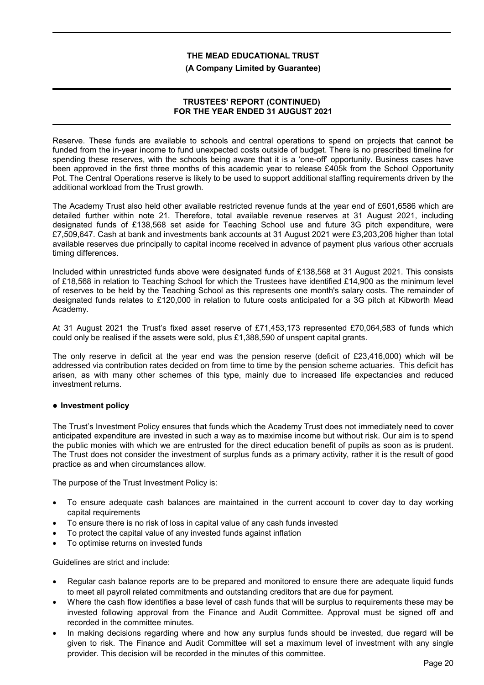#### **(A Company Limited by Guarantee)**

### **TRUSTEES' REPORT (CONTINUED) FOR THE YEAR ENDED 31 AUGUST 2021**

Reserve. These funds are available to schools and central operations to spend on projects that cannot be funded from the in-year income to fund unexpected costs outside of budget. There is no prescribed timeline for spending these reserves, with the schools being aware that it is a 'one-off' opportunity. Business cases have been approved in the first three months of this academic year to release £405k from the School Opportunity Pot. The Central Operations reserve is likely to be used to support additional staffing requirements driven by the additional workload from the Trust growth.

The Academy Trust also held other available restricted revenue funds at the year end of £601,6586 which are detailed further within note 21. Therefore, total available revenue reserves at 31 August 2021, including designated funds of £138,568 set aside for Teaching School use and future 3G pitch expenditure, were £7,509,647. Cash at bank and investments bank accounts at 31 August 2021 were £3,203,206 higher than total available reserves due principally to capital income received in advance of payment plus various other accruals timing differences.

Included within unrestricted funds above were designated funds of £138,568 at 31 August 2021. This consists of £18,568 in relation to Teaching School for which the Trustees have identified £14,900 as the minimum level of reserves to be held by the Teaching School as this represents one month's salary costs. The remainder of designated funds relates to £120,000 in relation to future costs anticipated for a 3G pitch at Kibworth Mead Academy.

At 31 August 2021 the Trust's fixed asset reserve of £71,453,173 represented £70,064,583 of funds which could only be realised if the assets were sold, plus £1,388,590 of unspent capital grants.

The only reserve in deficit at the year end was the pension reserve (deficit of £23,416,000) which will be addressed via contribution rates decided on from time to time by the pension scheme actuaries. This deficit has arisen, as with many other schemes of this type, mainly due to increased life expectancies and reduced investment returns.

# **Investment policy**

The Trust's Investment Policy ensures that funds which the Academy Trust does not immediately need to cover anticipated expenditure are invested in such a way as to maximise income but without risk. Our aim is to spend the public monies with which we are entrusted for the direct education benefit of pupils as soon as is prudent. The Trust does not consider the investment of surplus funds as a primary activity, rather it is the result of good practice as and when circumstances allow.

The purpose of the Trust Investment Policy is:

- To ensure adequate cash balances are maintained in the current account to cover day to day working capital requirements
- To ensure there is no risk of loss in capital value of any cash funds invested
- To protect the capital value of any invested funds against inflation
- To optimise returns on invested funds

Guidelines are strict and include:

- Regular cash balance reports are to be prepared and monitored to ensure there are adequate liquid funds to meet all payroll related commitments and outstanding creditors that are due for payment.
- Where the cash flow identifies a base level of cash funds that will be surplus to requirements these may be invested following approval from the Finance and Audit Committee. Approval must be signed off and recorded in the committee minutes.
- In making decisions regarding where and how any surplus funds should be invested, due regard will be given to risk. The Finance and Audit Committee will set a maximum level of investment with any single provider. This decision will be recorded in the minutes of this committee.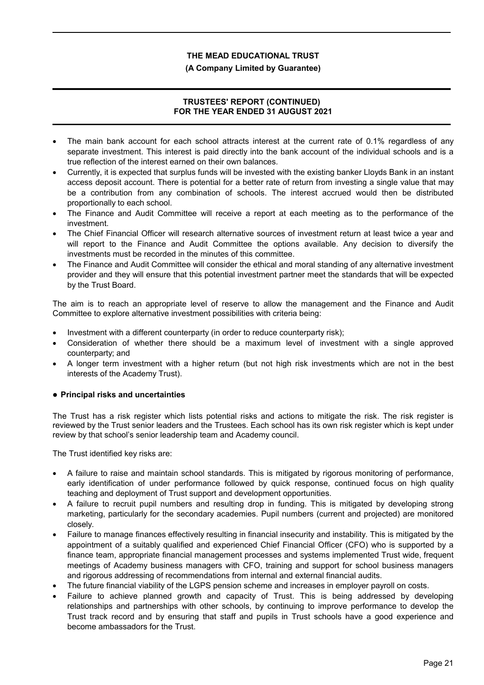### **(A Company Limited by Guarantee)**

# **TRUSTEES' REPORT (CONTINUED) FOR THE YEAR ENDED 31 AUGUST 2021**

- The main bank account for each school attracts interest at the current rate of 0.1% regardless of any separate investment. This interest is paid directly into the bank account of the individual schools and is a true reflection of the interest earned on their own balances.
- Currently, it is expected that surplus funds will be invested with the existing banker Lloyds Bank in an instant access deposit account. There is potential for a better rate of return from investing a single value that may be a contribution from any combination of schools. The interest accrued would then be distributed proportionally to each school.
- The Finance and Audit Committee will receive a report at each meeting as to the performance of the investment.
- The Chief Financial Officer will research alternative sources of investment return at least twice a year and will report to the Finance and Audit Committee the options available. Any decision to diversify the investments must be recorded in the minutes of this committee.
- The Finance and Audit Committee will consider the ethical and moral standing of any alternative investment provider and they will ensure that this potential investment partner meet the standards that will be expected by the Trust Board.

The aim is to reach an appropriate level of reserve to allow the management and the Finance and Audit Committee to explore alternative investment possibilities with criteria being:

- Investment with a different counterparty (in order to reduce counterparty risk);
- Consideration of whether there should be a maximum level of investment with a single approved counterparty; and
- A longer term investment with a higher return (but not high risk investments which are not in the best interests of the Academy Trust).

# **Principal risks and uncertainties**

The Trust has a risk register which lists potential risks and actions to mitigate the risk. The risk register is reviewed by the Trust senior leaders and the Trustees. Each school has its own risk register which is kept under review by that school's senior leadership team and Academy council.

The Trust identified key risks are:

- A failure to raise and maintain school standards. This is mitigated by rigorous monitoring of performance, early identification of under performance followed by quick response, continued focus on high quality teaching and deployment of Trust support and development opportunities.
- A failure to recruit pupil numbers and resulting drop in funding. This is mitigated by developing strong marketing, particularly for the secondary academies. Pupil numbers (current and projected) are monitored closely.
- Failure to manage finances effectively resulting in financial insecurity and instability. This is mitigated by the appointment of a suitably qualified and experienced Chief Financial Officer (CFO) who is supported by a finance team, appropriate financial management processes and systems implemented Trust wide, frequent meetings of Academy business managers with CFO, training and support for school business managers and rigorous addressing of recommendations from internal and external financial audits.
- The future financial viability of the LGPS pension scheme and increases in employer payroll on costs.
- Failure to achieve planned growth and capacity of Trust. This is being addressed by developing relationships and partnerships with other schools, by continuing to improve performance to develop the Trust track record and by ensuring that staff and pupils in Trust schools have a good experience and become ambassadors for the Trust.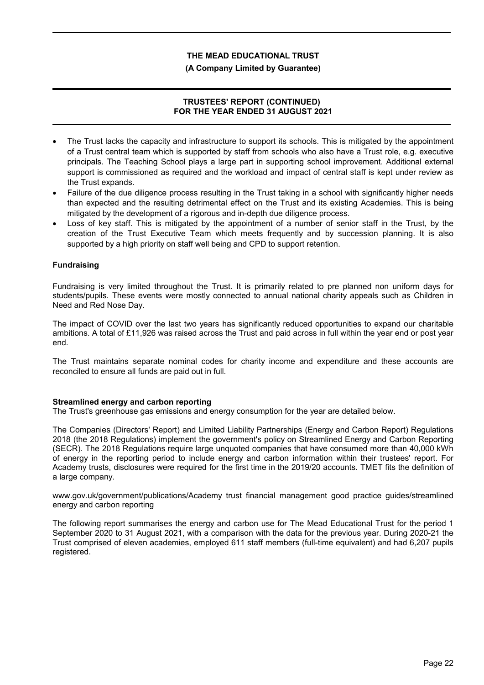#### **(A Company Limited by Guarantee)**

# **TRUSTEES' REPORT (CONTINUED) FOR THE YEAR ENDED 31 AUGUST 2021**

- The Trust lacks the capacity and infrastructure to support its schools. This is mitigated by the appointment of a Trust central team which is supported by staff from schools who also have a Trust role, e.g. executive principals. The Teaching School plays a large part in supporting school improvement. Additional external support is commissioned as required and the workload and impact of central staff is kept under review as the Trust expands.
- Failure of the due diligence process resulting in the Trust taking in a school with significantly higher needs than expected and the resulting detrimental effect on the Trust and its existing Academies. This is being mitigated by the development of a rigorous and in-depth due diligence process.
- Loss of key staff. This is mitigated by the appointment of a number of senior staff in the Trust, by the creation of the Trust Executive Team which meets frequently and by succession planning. It is also supported by a high priority on staff well being and CPD to support retention.

# **Fundraising**

Fundraising is very limited throughout the Trust. It is primarily related to pre planned non uniform days for students/pupils. These events were mostly connected to annual national charity appeals such as Children in Need and Red Nose Day.

The impact of COVID over the last two years has significantly reduced opportunities to expand our charitable ambitions. A total of £11,926 was raised across the Trust and paid across in full within the year end or post year end.

The Trust maintains separate nominal codes for charity income and expenditure and these accounts are reconciled to ensure all funds are paid out in full.

# **Streamlined energy and carbon reporting**

The Trust's greenhouse gas emissions and energy consumption for the year are detailed below.

The Companies (Directors' Report) and Limited Liability Partnerships (Energy and Carbon Report) Regulations 2018 (the 2018 Regulations) implement the government's policy on Streamlined Energy and Carbon Reporting (SECR). The 2018 Regulations require large unquoted companies that have consumed more than 40,000 kWh of energy in the reporting period to include energy and carbon information within their trustees' report. For Academy trusts, disclosures were required for the first time in the 2019/20 accounts. TMET fits the definition of a large company.

www.gov.uk/government/publications/Academy trust financial management good practice guides/streamlined energy and carbon reporting

The following report summarises the energy and carbon use for The Mead Educational Trust for the period 1 September 2020 to 31 August 2021, with a comparison with the data for the previous year. During 2020-21 the Trust comprised of eleven academies, employed 611 staff members (full-time equivalent) and had 6,207 pupils registered.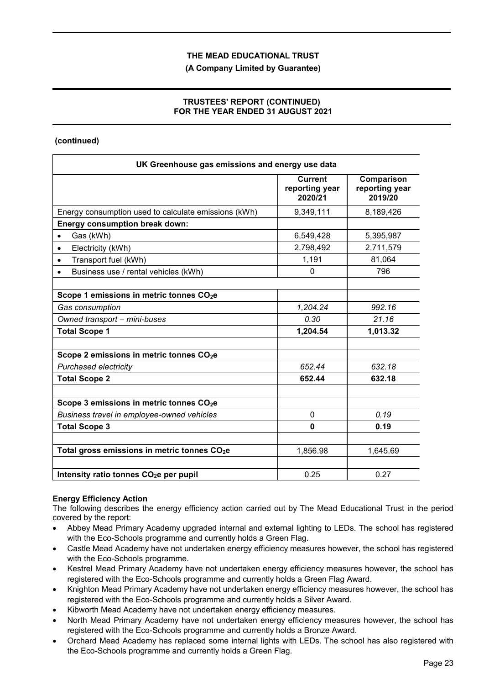### **(A Company Limited by Guarantee)**

# **TRUSTEES' REPORT (CONTINUED) FOR THE YEAR ENDED 31 AUGUST 2021**

# **(continued)**

| UK Greenhouse gas emissions and energy use data          |                                             |                                         |
|----------------------------------------------------------|---------------------------------------------|-----------------------------------------|
|                                                          | <b>Current</b><br>reporting year<br>2020/21 | Comparison<br>reporting year<br>2019/20 |
| Energy consumption used to calculate emissions (kWh)     | 9,349,111                                   | 8,189,426                               |
| <b>Energy consumption break down:</b>                    |                                             |                                         |
| Gas (kWh)<br>$\bullet$                                   | 6,549,428                                   | 5,395,987                               |
| Electricity (kWh)<br>$\bullet$                           | 2,798,492                                   | 2,711,579                               |
| Transport fuel (kWh)<br>$\bullet$                        | 1,191                                       | 81,064                                  |
| Business use / rental vehicles (kWh)                     | $\Omega$                                    | 796                                     |
| Scope 1 emissions in metric tonnes CO <sub>2</sub> e     |                                             |                                         |
| Gas consumption                                          | 1,204.24                                    | 992.16                                  |
| Owned transport - mini-buses                             | 0.30                                        | 21.16                                   |
| <b>Total Scope 1</b>                                     | 1,204.54                                    | 1,013.32                                |
| Scope 2 emissions in metric tonnes CO <sub>2</sub> e     |                                             |                                         |
| <b>Purchased electricity</b>                             | 652.44                                      | 632.18                                  |
| <b>Total Scope 2</b>                                     | 652.44                                      | 632.18                                  |
| Scope 3 emissions in metric tonnes CO <sub>2</sub> e     |                                             |                                         |
| Business travel in employee-owned vehicles               | $\mathbf 0$                                 | 0.19                                    |
| <b>Total Scope 3</b>                                     | 0                                           | 0.19                                    |
| Total gross emissions in metric tonnes CO <sub>2</sub> e | 1,856.98                                    | 1,645.69                                |
| Intensity ratio tonnes CO <sub>2</sub> e per pupil       | 0.25                                        | 0.27                                    |

# **Energy Efficiency Action**

The following describes the energy efficiency action carried out by The Mead Educational Trust in the period covered by the report:

- Abbey Mead Primary Academy upgraded internal and external lighting to LEDs. The school has registered with the Eco-Schools programme and currently holds a Green Flag.
- Castle Mead Academy have not undertaken energy efficiency measures however, the school has registered with the Eco-Schools programme.
- Kestrel Mead Primary Academy have not undertaken energy efficiency measures however, the school has registered with the Eco-Schools programme and currently holds a Green Flag Award.
- Knighton Mead Primary Academy have not undertaken energy efficiency measures however, the school has registered with the Eco-Schools programme and currently holds a Silver Award.
- Kibworth Mead Academy have not undertaken energy efficiency measures.
- North Mead Primary Academy have not undertaken energy efficiency measures however, the school has registered with the Eco-Schools programme and currently holds a Bronze Award.
- Orchard Mead Academy has replaced some internal lights with LEDs. The school has also registered with the Eco-Schools programme and currently holds a Green Flag.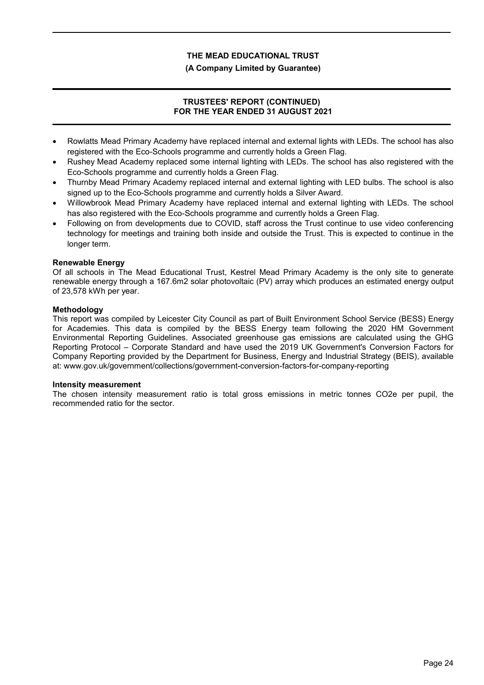### **(A Company Limited by Guarantee)**

# **TRUSTEES' REPORT (CONTINUED) FOR THE YEAR ENDED 31 AUGUST 2021**

- Rowlatts Mead Primary Academy have replaced internal and external lights with LEDs. The school has also registered with the Eco-Schools programme and currently holds a Green Flag.
- Rushey Mead Academy replaced some internal lighting with LEDs. The school has also registered with the Eco-Schools programme and currently holds a Green Flag.
- Thurnby Mead Primary Academy replaced internal and external lighting with LED bulbs. The school is also signed up to the Eco-Schools programme and currently holds a Silver Award.
- Willowbrook Mead Primary Academy have replaced internal and external lighting with LEDs. The school has also registered with the Eco-Schools programme and currently holds a Green Flag.
- Following on from developments due to COVID, staff across the Trust continue to use video conferencing technology for meetings and training both inside and outside the Trust. This is expected to continue in the longer term.

### **Renewable Energy**

Of all schools in The Mead Educational Trust, Kestrel Mead Primary Academy is the only site to generate renewable energy through a 167.6m2 solar photovoltaic (PV) array which produces an estimated energy output of 23,578 kWh per year.

### **Methodology**

This report was compiled by Leicester City Council as part of Built Environment School Service (BESS) Energy for Academies. This data is compiled by the BESS Energy team following the 2020 HM Government Environmental Reporting Guidelines. Associated greenhouse gas emissions are calculated using the GHG Reporting Protocol – Corporate Standard and have used the 2019 UK Government's Conversion Factors for Company Reporting provided by the Department for Business, Energy and Industrial Strategy (BEIS), available at: www.gov.uk/government/collections/government-conversion-factors-for-company-reporting

#### **Intensity measurement**

The chosen intensity measurement ratio is total gross emissions in metric tonnes CO2e per pupil, the recommended ratio for the sector.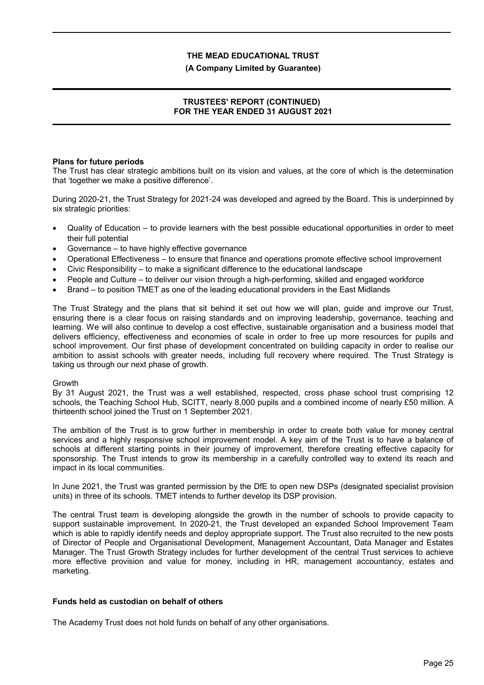#### **(A Company Limited by Guarantee)**

# **TRUSTEES' REPORT (CONTINUED) FOR THE YEAR ENDED 31 AUGUST 2021**

#### **Plans for future periods**

The Trust has clear strategic ambitions built on its vision and values, at the core of which is the determination that 'together we make a positive difference'.

During 2020-21, the Trust Strategy for 2021-24 was developed and agreed by the Board. This is underpinned by six strategic priorities:

- Quality of Education to provide learners with the best possible educational opportunities in order to meet their full potential
- Governance to have highly effective governance
- Operational Effectiveness to ensure that finance and operations promote effective school improvement
- Civic Responsibility to make a significant difference to the educational landscape
- People and Culture to deliver our vision through a high-performing, skilled and engaged workforce
- Brand to position TMET as one of the leading educational providers in the East Midlands

The Trust Strategy and the plans that sit behind it set out how we will plan, guide and improve our Trust, ensuring there is a clear focus on raising standards and on improving leadership, governance, teaching and learning. We will also continue to develop a cost effective, sustainable organisation and a business model that delivers efficiency, effectiveness and economies of scale in order to free up more resources for pupils and school improvement. Our first phase of development concentrated on building capacity in order to realise our ambition to assist schools with greater needs, including full recovery where required. The Trust Strategy is taking us through our next phase of growth.

#### Growth

By 31 August 2021, the Trust was a well established, respected, cross phase school trust comprising 12 schools, the Teaching School Hub, SCITT, nearly 8,000 pupils and a combined income of nearly £50 million. A thirteenth school joined the Trust on 1 September 2021.

The ambition of the Trust is to grow further in membership in order to create both value for money central services and a highly responsive school improvement model. A key aim of the Trust is to have a balance of schools at different starting points in their journey of improvement, therefore creating effective capacity for sponsorship. The Trust intends to grow its membership in a carefully controlled way to extend its reach and impact in its local communities.

In June 2021, the Trust was granted permission by the DfE to open new DSPs (designated specialist provision units) in three of its schools. TMET intends to further develop its DSP provision.

The central Trust team is developing alongside the growth in the number of schools to provide capacity to support sustainable improvement. In 2020-21, the Trust developed an expanded School Improvement Team which is able to rapidly identify needs and deploy appropriate support. The Trust also recruited to the new posts of Director of People and Organisational Development, Management Accountant, Data Manager and Estates Manager. The Trust Growth Strategy includes for further development of the central Trust services to achieve more effective provision and value for money, including in HR, management accountancy, estates and marketing.

# **Funds held as custodian on behalf of others**

The Academy Trust does not hold funds on behalf of any other organisations.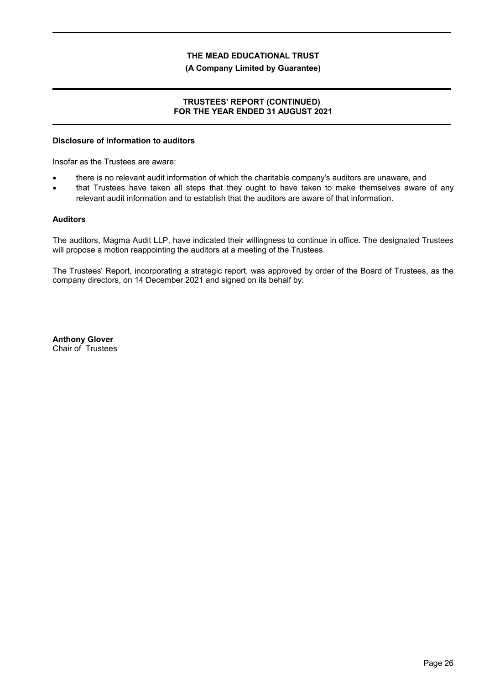#### **(A Company Limited by Guarantee)**

### **TRUSTEES' REPORT (CONTINUED) FOR THE YEAR ENDED 31 AUGUST 2021**

#### **Disclosure of information to auditors**

Insofar as the Trustees are aware:

- there is no relevant audit information of which the charitable company's auditors are unaware, and
- that Trustees have taken all steps that they ought to have taken to make themselves aware of any relevant audit information and to establish that the auditors are aware of that information.

### **Auditors**

The auditors, Magma Audit LLP, have indicated their willingness to continue in office. The designated Trustees will propose a motion reappointing the auditors at a meeting of the Trustees.

The Trustees' Report, incorporating a strategic report, was approved by order of the Board of Trustees, as the company directors, on 14 December 2021 and signed on its behalf by:

**Anthony Glover** Chair of Trustees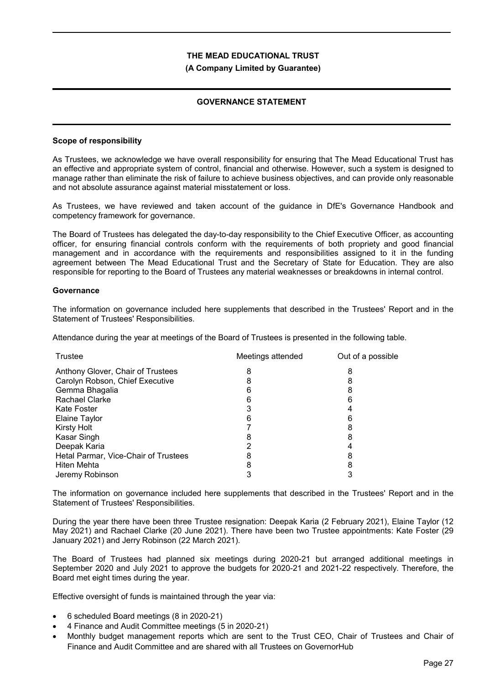#### **(A Company Limited by Guarantee)**

# **GOVERNANCE STATEMENT**

### **Scope of responsibility**

As Trustees, we acknowledge we have overall responsibility for ensuring that The Mead Educational Trust has an effective and appropriate system of control, financial and otherwise. However, such a system is designed to manage rather than eliminate the risk of failure to achieve business objectives, and can provide only reasonable and not absolute assurance against material misstatement or loss.

As Trustees, we have reviewed and taken account of the guidance in DfE's Governance Handbook and competency framework for governance.

The Board of Trustees has delegated the day-to-day responsibility to the Chief Executive Officer, as accounting officer, for ensuring financial controls conform with the requirements of both propriety and good financial management and in accordance with the requirements and responsibilities assigned to it in the funding agreement between The Mead Educational Trust and the Secretary of State for Education. They are also responsible for reporting to the Board of Trustees any material weaknesses or breakdowns in internal control.

### **Governance**

The information on governance included here supplements that described in the Trustees' Report and in the Statement of Trustees' Responsibilities.

Attendance during the year at meetings of the Board of Trustees is presented in the following table.

| Trustee                              | Meetings attended | Out of a possible |
|--------------------------------------|-------------------|-------------------|
| Anthony Glover, Chair of Trustees    |                   |                   |
| Carolyn Robson, Chief Executive      |                   | 8                 |
| Gemma Bhagalia                       |                   |                   |
| <b>Rachael Clarke</b>                |                   |                   |
| Kate Foster                          |                   |                   |
| Elaine Taylor                        |                   |                   |
| <b>Kirsty Holt</b>                   |                   |                   |
| Kasar Singh                          |                   |                   |
| Deepak Karia                         |                   |                   |
| Hetal Parmar, Vice-Chair of Trustees |                   |                   |
| Hiten Mehta                          |                   |                   |
| Jeremy Robinson                      |                   |                   |

The information on governance included here supplements that described in the Trustees' Report and in the Statement of Trustees' Responsibilities.

During the year there have been three Trustee resignation: Deepak Karia (2 February 2021), Elaine Taylor (12 May 2021) and Rachael Clarke (20 June 2021). There have been two Trustee appointments: Kate Foster (29 January 2021) and Jerry Robinson (22 March 2021).

The Board of Trustees had planned six meetings during 2020-21 but arranged additional meetings in September 2020 and July 2021 to approve the budgets for 2020-21 and 2021-22 respectively. Therefore, the Board met eight times during the year.

Effective oversight of funds is maintained through the year via:

- 6 scheduled Board meetings (8 in 2020-21)
- 4 Finance and Audit Committee meetings (5 in 2020-21)
- Monthly budget management reports which are sent to the Trust CEO, Chair of Trustees and Chair of Finance and Audit Committee and are shared with all Trustees on GovernorHub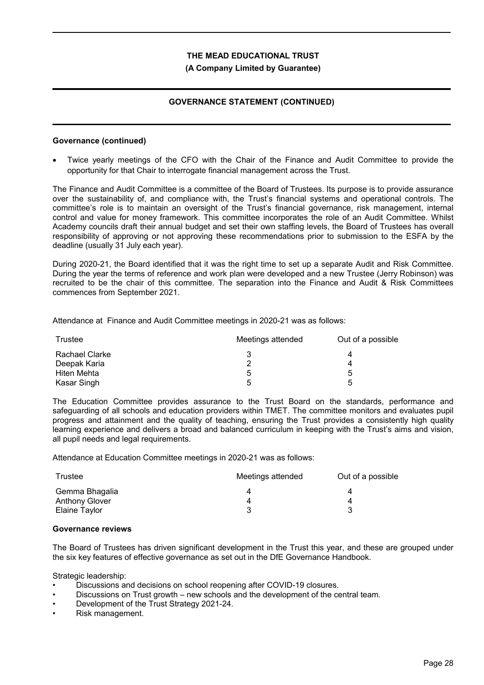### **(A Company Limited by Guarantee)**

# **GOVERNANCE STATEMENT (CONTINUED)**

#### **Governance (continued)**

 Twice yearly meetings of the CFO with the Chair of the Finance and Audit Committee to provide the opportunity for that Chair to interrogate financial management across the Trust.

The Finance and Audit Committee is a committee of the Board of Trustees. Its purpose is to provide assurance over the sustainability of, and compliance with, the Trust's financial systems and operational controls. The committee's role is to maintain an oversight of the Trust's financial governance, risk management, internal control and value for money framework. This committee incorporates the role of an Audit Committee. Whilst Academy councils draft their annual budget and set their own staffing levels, the Board of Trustees has overall responsibility of approving or not approving these recommendations prior to submission to the ESFA by the deadline (usually 31 July each year).

During 2020-21, the Board identified that it was the right time to set up a separate Audit and Risk Committee. During the year the terms of reference and work plan were developed and a new Trustee (Jerry Robinson) was recruited to be the chair of this committee. The separation into the Finance and Audit & Risk Committees commences from September 2021.

Attendance at Finance and Audit Committee meetings in 2020-21 was as follows:

| Trustee        | Meetings attended | Out of a possible |
|----------------|-------------------|-------------------|
| Rachael Clarke |                   | 4                 |
| Deepak Karia   | າ                 |                   |
| Hiten Mehta    | 5                 | 5                 |
| Kasar Singh    | 5                 | г.                |

The Education Committee provides assurance to the Trust Board on the standards, performance and safeguarding of all schools and education providers within TMET. The committee monitors and evaluates pupil progress and attainment and the quality of teaching, ensuring the Trust provides a consistently high quality learning experience and delivers a broad and balanced curriculum in keeping with the Trust's aims and vision, all pupil needs and legal requirements.

Attendance at Education Committee meetings in 2020-21 was as follows:

| Trustee              | Meetings attended | Out of a possible |
|----------------------|-------------------|-------------------|
| Gemma Bhagalia       |                   |                   |
| Anthony Glover       |                   |                   |
| <b>Elaine Taylor</b> |                   |                   |

#### **Governance reviews**

The Board of Trustees has driven significant development in the Trust this year, and these are grouped under the six key features of effective governance as set out in the DfE Governance Handbook.

Strategic leadership:

- Discussions and decisions on school reopening after COVID-19 closures.
- Discussions on Trust growth new schools and the development of the central team.
- Development of the Trust Strategy 2021-24.
- Risk management.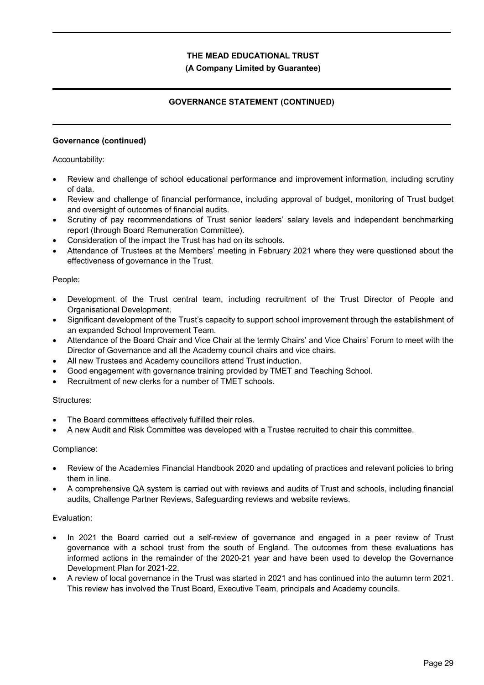# **(A Company Limited by Guarantee)**

# **GOVERNANCE STATEMENT (CONTINUED)**

### **Governance (continued)**

Accountability:

- Review and challenge of school educational performance and improvement information, including scrutiny of data.
- Review and challenge of financial performance, including approval of budget, monitoring of Trust budget and oversight of outcomes of financial audits.
- Scrutiny of pay recommendations of Trust senior leaders' salary levels and independent benchmarking report (through Board Remuneration Committee).
- Consideration of the impact the Trust has had on its schools.
- Attendance of Trustees at the Members' meeting in February 2021 where they were questioned about the effectiveness of governance in the Trust.

### People:

- Development of the Trust central team, including recruitment of the Trust Director of People and Organisational Development.
- Significant development of the Trust's capacity to support school improvement through the establishment of an expanded School Improvement Team.
- Attendance of the Board Chair and Vice Chair at the termly Chairs' and Vice Chairs' Forum to meet with the Director of Governance and all the Academy council chairs and vice chairs.
- All new Trustees and Academy councillors attend Trust induction.
- Good engagement with governance training provided by TMET and Teaching School.
- Recruitment of new clerks for a number of TMET schools.

#### Structures:

- The Board committees effectively fulfilled their roles.
- A new Audit and Risk Committee was developed with a Trustee recruited to chair this committee.

#### Compliance:

- Review of the Academies Financial Handbook 2020 and updating of practices and relevant policies to bring them in line.
- A comprehensive QA system is carried out with reviews and audits of Trust and schools, including financial audits, Challenge Partner Reviews, Safeguarding reviews and website reviews.

#### Evaluation:

- In 2021 the Board carried out a self-review of governance and engaged in a peer review of Trust governance with a school trust from the south of England. The outcomes from these evaluations has informed actions in the remainder of the 2020-21 year and have been used to develop the Governance Development Plan for 2021-22.
- A review of local governance in the Trust was started in 2021 and has continued into the autumn term 2021. This review has involved the Trust Board, Executive Team, principals and Academy councils.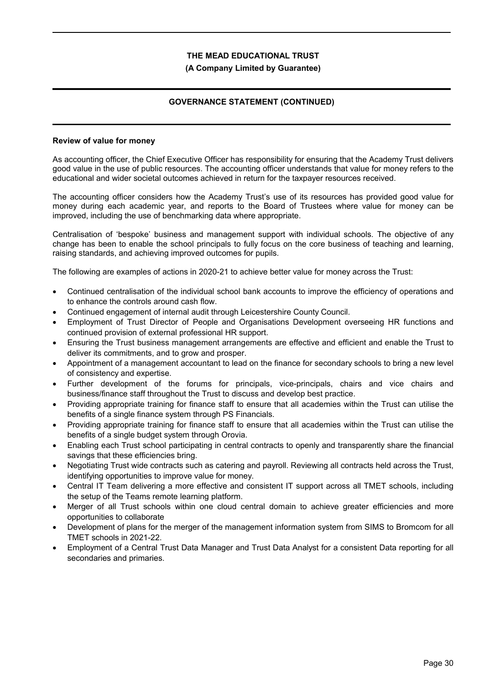### **(A Company Limited by Guarantee)**

# **GOVERNANCE STATEMENT (CONTINUED)**

#### **Review of value for money**

As accounting officer, the Chief Executive Officer has responsibility for ensuring that the Academy Trust delivers good value in the use of public resources. The accounting officer understands that value for money refers to the educational and wider societal outcomes achieved in return for the taxpayer resources received.

The accounting officer considers how the Academy Trust's use of its resources has provided good value for money during each academic year, and reports to the Board of Trustees where value for money can be improved, including the use of benchmarking data where appropriate.

Centralisation of 'bespoke' business and management support with individual schools. The objective of any change has been to enable the school principals to fully focus on the core business of teaching and learning, raising standards, and achieving improved outcomes for pupils.

The following are examples of actions in 2020-21 to achieve better value for money across the Trust:

- Continued centralisation of the individual school bank accounts to improve the efficiency of operations and to enhance the controls around cash flow.
- Continued engagement of internal audit through Leicestershire County Council.
- Employment of Trust Director of People and Organisations Development overseeing HR functions and continued provision of external professional HR support.
- Ensuring the Trust business management arrangements are effective and efficient and enable the Trust to deliver its commitments, and to grow and prosper.
- Appointment of a management accountant to lead on the finance for secondary schools to bring a new level of consistency and expertise.
- Further development of the forums for principals, vice-principals, chairs and vice chairs and business/finance staff throughout the Trust to discuss and develop best practice.
- Providing appropriate training for finance staff to ensure that all academies within the Trust can utilise the benefits of a single finance system through PS Financials.
- Providing appropriate training for finance staff to ensure that all academies within the Trust can utilise the benefits of a single budget system through Orovia.
- Enabling each Trust school participating in central contracts to openly and transparently share the financial savings that these efficiencies bring.
- Negotiating Trust wide contracts such as catering and payroll. Reviewing all contracts held across the Trust, identifying opportunities to improve value for money.
- Central IT Team delivering a more effective and consistent IT support across all TMET schools, including the setup of the Teams remote learning platform.
- Merger of all Trust schools within one cloud central domain to achieve greater efficiencies and more opportunities to collaborate
- Development of plans for the merger of the management information system from SIMS to Bromcom for all TMET schools in 2021-22.
- Employment of a Central Trust Data Manager and Trust Data Analyst for a consistent Data reporting for all secondaries and primaries.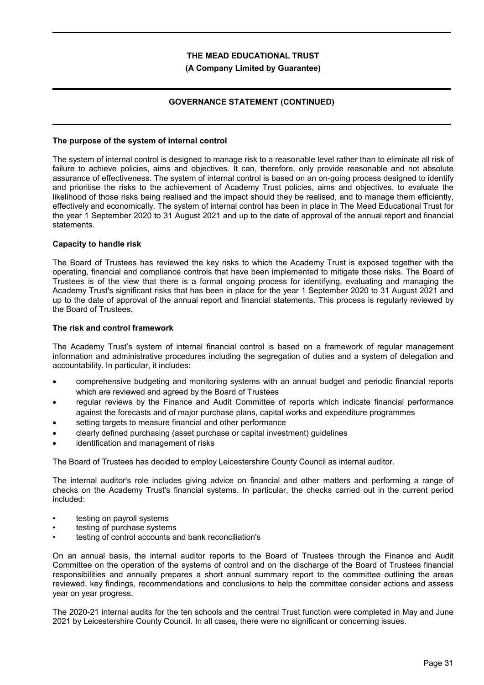### **(A Company Limited by Guarantee)**

# **GOVERNANCE STATEMENT (CONTINUED)**

### **The purpose of the system of internal control**

The system of internal control is designed to manage risk to a reasonable level rather than to eliminate all risk of failure to achieve policies, aims and objectives. It can, therefore, only provide reasonable and not absolute assurance of effectiveness. The system of internal control is based on an on-going process designed to identify and prioritise the risks to the achievement of Academy Trust policies, aims and objectives, to evaluate the likelihood of those risks being realised and the impact should they be realised, and to manage them efficiently, effectively and economically. The system of internal control has been in place in The Mead Educational Trust for the year 1 September 2020 to 31 August 2021 and up to the date of approval of the annual report and financial statements.

### **Capacity to handle risk**

The Board of Trustees has reviewed the key risks to which the Academy Trust is exposed together with the operating, financial and compliance controls that have been implemented to mitigate those risks. The Board of Trustees is of the view that there is a formal ongoing process for identifying, evaluating and managing the Academy Trust's significant risks that has been in place for the year 1 September 2020 to 31 August 2021 and up to the date of approval of the annual report and financial statements. This process is regularly reviewed by the Board of Trustees.

### **The risk and control framework**

The Academy Trust's system of internal financial control is based on a framework of regular management information and administrative procedures including the segregation of duties and a system of delegation and accountability. In particular, it includes:

- comprehensive budgeting and monitoring systems with an annual budget and periodic financial reports which are reviewed and agreed by the Board of Trustees
- regular reviews by the Finance and Audit Committee of reports which indicate financial performance against the forecasts and of major purchase plans, capital works and expenditure programmes
- setting targets to measure financial and other performance
- clearly defined purchasing (asset purchase or capital investment) guidelines
- identification and management of risks

The Board of Trustees has decided to employ Leicestershire County Council as internal auditor.

The internal auditor's role includes giving advice on financial and other matters and performing a range of checks on the Academy Trust's financial systems. In particular, the checks carried out in the current period included:

- testing on payroll systems
- testing of purchase systems
- testing of control accounts and bank reconciliation's

On an annual basis, the internal auditor reports to the Board of Trustees through the Finance and Audit Committee on the operation of the systems of control and on the discharge of the Board of Trustees financial responsibilities and annually prepares a short annual summary report to the committee outlining the areas reviewed, key findings, recommendations and conclusions to help the committee consider actions and assess year on year progress.

The 2020-21 internal audits for the ten schools and the central Trust function were completed in May and June 2021 by Leicestershire County Council. In all cases, there were no significant or concerning issues.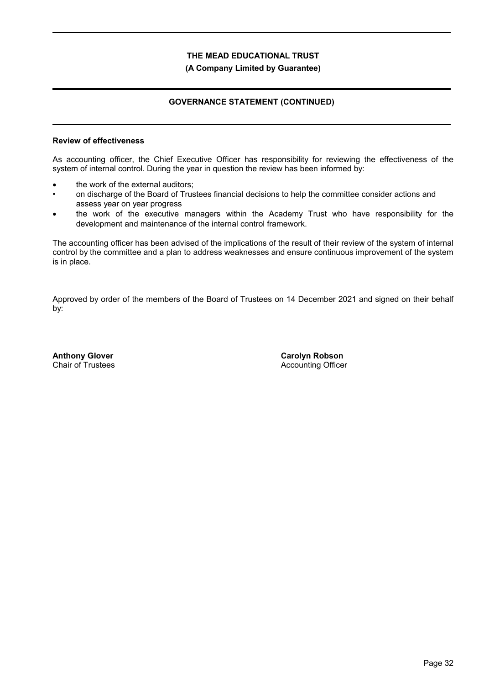### **(A Company Limited by Guarantee)**

# **GOVERNANCE STATEMENT (CONTINUED)**

### **Review of effectiveness**

As accounting officer, the Chief Executive Officer has responsibility for reviewing the effectiveness of the system of internal control. During the year in question the review has been informed by:

- the work of the external auditors;
- on discharge of the Board of Trustees financial decisions to help the committee consider actions and assess year on year progress
- the work of the executive managers within the Academy Trust who have responsibility for the development and maintenance of the internal control framework.

The accounting officer has been advised of the implications of the result of their review of the system of internal control by the committee and a plan to address weaknesses and ensure continuous improvement of the system is in place.

Approved by order of the members of the Board of Trustees on 14 December 2021 and signed on their behalf by:

**Anthony Glover** Chair of Trustees **Carolyn Robson** Accounting Officer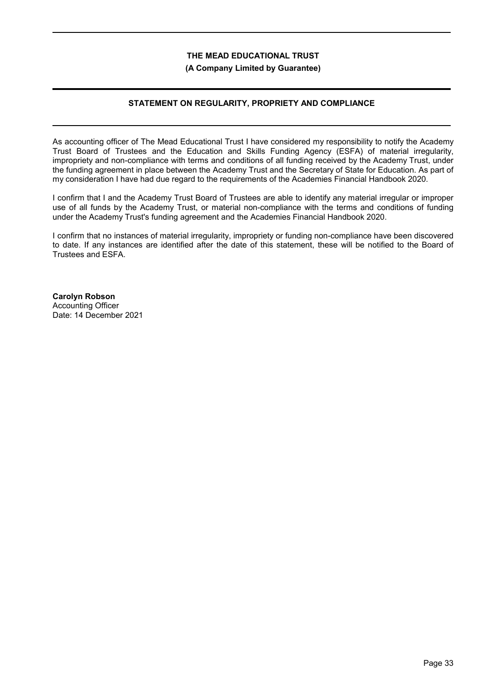#### **(A Company Limited by Guarantee)**

# **STATEMENT ON REGULARITY, PROPRIETY AND COMPLIANCE**

As accounting officer of The Mead Educational Trust I have considered my responsibility to notify the Academy Trust Board of Trustees and the Education and Skills Funding Agency (ESFA) of material irregularity, impropriety and non-compliance with terms and conditions of all funding received by the Academy Trust, under the funding agreement in place between the Academy Trust and the Secretary of State for Education. As part of my consideration I have had due regard to the requirements of the Academies Financial Handbook 2020.

I confirm that I and the Academy Trust Board of Trustees are able to identify any material irregular or improper use of all funds by the Academy Trust, or material non-compliance with the terms and conditions of funding under the Academy Trust's funding agreement and the Academies Financial Handbook 2020.

I confirm that no instances of material irregularity, impropriety or funding non-compliance have been discovered to date. If any instances are identified after the date of this statement, these will be notified to the Board of Trustees and ESFA.

**Carolyn Robson** Accounting Officer Date: 14 December 2021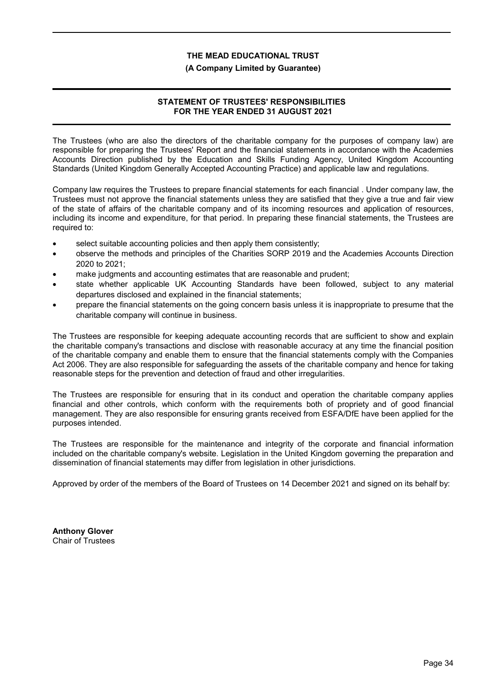#### **(A Company Limited by Guarantee)**

# **STATEMENT OF TRUSTEES' RESPONSIBILITIES FOR THE YEAR ENDED 31 AUGUST 2021**

The Trustees (who are also the directors of the charitable company for the purposes of company law) are responsible for preparing the Trustees' Report and the financial statements in accordance with the Academies Accounts Direction published by the Education and Skills Funding Agency, United Kingdom Accounting Standards (United Kingdom Generally Accepted Accounting Practice) and applicable law and regulations.

Company law requires the Trustees to prepare financial statements for each financial . Under company law, the Trustees must not approve the financial statements unless they are satisfied that they give a true and fair view of the state of affairs of the charitable company and of its incoming resources and application of resources, including its income and expenditure, for that period. In preparing these financial statements, the Trustees are required to:

- select suitable accounting policies and then apply them consistently;
- observe the methods and principles of the Charities SORP 2019 and the Academies Accounts Direction 2020 to 2021;
- make judgments and accounting estimates that are reasonable and prudent;
- state whether applicable UK Accounting Standards have been followed, subject to any material departures disclosed and explained in the financial statements;
- prepare the financial statements on the going concern basis unless it is inappropriate to presume that the charitable company will continue in business.

The Trustees are responsible for keeping adequate accounting records that are sufficient to show and explain the charitable company's transactions and disclose with reasonable accuracy at any time the financial position of the charitable company and enable them to ensure that the financial statements comply with the Companies Act 2006. They are also responsible for safeguarding the assets of the charitable company and hence for taking reasonable steps for the prevention and detection of fraud and other irregularities.

The Trustees are responsible for ensuring that in its conduct and operation the charitable company applies financial and other controls, which conform with the requirements both of propriety and of good financial management. They are also responsible for ensuring grants received from ESFA/DfE have been applied for the purposes intended.

The Trustees are responsible for the maintenance and integrity of the corporate and financial information included on the charitable company's website. Legislation in the United Kingdom governing the preparation and dissemination of financial statements may differ from legislation in other jurisdictions.

Approved by order of the members of the Board of Trustees on 14 December 2021 and signed on its behalf by:

**Anthony Glover** Chair of Trustees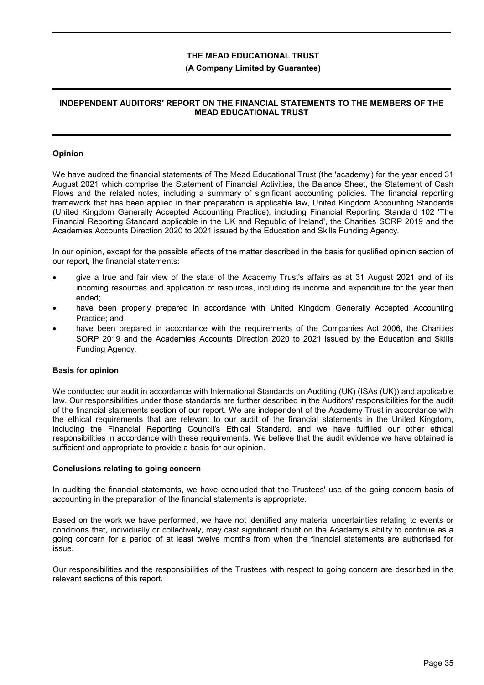## **(A Company Limited by Guarantee)**

## **INDEPENDENT AUDITORS' REPORT ON THE FINANCIAL STATEMENTS TO THE MEMBERS OF THE MEAD EDUCATIONAL TRUST**

### **Opinion**

We have audited the financial statements of The Mead Educational Trust (the 'academy') for the year ended 31 August 2021 which comprise the Statement of Financial Activities, the Balance Sheet, the Statement of Cash Flows and the related notes, including a summary of significant accounting policies. The financial reporting framework that has been applied in their preparation is applicable law, United Kingdom Accounting Standards (United Kingdom Generally Accepted Accounting Practice), including Financial Reporting Standard 102 'The Financial Reporting Standard applicable in the UK and Republic of Ireland', the Charities SORP 2019 and the Academies Accounts Direction 2020 to 2021 issued by the Education and Skills Funding Agency.

In our opinion, except for the possible effects of the matter described in the basis for qualified opinion section of our report, the financial statements:

- give a true and fair view of the state of the Academy Trust's affairs as at 31 August 2021 and of its incoming resources and application of resources, including its income and expenditure for the year then ended;
- have been properly prepared in accordance with United Kingdom Generally Accepted Accounting Practice; and
- have been prepared in accordance with the requirements of the Companies Act 2006, the Charities SORP 2019 and the Academies Accounts Direction 2020 to 2021 issued by the Education and Skills Funding Agency.

#### **Basis for opinion**

We conducted our audit in accordance with International Standards on Auditing (UK) (ISAs (UK)) and applicable law. Our responsibilities under those standards are further described in the Auditors' responsibilities for the audit of the financial statements section of our report. We are independent of the Academy Trust in accordance with the ethical requirements that are relevant to our audit of the financial statements in the United Kingdom, including the Financial Reporting Council's Ethical Standard, and we have fulfilled our other ethical responsibilities in accordance with these requirements. We believe that the audit evidence we have obtained is sufficient and appropriate to provide a basis for our opinion.

#### **Conclusions relating to going concern**

In auditing the financial statements, we have concluded that the Trustees' use of the going concern basis of accounting in the preparation of the financial statements is appropriate.

Based on the work we have performed, we have not identified any material uncertainties relating to events or conditions that, individually or collectively, may cast significant doubt on the Academy's ability to continue as a going concern for a period of at least twelve months from when the financial statements are authorised for issue.

Our responsibilities and the responsibilities of the Trustees with respect to going concern are described in the relevant sections of this report.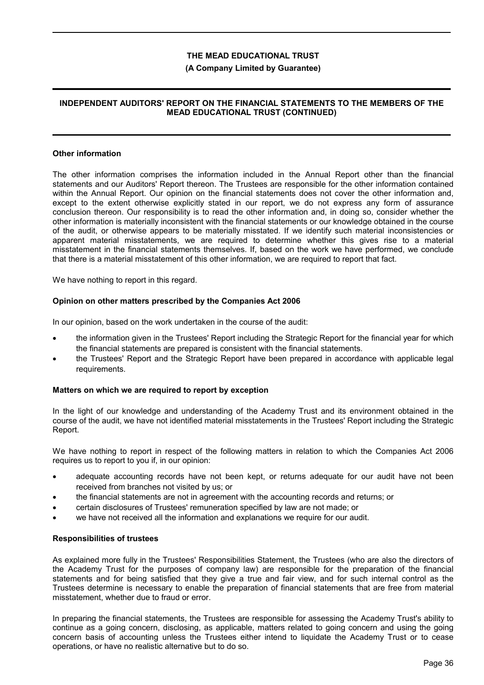## **(A Company Limited by Guarantee)**

## **INDEPENDENT AUDITORS' REPORT ON THE FINANCIAL STATEMENTS TO THE MEMBERS OF THE MEAD EDUCATIONAL TRUST (CONTINUED)**

#### **Other information**

The other information comprises the information included in the Annual Report other than the financial statements and our Auditors' Report thereon. The Trustees are responsible for the other information contained within the Annual Report. Our opinion on the financial statements does not cover the other information and, except to the extent otherwise explicitly stated in our report, we do not express any form of assurance conclusion thereon. Our responsibility is to read the other information and, in doing so, consider whether the other information is materially inconsistent with the financial statements or our knowledge obtained in the course of the audit, or otherwise appears to be materially misstated. If we identify such material inconsistencies or apparent material misstatements, we are required to determine whether this gives rise to a material misstatement in the financial statements themselves. If, based on the work we have performed, we conclude that there is a material misstatement of this other information, we are required to report that fact.

We have nothing to report in this regard.

#### **Opinion on other matters prescribed by the Companies Act 2006**

In our opinion, based on the work undertaken in the course of the audit:

- the information given in the Trustees' Report including the Strategic Report for the financial year for which the financial statements are prepared is consistent with the financial statements.
- the Trustees' Report and the Strategic Report have been prepared in accordance with applicable legal requirements.

#### **Matters on which we are required to report by exception**

In the light of our knowledge and understanding of the Academy Trust and its environment obtained in the course of the audit, we have not identified material misstatements in the Trustees' Report including the Strategic Report.

We have nothing to report in respect of the following matters in relation to which the Companies Act 2006 requires us to report to you if, in our opinion:

- adequate accounting records have not been kept, or returns adequate for our audit have not been received from branches not visited by us; or
- the financial statements are not in agreement with the accounting records and returns; or
- certain disclosures of Trustees' remuneration specified by law are not made; or
- we have not received all the information and explanations we require for our audit.

#### **Responsibilities of trustees**

As explained more fully in the Trustees' Responsibilities Statement, the Trustees (who are also the directors of the Academy Trust for the purposes of company law) are responsible for the preparation of the financial statements and for being satisfied that they give a true and fair view, and for such internal control as the Trustees determine is necessary to enable the preparation of financial statements that are free from material misstatement, whether due to fraud or error.

In preparing the financial statements, the Trustees are responsible for assessing the Academy Trust's ability to continue as a going concern, disclosing, as applicable, matters related to going concern and using the going concern basis of accounting unless the Trustees either intend to liquidate the Academy Trust or to cease operations, or have no realistic alternative but to do so.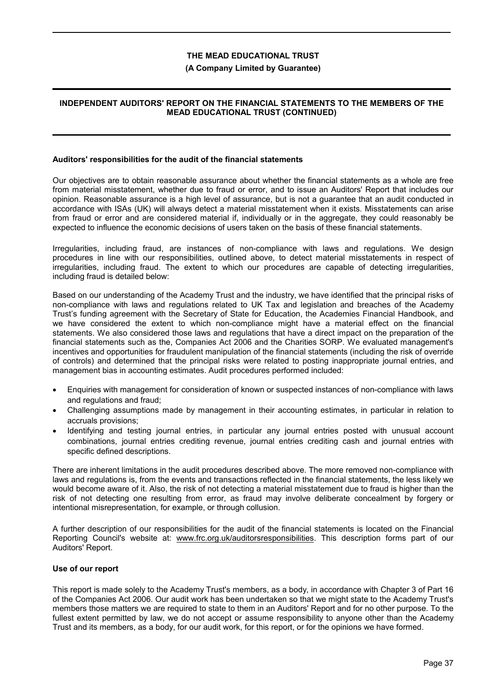## **(A Company Limited by Guarantee)**

## **INDEPENDENT AUDITORS' REPORT ON THE FINANCIAL STATEMENTS TO THE MEMBERS OF THE MEAD EDUCATIONAL TRUST (CONTINUED)**

#### **Auditors' responsibilities for the audit of the financial statements**

Our objectives are to obtain reasonable assurance about whether the financial statements as a whole are free from material misstatement, whether due to fraud or error, and to issue an Auditors' Report that includes our opinion. Reasonable assurance is a high level of assurance, but is not a guarantee that an audit conducted in accordance with ISAs (UK) will always detect a material misstatement when it exists. Misstatements can arise from fraud or error and are considered material if, individually or in the aggregate, they could reasonably be expected to influence the economic decisions of users taken on the basis of these financial statements.

Irregularities, including fraud, are instances of non-compliance with laws and regulations. We design procedures in line with our responsibilities, outlined above, to detect material misstatements in respect of irregularities, including fraud. The extent to which our procedures are capable of detecting irregularities, including fraud is detailed below:

Based on our understanding of the Academy Trust and the industry, we have identified that the principal risks of non-compliance with laws and regulations related to UK Tax and legislation and breaches of the Academy Trust's funding agreement with the Secretary of State for Education, the Academies Financial Handbook, and we have considered the extent to which non-compliance might have a material effect on the financial statements. We also considered those laws and regulations that have a direct impact on the preparation of the financial statements such as the, Companies Act 2006 and the Charities SORP. We evaluated management's incentives and opportunities for fraudulent manipulation of the financial statements (including the risk of override of controls) and determined that the principal risks were related to posting inappropriate journal entries, and management bias in accounting estimates. Audit procedures performed included:

- Enquiries with management for consideration of known or suspected instances of non-compliance with laws and regulations and fraud;
- Challenging assumptions made by management in their accounting estimates, in particular in relation to accruals provisions;
- Identifying and testing journal entries, in particular any journal entries posted with unusual account combinations, journal entries crediting revenue, journal entries crediting cash and journal entries with specific defined descriptions.

There are inherent limitations in the audit procedures described above. The more removed non-compliance with laws and regulations is, from the events and transactions reflected in the financial statements, the less likely we would become aware of it. Also, the risk of not detecting a material misstatement due to fraud is higher than the risk of not detecting one resulting from error, as fraud may involve deliberate concealment by forgery or intentional misrepresentation, for example, or through collusion.

A further description of our responsibilities for the audit of the financial statements is located on the Financial Reporting Council's website at: www.frc.org.uk/auditorsresponsibilities. This description forms part of our Auditors' Report.

#### **Use of our report**

This report is made solely to the Academy Trust's members, as a body, in accordance with Chapter 3 of Part 16 of the Companies Act 2006. Our audit work has been undertaken so that we might state to the Academy Trust's members those matters we are required to state to them in an Auditors' Report and for no other purpose. To the fullest extent permitted by law, we do not accept or assume responsibility to anyone other than the Academy Trust and its members, as a body, for our audit work, for this report, or for the opinions we have formed.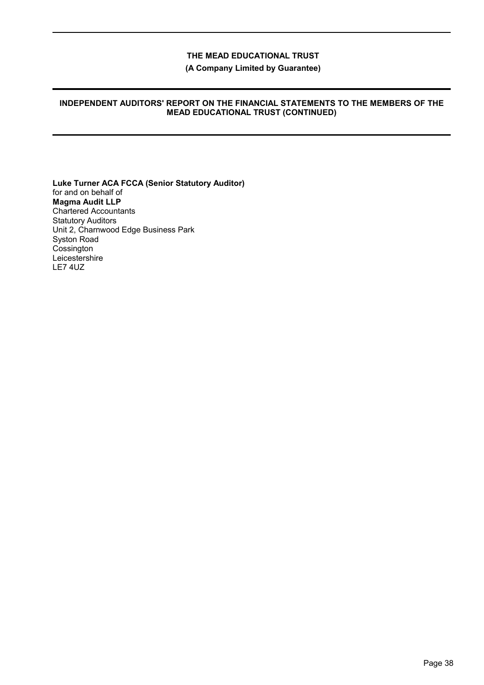**(A Company Limited by Guarantee)**

## **INDEPENDENT AUDITORS' REPORT ON THE FINANCIAL STATEMENTS TO THE MEMBERS OF THE MEAD EDUCATIONAL TRUST (CONTINUED)**

**Luke Turner ACA FCCA (Senior Statutory Auditor)** for and on behalf of **Magma Audit LLP** Chartered Accountants Statutory Auditors Unit 2, Charnwood Edge Business Park Syston Road **Cossington** Leicestershire LE7 4UZ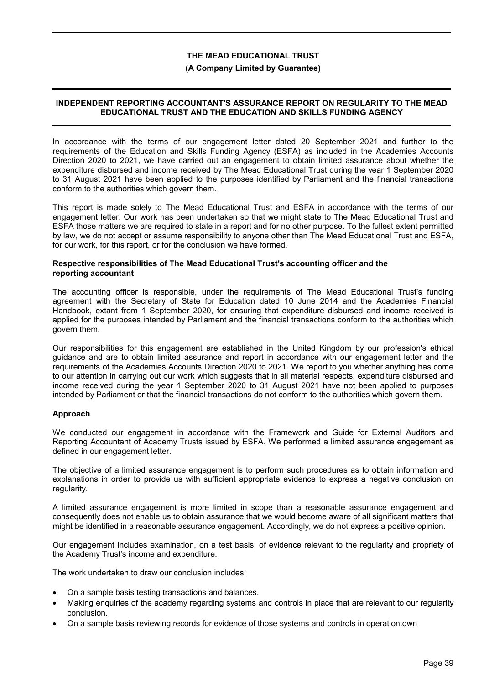### **(A Company Limited by Guarantee)**

## **INDEPENDENT REPORTING ACCOUNTANT'S ASSURANCE REPORT ON REGULARITY TO THE MEAD EDUCATIONAL TRUST AND THE EDUCATION AND SKILLS FUNDING AGENCY**

In accordance with the terms of our engagement letter dated 20 September 2021 and further to the requirements of the Education and Skills Funding Agency (ESFA) as included in the Academies Accounts Direction 2020 to 2021, we have carried out an engagement to obtain limited assurance about whether the expenditure disbursed and income received by The Mead Educational Trust during the year 1 September 2020 to 31 August 2021 have been applied to the purposes identified by Parliament and the financial transactions conform to the authorities which govern them.

This report is made solely to The Mead Educational Trust and ESFA in accordance with the terms of our engagement letter. Our work has been undertaken so that we might state to The Mead Educational Trust and ESFA those matters we are required to state in a report and for no other purpose. To the fullest extent permitted by law, we do not accept or assume responsibility to anyone other than The Mead Educational Trust and ESFA, for our work, for this report, or for the conclusion we have formed.

#### **Respective responsibilities of The Mead Educational Trust's accounting officer and the reporting accountant**

The accounting officer is responsible, under the requirements of The Mead Educational Trust's funding agreement with the Secretary of State for Education dated 10 June 2014 and the Academies Financial Handbook, extant from 1 September 2020, for ensuring that expenditure disbursed and income received is applied for the purposes intended by Parliament and the financial transactions conform to the authorities which govern them.

Our responsibilities for this engagement are established in the United Kingdom by our profession's ethical guidance and are to obtain limited assurance and report in accordance with our engagement letter and the requirements of the Academies Accounts Direction 2020 to 2021. We report to you whether anything has come to our attention in carrying out our work which suggests that in all material respects, expenditure disbursed and income received during the year 1 September 2020 to 31 August 2021 have not been applied to purposes intended by Parliament or that the financial transactions do not conform to the authorities which govern them.

## **Approach**

We conducted our engagement in accordance with the Framework and Guide for External Auditors and Reporting Accountant of Academy Trusts issued by ESFA. We performed a limited assurance engagement as defined in our engagement letter.

The objective of a limited assurance engagement is to perform such procedures as to obtain information and explanations in order to provide us with sufficient appropriate evidence to express a negative conclusion on regularity.

A limited assurance engagement is more limited in scope than a reasonable assurance engagement and consequently does not enable us to obtain assurance that we would become aware of all significant matters that might be identified in a reasonable assurance engagement. Accordingly, we do not express a positive opinion.

Our engagement includes examination, on a test basis, of evidence relevant to the regularity and propriety of the Academy Trust's income and expenditure.

The work undertaken to draw our conclusion includes:

- On a sample basis testing transactions and balances.
- Making enquiries of the academy regarding systems and controls in place that are relevant to our regularity conclusion.
- On a sample basis reviewing records for evidence of those systems and controls in operation.own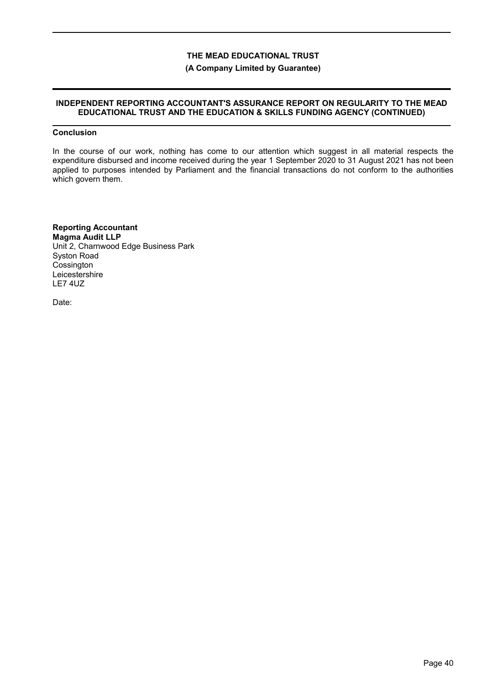### **(A Company Limited by Guarantee)**

## **INDEPENDENT REPORTING ACCOUNTANT'S ASSURANCE REPORT ON REGULARITY TO THE MEAD EDUCATIONAL TRUST AND THE EDUCATION & SKILLS FUNDING AGENCY (CONTINUED)**

# **Conclusion**

In the course of our work, nothing has come to our attention which suggest in all material respects the expenditure disbursed and income received during the year 1 September 2020 to 31 August 2021 has not been applied to purposes intended by Parliament and the financial transactions do not conform to the authorities which govern them.

**Reporting Accountant Magma Audit LLP** Unit 2, Charnwood Edge Business Park Syston Road **Cossington Leicestershire** LE7 4UZ

Date: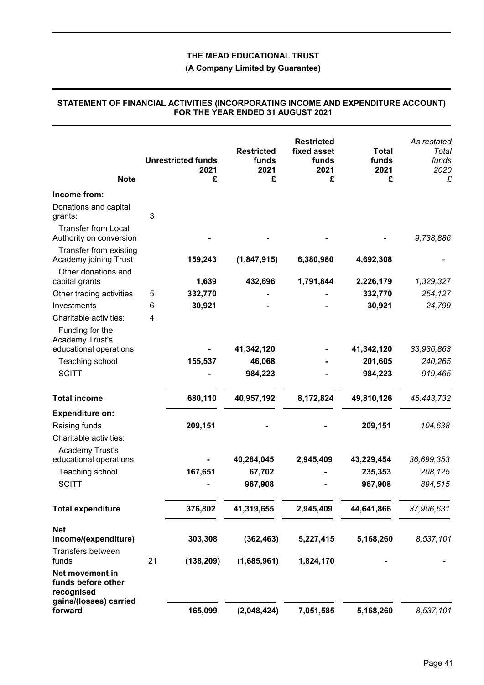# **(A Company Limited by Guarantee)**

| <b>Note</b>                                                                   |    | <b>Unrestricted funds</b><br>2021<br>£ | <b>Restricted</b><br>funds<br>2021<br>£ | <b>Restricted</b><br>fixed asset<br>funds<br>2021<br>£ | <b>Total</b><br>funds<br>2021<br>£ | As restated<br>Total<br>funds<br>2020<br>£ |
|-------------------------------------------------------------------------------|----|----------------------------------------|-----------------------------------------|--------------------------------------------------------|------------------------------------|--------------------------------------------|
| Income from:                                                                  |    |                                        |                                         |                                                        |                                    |                                            |
| Donations and capital<br>grants:                                              | 3  |                                        |                                         |                                                        |                                    |                                            |
| <b>Transfer from Local</b><br>Authority on conversion                         |    |                                        |                                         |                                                        |                                    | 9,738,886                                  |
| Transfer from existing<br>Academy joining Trust                               |    | 159,243                                | (1,847,915)                             | 6,380,980                                              | 4,692,308                          |                                            |
| Other donations and                                                           |    |                                        |                                         |                                                        |                                    |                                            |
| capital grants                                                                |    | 1,639                                  | 432,696                                 | 1,791,844                                              | 2,226,179                          | 1,329,327                                  |
| Other trading activities                                                      | 5  | 332,770                                |                                         |                                                        | 332,770                            | 254,127                                    |
| Investments                                                                   | 6  | 30,921                                 |                                         |                                                        | 30,921                             | 24,799                                     |
| Charitable activities:                                                        | 4  |                                        |                                         |                                                        |                                    |                                            |
| Funding for the<br><b>Academy Trust's</b><br>educational operations           |    |                                        | 41,342,120                              |                                                        | 41,342,120                         | 33,936,863                                 |
| Teaching school                                                               |    | 155,537                                | 46,068                                  |                                                        | 201,605                            | 240,265                                    |
| <b>SCITT</b>                                                                  |    |                                        | 984,223                                 |                                                        | 984,223                            | 919,465                                    |
| <b>Total income</b>                                                           |    | 680,110                                | 40,957,192                              | 8,172,824                                              | 49,810,126                         | 46, 443, 732                               |
| <b>Expenditure on:</b>                                                        |    |                                        |                                         |                                                        |                                    |                                            |
| Raising funds                                                                 |    | 209,151                                |                                         |                                                        | 209,151                            | 104,638                                    |
| Charitable activities:                                                        |    |                                        |                                         |                                                        |                                    |                                            |
| Academy Trust's                                                               |    |                                        |                                         |                                                        |                                    |                                            |
| educational operations                                                        |    |                                        | 40,284,045                              | 2,945,409                                              | 43,229,454                         | 36,699,353                                 |
| Teaching school                                                               |    | 167,651                                | 67,702                                  |                                                        | 235,353                            | 208,125                                    |
| <b>SCITT</b>                                                                  |    |                                        | 967,908                                 |                                                        | 967,908                            | 894,515                                    |
| <b>Total expenditure</b>                                                      |    | 376,802                                | 41,319,655                              | 2,945,409                                              | 44,641,866                         | 37,906,631                                 |
| <b>Net</b>                                                                    |    |                                        |                                         |                                                        |                                    |                                            |
| income/(expenditure)                                                          |    | 303,308                                | (362, 463)                              | 5,227,415                                              | 5,168,260                          | 8,537,101                                  |
| Transfers between<br>funds                                                    | 21 | (138, 209)                             | (1,685,961)                             | 1,824,170                                              |                                    |                                            |
| Net movement in<br>funds before other<br>recognised<br>gains/(losses) carried |    |                                        |                                         |                                                        |                                    |                                            |
| forward                                                                       |    | 165,099                                | (2,048,424)                             | 7,051,585                                              | 5,168,260                          | 8,537,101                                  |

### **STATEMENT OF FINANCIAL ACTIVITIES (INCORPORATING INCOME AND EXPENDITURE ACCOUNT) FOR THE YEAR ENDED 31 AUGUST 2021**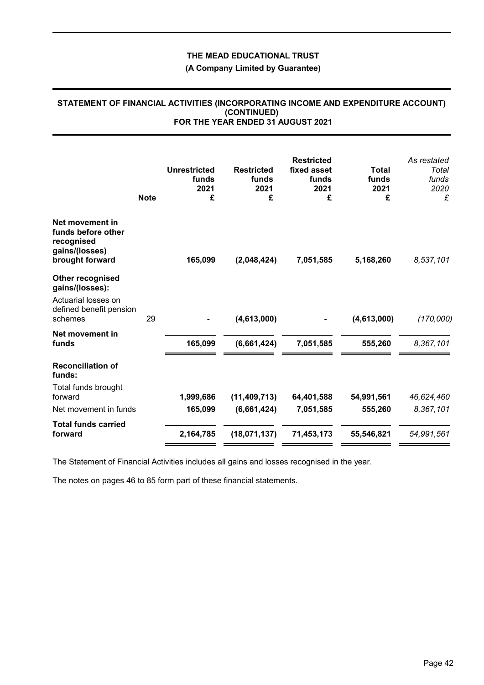**(A Company Limited by Guarantee)**

## **STATEMENT OF FINANCIAL ACTIVITIES (INCORPORATING INCOME AND EXPENDITURE ACCOUNT) (CONTINUED) FOR THE YEAR ENDED 31 AUGUST 2021**

|                                                                                          | <b>Note</b> | <b>Unrestricted</b><br>funds<br>2021<br>£ | <b>Restricted</b><br>funds<br>2021<br>£ | <b>Restricted</b><br>fixed asset<br>funds<br>2021<br>£ | <b>Total</b><br>funds<br>2021<br>£ | As restated<br>Total<br>funds<br>2020<br>£ |
|------------------------------------------------------------------------------------------|-------------|-------------------------------------------|-----------------------------------------|--------------------------------------------------------|------------------------------------|--------------------------------------------|
| Net movement in<br>funds before other<br>recognised<br>gains/(losses)<br>brought forward |             | 165,099                                   | (2,048,424)                             | 7,051,585                                              | 5,168,260                          | 8,537,101                                  |
| Other recognised<br>gains/(losses):                                                      |             |                                           |                                         |                                                        |                                    |                                            |
| Actuarial losses on<br>defined benefit pension<br>schemes                                | 29          |                                           | (4,613,000)                             |                                                        | (4,613,000)                        | (170,000)                                  |
| Net movement in<br>funds                                                                 |             | 165,099                                   | (6,661,424)                             | 7,051,585                                              | 555,260                            | 8,367,101                                  |
| <b>Reconciliation of</b><br>funds:                                                       |             |                                           |                                         |                                                        |                                    |                                            |
| Total funds brought<br>forward                                                           |             | 1,999,686                                 | (11, 409, 713)                          | 64,401,588                                             | 54,991,561                         | 46,624,460                                 |
| Net movement in funds                                                                    |             | 165,099                                   | (6,661,424)                             | 7,051,585                                              | 555,260                            | 8,367,101                                  |
| <b>Total funds carried</b><br>forward                                                    |             | 2,164,785                                 | (18,071,137)                            | 71,453,173                                             | 55,546,821                         | 54,991,561                                 |

The Statement of Financial Activities includes all gains and losses recognised in the year.

The notes on pages 46 to 85 form part of these financial statements.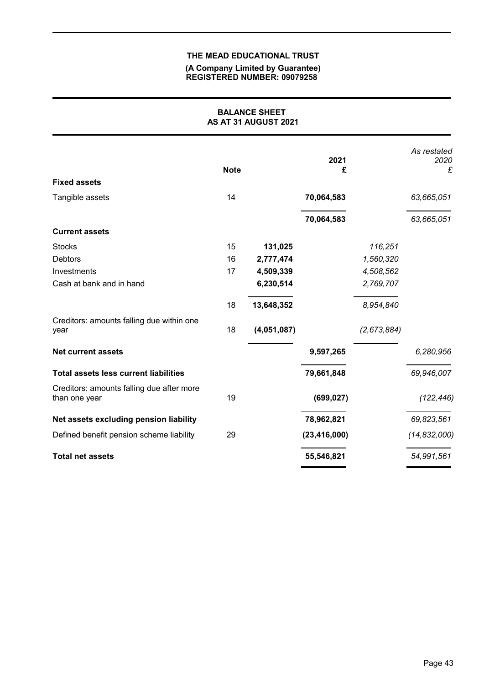#### **(A Company Limited by Guarantee) REGISTERED NUMBER: 09079258**

| <b>BALANCE SHEET</b><br>AS AT 31 AUGUST 2021               |             |             |                |             |                          |  |
|------------------------------------------------------------|-------------|-------------|----------------|-------------|--------------------------|--|
|                                                            | <b>Note</b> |             | 2021<br>£      |             | As restated<br>2020<br>£ |  |
| <b>Fixed assets</b>                                        |             |             |                |             |                          |  |
| Tangible assets                                            | 14          |             | 70,064,583     |             | 63,665,051               |  |
|                                                            |             |             | 70,064,583     |             | 63,665,051               |  |
| <b>Current assets</b>                                      |             |             |                |             |                          |  |
| <b>Stocks</b>                                              | 15          | 131,025     |                | 116,251     |                          |  |
| <b>Debtors</b>                                             | 16          | 2,777,474   |                | 1,560,320   |                          |  |
| Investments                                                | 17          | 4,509,339   |                | 4,508,562   |                          |  |
| Cash at bank and in hand                                   |             | 6,230,514   |                | 2,769,707   |                          |  |
|                                                            | 18          | 13,648,352  |                | 8,954,840   |                          |  |
| Creditors: amounts falling due within one<br>year          | 18          | (4,051,087) |                | (2,673,884) |                          |  |
| <b>Net current assets</b>                                  |             |             | 9,597,265      |             | 6,280,956                |  |
| <b>Total assets less current liabilities</b>               |             |             | 79,661,848     |             | 69,946,007               |  |
| Creditors: amounts falling due after more<br>than one year | 19          |             | (699, 027)     |             | (122, 446)               |  |
| Net assets excluding pension liability                     |             |             | 78,962,821     |             | 69,823,561               |  |
| Defined benefit pension scheme liability                   | 29          |             | (23, 416, 000) |             | (14, 832, 000)           |  |
| <b>Total net assets</b>                                    |             |             | 55,546,821     |             | 54,991,561               |  |
|                                                            |             |             |                |             |                          |  |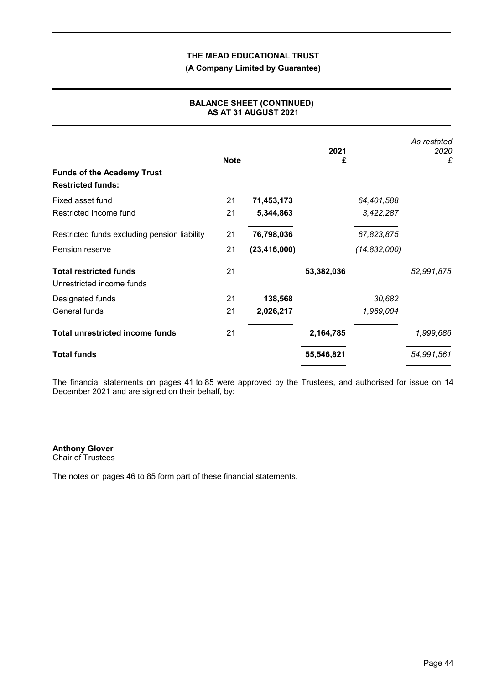# **(A Company Limited by Guarantee)**

| <b>Funds of the Academy Trust</b>                          | <b>Note</b> |                | 2021<br>£  |                | As restated<br>2020<br>£ |
|------------------------------------------------------------|-------------|----------------|------------|----------------|--------------------------|
| <b>Restricted funds:</b>                                   |             |                |            |                |                          |
| Fixed asset fund                                           | 21          | 71,453,173     |            | 64,401,588     |                          |
| Restricted income fund                                     | 21          | 5,344,863      |            | 3,422,287      |                          |
| Restricted funds excluding pension liability               | 21          | 76,798,036     |            | 67,823,875     |                          |
| Pension reserve                                            | 21          | (23, 416, 000) |            | (14, 832, 000) |                          |
| <b>Total restricted funds</b><br>Unrestricted income funds | 21          |                | 53,382,036 |                | 52,991,875               |
| Designated funds                                           | 21          | 138,568        |            | 30,682         |                          |
| General funds                                              | 21          | 2,026,217      |            | 1,969,004      |                          |
| <b>Total unrestricted income funds</b>                     | 21          |                | 2,164,785  |                | 1,999,686                |
| <b>Total funds</b>                                         |             |                | 55,546,821 |                | 54,991,561               |

## **BALANCE SHEET (CONTINUED) AS AT 31 AUGUST 2021**

The financial statements on pages 41 to 85 were approved by the Trustees, and authorised for issue on 14 December 2021 and are signed on their behalf, by:

**Anthony Glover**

Chair of Trustees

The notes on pages 46 to 85 form part of these financial statements.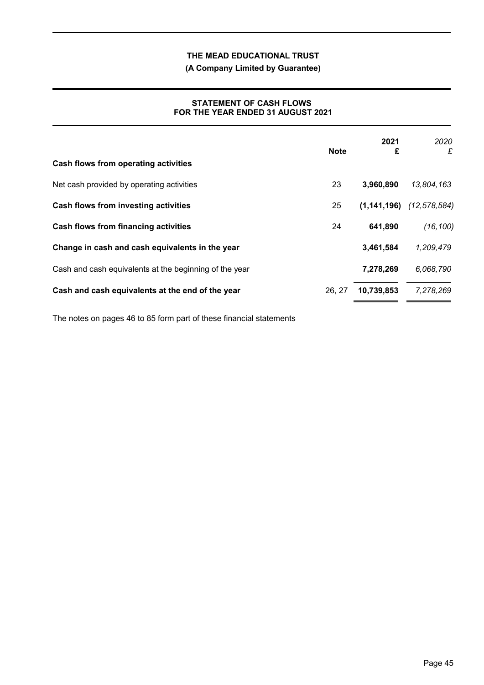**(A Company Limited by Guarantee)**

## **STATEMENT OF CASH FLOWS FOR THE YEAR ENDED 31 AUGUST 2021**

|                                                        | <b>Note</b> | 2021<br>£  | 2020<br>£                    |
|--------------------------------------------------------|-------------|------------|------------------------------|
| Cash flows from operating activities                   |             |            |                              |
| Net cash provided by operating activities              | 23          | 3,960,890  | 13,804,163                   |
| Cash flows from investing activities                   | 25          |            | $(1,141,196)$ $(12,578,584)$ |
| <b>Cash flows from financing activities</b>            | 24          | 641,890    | (16, 100)                    |
| Change in cash and cash equivalents in the year        |             | 3,461,584  | 1,209,479                    |
| Cash and cash equivalents at the beginning of the year |             | 7,278,269  | 6,068,790                    |
| Cash and cash equivalents at the end of the year       | 26, 27      | 10,739,853 | 7,278,269                    |

The notes on pages 46 to 85 form part of these financial statements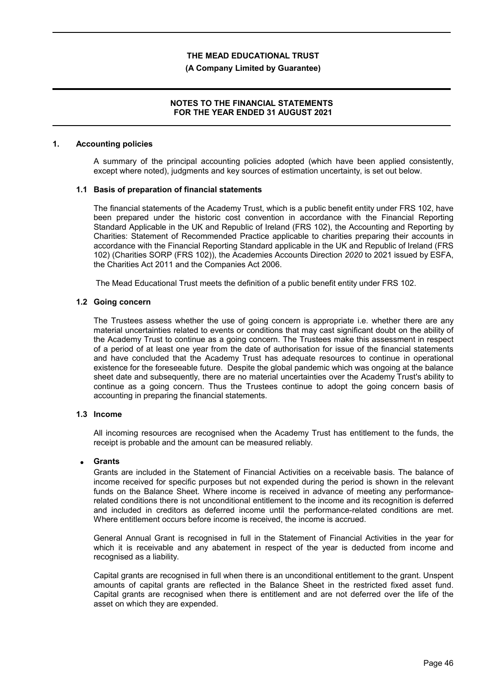### **(A Company Limited by Guarantee)**

## **NOTES TO THE FINANCIAL STATEMENTS FOR THE YEAR ENDED 31 AUGUST 2021**

#### **1. Accounting policies**

A summary of the principal accounting policies adopted (which have been applied consistently, except where noted), judgments and key sources of estimation uncertainty, is set out below.

#### **1.1 Basis of preparation of financial statements**

The financial statements of the Academy Trust, which is a public benefit entity under FRS 102, have been prepared under the historic cost convention in accordance with the Financial Reporting Standard Applicable in the UK and Republic of Ireland (FRS 102), the Accounting and Reporting by Charities: Statement of Recommended Practice applicable to charities preparing their accounts in accordance with the Financial Reporting Standard applicable in the UK and Republic of Ireland (FRS 102) (Charities SORP (FRS 102)), the Academies Accounts Direction *2020* to 2021 issued by ESFA, the Charities Act 2011 and the Companies Act 2006.

The Mead Educational Trust meets the definition of a public benefit entity under FRS 102.

#### **1.2 Going concern**

The Trustees assess whether the use of going concern is appropriate i.e. whether there are any material uncertainties related to events or conditions that may cast significant doubt on the ability of the Academy Trust to continue as a going concern. The Trustees make this assessment in respect of a period of at least one year from the date of authorisation for issue of the financial statements and have concluded that the Academy Trust has adequate resources to continue in operational existence for the foreseeable future. Despite the global pandemic which was ongoing at the balance sheet date and subsequently, there are no material uncertainties over the Academy Trust's ability to continue as a going concern. Thus the Trustees continue to adopt the going concern basis of accounting in preparing the financial statements.

#### **1.3 Income**

All incoming resources are recognised when the Academy Trust has entitlement to the funds, the receipt is probable and the amount can be measured reliably.

#### **Grants**

Grants are included in the Statement of Financial Activities on a receivable basis. The balance of income received for specific purposes but not expended during the period is shown in the relevant funds on the Balance Sheet. Where income is received in advance of meeting any performancerelated conditions there is not unconditional entitlement to the income and its recognition is deferred and included in creditors as deferred income until the performance-related conditions are met. Where entitlement occurs before income is received, the income is accrued.

General Annual Grant is recognised in full in the Statement of Financial Activities in the year for which it is receivable and any abatement in respect of the year is deducted from income and recognised as a liability.

Capital grants are recognised in full when there is an unconditional entitlement to the grant. Unspent amounts of capital grants are reflected in the Balance Sheet in the restricted fixed asset fund. Capital grants are recognised when there is entitlement and are not deferred over the life of the asset on which they are expended.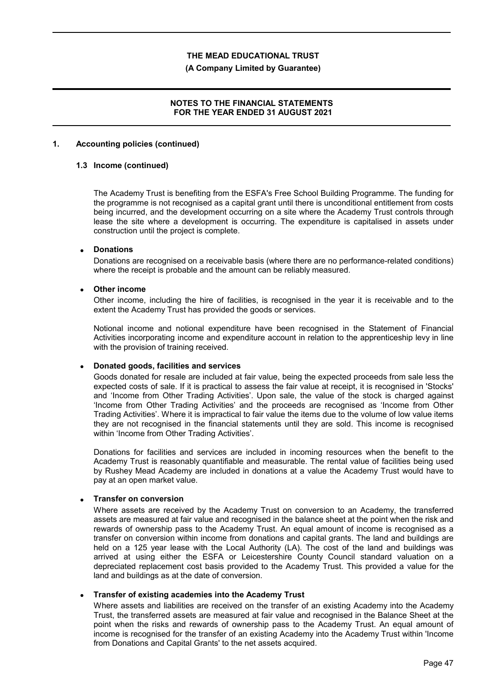### **(A Company Limited by Guarantee)**

## **NOTES TO THE FINANCIAL STATEMENTS FOR THE YEAR ENDED 31 AUGUST 2021**

### **1. Accounting policies (continued)**

## **1.3 Income (continued)**

The Academy Trust is benefiting from the ESFA's Free School Building Programme. The funding for the programme is not recognised as a capital grant until there is unconditional entitlement from costs being incurred, and the development occurring on a site where the Academy Trust controls through lease the site where a development is occurring. The expenditure is capitalised in assets under construction until the project is complete.

## **Donations**

Donations are recognised on a receivable basis (where there are no performance-related conditions) where the receipt is probable and the amount can be reliably measured.

### **Other income**

Other income, including the hire of facilities, is recognised in the year it is receivable and to the extent the Academy Trust has provided the goods or services.

Notional income and notional expenditure have been recognised in the Statement of Financial Activities incorporating income and expenditure account in relation to the apprenticeship levy in line with the provision of training received.

## **Donated goods, facilities and services**

Goods donated for resale are included at fair value, being the expected proceeds from sale less the expected costs of sale. If it is practical to assess the fair value at receipt, it is recognised in 'Stocks' and 'Income from Other Trading Activities'. Upon sale, the value of the stock is charged against 'Income from Other Trading Activities' and the proceeds are recognised as 'Income from Other Trading Activities'. Where it is impractical to fair value the items due to the volume of low value items they are not recognised in the financial statements until they are sold. This income is recognised within 'Income from Other Trading Activities'.

Donations for facilities and services are included in incoming resources when the benefit to the Academy Trust is reasonably quantifiable and measurable. The rental value of facilities being used by Rushey Mead Academy are included in donations at a value the Academy Trust would have to pay at an open market value.

## **Transfer on conversion**

Where assets are received by the Academy Trust on conversion to an Academy, the transferred assets are measured at fair value and recognised in the balance sheet at the point when the risk and rewards of ownership pass to the Academy Trust. An equal amount of income is recognised as a transfer on conversion within income from donations and capital grants. The land and buildings are held on a 125 year lease with the Local Authority (LA). The cost of the land and buildings was arrived at using either the ESFA or Leicestershire County Council standard valuation on a depreciated replacement cost basis provided to the Academy Trust. This provided a value for the land and buildings as at the date of conversion.

#### **Transfer of existing academies into the Academy Trust**

Where assets and liabilities are received on the transfer of an existing Academy into the Academy Trust, the transferred assets are measured at fair value and recognised in the Balance Sheet at the point when the risks and rewards of ownership pass to the Academy Trust. An equal amount of income is recognised for the transfer of an existing Academy into the Academy Trust within 'Income from Donations and Capital Grants' to the net assets acquired.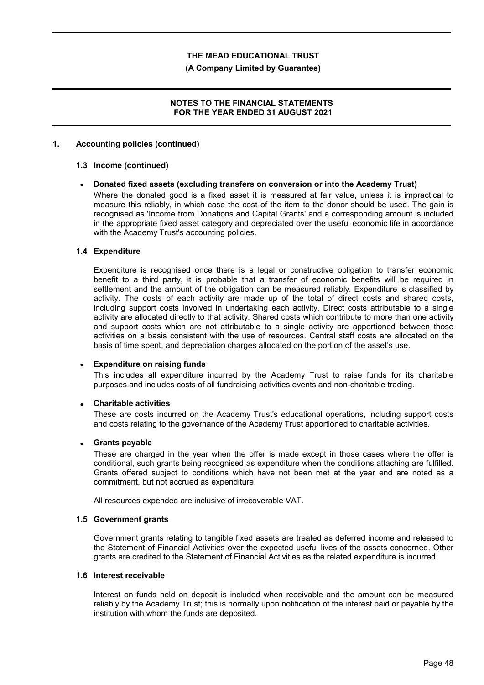### **(A Company Limited by Guarantee)**

## **NOTES TO THE FINANCIAL STATEMENTS FOR THE YEAR ENDED 31 AUGUST 2021**

## **1. Accounting policies (continued)**

#### **1.3 Income (continued)**

## **Donated fixed assets (excluding transfers on conversion or into the Academy Trust)**

Where the donated good is a fixed asset it is measured at fair value, unless it is impractical to measure this reliably, in which case the cost of the item to the donor should be used. The gain is recognised as 'Income from Donations and Capital Grants' and a corresponding amount is included in the appropriate fixed asset category and depreciated over the useful economic life in accordance with the Academy Trust's accounting policies.

## **1.4 Expenditure**

Expenditure is recognised once there is a legal or constructive obligation to transfer economic benefit to a third party, it is probable that a transfer of economic benefits will be required in settlement and the amount of the obligation can be measured reliably. Expenditure is classified by activity. The costs of each activity are made up of the total of direct costs and shared costs, including support costs involved in undertaking each activity. Direct costs attributable to a single activity are allocated directly to that activity. Shared costs which contribute to more than one activity and support costs which are not attributable to a single activity are apportioned between those activities on a basis consistent with the use of resources. Central staff costs are allocated on the basis of time spent, and depreciation charges allocated on the portion of the asset's use.

#### **Expenditure on raising funds**

This includes all expenditure incurred by the Academy Trust to raise funds for its charitable purposes and includes costs of all fundraising activities events and non-charitable trading.

#### **Charitable activities**

These are costs incurred on the Academy Trust's educational operations, including support costs and costs relating to the governance of the Academy Trust apportioned to charitable activities.

#### **Grants payable**

These are charged in the year when the offer is made except in those cases where the offer is conditional, such grants being recognised as expenditure when the conditions attaching are fulfilled. Grants offered subject to conditions which have not been met at the year end are noted as a commitment, but not accrued as expenditure.

All resources expended are inclusive of irrecoverable VAT.

#### **1.5 Government grants**

Government grants relating to tangible fixed assets are treated as deferred income and released to the Statement of Financial Activities over the expected useful lives of the assets concerned. Other grants are credited to the Statement of Financial Activities as the related expenditure is incurred.

#### **1.6 Interest receivable**

Interest on funds held on deposit is included when receivable and the amount can be measured reliably by the Academy Trust; this is normally upon notification of the interest paid or payable by the institution with whom the funds are deposited.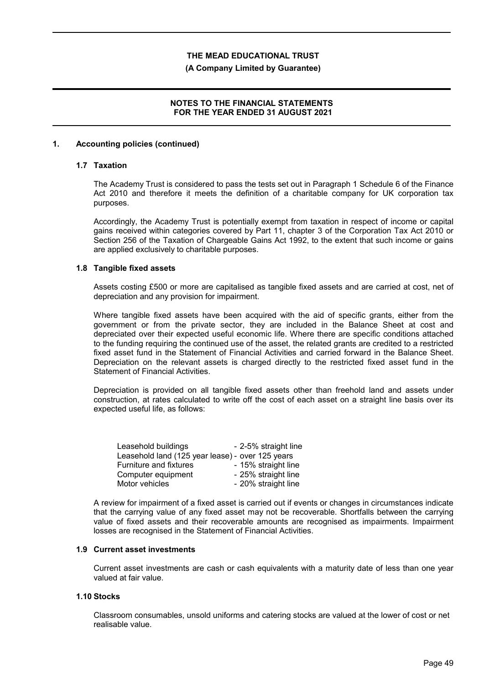### **(A Company Limited by Guarantee)**

## **NOTES TO THE FINANCIAL STATEMENTS FOR THE YEAR ENDED 31 AUGUST 2021**

## **1. Accounting policies (continued)**

# **1.7 Taxation**

The Academy Trust is considered to pass the tests set out in Paragraph 1 Schedule 6 of the Finance Act 2010 and therefore it meets the definition of a charitable company for UK corporation tax purposes.

Accordingly, the Academy Trust is potentially exempt from taxation in respect of income or capital gains received within categories covered by Part 11, chapter 3 of the Corporation Tax Act 2010 or Section 256 of the Taxation of Chargeable Gains Act 1992, to the extent that such income or gains are applied exclusively to charitable purposes.

## **1.8 Tangible fixed assets**

Assets costing £500 or more are capitalised as tangible fixed assets and are carried at cost, net of depreciation and any provision for impairment.

Where tangible fixed assets have been acquired with the aid of specific grants, either from the government or from the private sector, they are included in the Balance Sheet at cost and depreciated over their expected useful economic life. Where there are specific conditions attached to the funding requiring the continued use of the asset, the related grants are credited to a restricted fixed asset fund in the Statement of Financial Activities and carried forward in the Balance Sheet. Depreciation on the relevant assets is charged directly to the restricted fixed asset fund in the Statement of Financial Activities.

Depreciation is provided on all tangible fixed assets other than freehold land and assets under construction, at rates calculated to write off the cost of each asset on a straight line basis over its expected useful life, as follows:

| Leasehold buildings                              | - 2-5% straight line |
|--------------------------------------------------|----------------------|
| Leasehold land (125 year lease) - over 125 years |                      |
| Furniture and fixtures                           | - 15% straight line  |
| Computer equipment                               | - 25% straight line  |
| Motor vehicles                                   | - 20% straight line  |

A review for impairment of a fixed asset is carried out if events or changes in circumstances indicate that the carrying value of any fixed asset may not be recoverable. Shortfalls between the carrying value of fixed assets and their recoverable amounts are recognised as impairments. Impairment losses are recognised in the Statement of Financial Activities.

#### **1.9 Current asset investments**

Current asset investments are cash or cash equivalents with a maturity date of less than one year valued at fair value.

#### **1.10 Stocks**

Classroom consumables, unsold uniforms and catering stocks are valued at the lower of cost or net realisable value.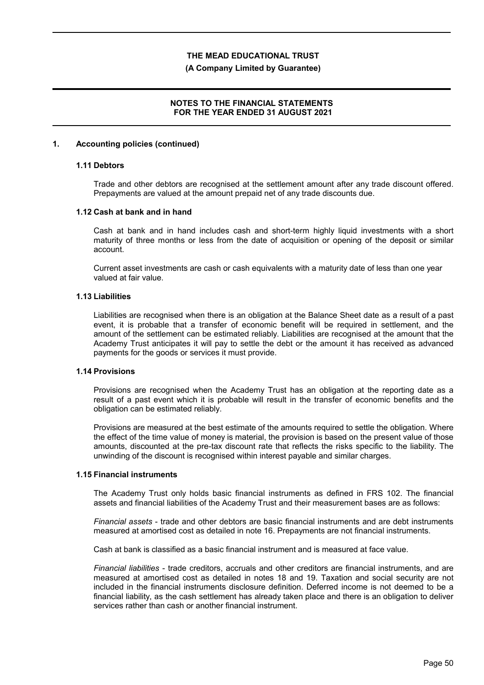### **(A Company Limited by Guarantee)**

## **NOTES TO THE FINANCIAL STATEMENTS FOR THE YEAR ENDED 31 AUGUST 2021**

### **1. Accounting policies (continued)**

# **1.11 Debtors**

Trade and other debtors are recognised at the settlement amount after any trade discount offered. Prepayments are valued at the amount prepaid net of any trade discounts due.

#### **1.12 Cash at bank and in hand**

Cash at bank and in hand includes cash and short-term highly liquid investments with a short maturity of three months or less from the date of acquisition or opening of the deposit or similar account.

Current asset investments are cash or cash equivalents with a maturity date of less than one year valued at fair value.

#### **1.13 Liabilities**

Liabilities are recognised when there is an obligation at the Balance Sheet date as a result of a past event, it is probable that a transfer of economic benefit will be required in settlement, and the amount of the settlement can be estimated reliably. Liabilities are recognised at the amount that the Academy Trust anticipates it will pay to settle the debt or the amount it has received as advanced payments for the goods or services it must provide.

## **1.14 Provisions**

Provisions are recognised when the Academy Trust has an obligation at the reporting date as a result of a past event which it is probable will result in the transfer of economic benefits and the obligation can be estimated reliably.

Provisions are measured at the best estimate of the amounts required to settle the obligation. Where the effect of the time value of money is material, the provision is based on the present value of those amounts, discounted at the pre-tax discount rate that reflects the risks specific to the liability. The unwinding of the discount is recognised within interest payable and similar charges.

#### **1.15 Financial instruments**

The Academy Trust only holds basic financial instruments as defined in FRS 102. The financial assets and financial liabilities of the Academy Trust and their measurement bases are as follows:

*Financial assets* - trade and other debtors are basic financial instruments and are debt instruments measured at amortised cost as detailed in note 16. Prepayments are not financial instruments.

Cash at bank is classified as a basic financial instrument and is measured at face value.

*Financial liabilities* - trade creditors, accruals and other creditors are financial instruments, and are measured at amortised cost as detailed in notes 18 and 19. Taxation and social security are not included in the financial instruments disclosure definition. Deferred income is not deemed to be a financial liability, as the cash settlement has already taken place and there is an obligation to deliver services rather than cash or another financial instrument.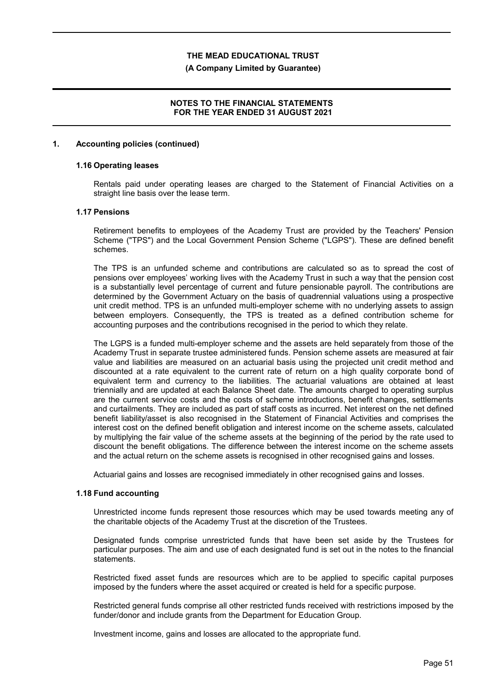### **(A Company Limited by Guarantee)**

## **NOTES TO THE FINANCIAL STATEMENTS FOR THE YEAR ENDED 31 AUGUST 2021**

## **1. Accounting policies (continued)**

### **1.16 Operating leases**

Rentals paid under operating leases are charged to the Statement of Financial Activities on a straight line basis over the lease term.

## **1.17 Pensions**

Retirement benefits to employees of the Academy Trust are provided by the Teachers' Pension Scheme ("TPS") and the Local Government Pension Scheme ("LGPS"). These are defined benefit schemes.

The TPS is an unfunded scheme and contributions are calculated so as to spread the cost of pensions over employees' working lives with the Academy Trust in such a way that the pension cost is a substantially level percentage of current and future pensionable payroll. The contributions are determined by the Government Actuary on the basis of quadrennial valuations using a prospective unit credit method. TPS is an unfunded multi-employer scheme with no underlying assets to assign between employers. Consequently, the TPS is treated as a defined contribution scheme for accounting purposes and the contributions recognised in the period to which they relate.

The LGPS is a funded multi-employer scheme and the assets are held separately from those of the Academy Trust in separate trustee administered funds. Pension scheme assets are measured at fair value and liabilities are measured on an actuarial basis using the projected unit credit method and discounted at a rate equivalent to the current rate of return on a high quality corporate bond of equivalent term and currency to the liabilities. The actuarial valuations are obtained at least triennially and are updated at each Balance Sheet date. The amounts charged to operating surplus are the current service costs and the costs of scheme introductions, benefit changes, settlements and curtailments. They are included as part of staff costs as incurred. Net interest on the net defined benefit liability/asset is also recognised in the Statement of Financial Activities and comprises the interest cost on the defined benefit obligation and interest income on the scheme assets, calculated by multiplying the fair value of the scheme assets at the beginning of the period by the rate used to discount the benefit obligations. The difference between the interest income on the scheme assets and the actual return on the scheme assets is recognised in other recognised gains and losses.

Actuarial gains and losses are recognised immediately in other recognised gains and losses.

### **1.18 Fund accounting**

Unrestricted income funds represent those resources which may be used towards meeting any of the charitable objects of the Academy Trust at the discretion of the Trustees.

Designated funds comprise unrestricted funds that have been set aside by the Trustees for particular purposes. The aim and use of each designated fund is set out in the notes to the financial statements.

Restricted fixed asset funds are resources which are to be applied to specific capital purposes imposed by the funders where the asset acquired or created is held for a specific purpose.

Restricted general funds comprise all other restricted funds received with restrictions imposed by the funder/donor and include grants from the Department for Education Group.

Investment income, gains and losses are allocated to the appropriate fund.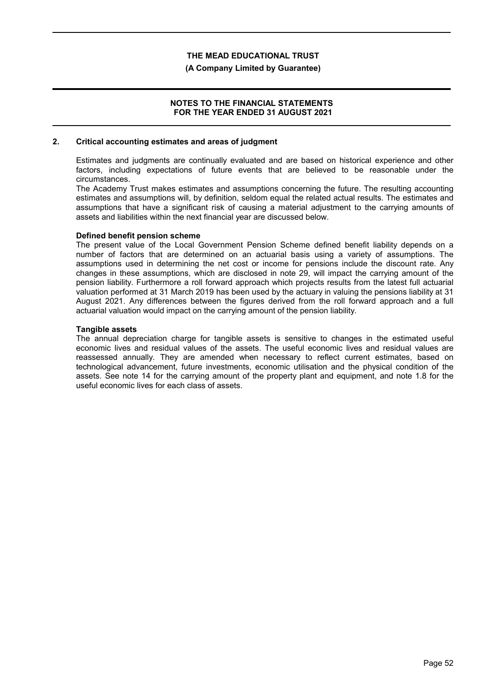### **(A Company Limited by Guarantee)**

## **NOTES TO THE FINANCIAL STATEMENTS FOR THE YEAR ENDED 31 AUGUST 2021**

### **2. Critical accounting estimates and areas of judgment**

Estimates and judgments are continually evaluated and are based on historical experience and other factors, including expectations of future events that are believed to be reasonable under the circumstances.

The Academy Trust makes estimates and assumptions concerning the future. The resulting accounting estimates and assumptions will, by definition, seldom equal the related actual results. The estimates and assumptions that have a significant risk of causing a material adjustment to the carrying amounts of assets and liabilities within the next financial year are discussed below.

## **Defined benefit pension scheme**

The present value of the Local Government Pension Scheme defined benefit liability depends on a number of factors that are determined on an actuarial basis using a variety of assumptions. The assumptions used in determining the net cost or income for pensions include the discount rate. Any changes in these assumptions, which are disclosed in note 29, will impact the carrying amount of the pension liability. Furthermore a roll forward approach which projects results from the latest full actuarial valuation performed at 31 March 2019 has been used by the actuary in valuing the pensions liability at 31 August 2021. Any differences between the figures derived from the roll forward approach and a full actuarial valuation would impact on the carrying amount of the pension liability.

## **Tangible assets**

The annual depreciation charge for tangible assets is sensitive to changes in the estimated useful economic lives and residual values of the assets. The useful economic lives and residual values are reassessed annually. They are amended when necessary to reflect current estimates, based on technological advancement, future investments, economic utilisation and the physical condition of the assets. See note 14 for the carrying amount of the property plant and equipment, and note 1.8 for the useful economic lives for each class of assets.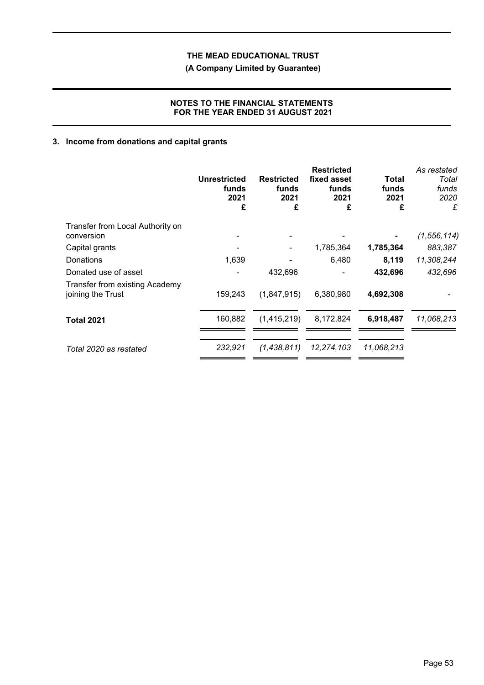# **(A Company Limited by Guarantee)**

# **NOTES TO THE FINANCIAL STATEMENTS FOR THE YEAR ENDED 31 AUGUST 2021**

# **3. Income from donations and capital grants**

|                                                     | Unrestricted<br>funds<br>2021<br>£ | <b>Restricted</b><br>funds<br>2021<br>£ | <b>Restricted</b><br>fixed asset<br>funds<br>2021<br>£ | Total<br>funds<br>2021<br>£ | As restated<br>Total<br>funds<br>2020<br>£ |
|-----------------------------------------------------|------------------------------------|-----------------------------------------|--------------------------------------------------------|-----------------------------|--------------------------------------------|
| Transfer from Local Authority on                    |                                    |                                         |                                                        |                             |                                            |
| conversion                                          |                                    |                                         |                                                        |                             | (1, 556, 114)                              |
| Capital grants                                      |                                    |                                         | 1,785,364                                              | 1,785,364                   | 883,387                                    |
| Donations                                           | 1,639                              |                                         | 6,480                                                  | 8,119                       | 11,308,244                                 |
| Donated use of asset                                |                                    | 432,696                                 |                                                        | 432,696                     | 432,696                                    |
| Transfer from existing Academy<br>joining the Trust | 159,243                            | (1,847,915)                             | 6,380,980                                              | 4,692,308                   |                                            |
| <b>Total 2021</b>                                   | 160,882                            | (1,415,219)                             | 8,172,824                                              | 6,918,487                   | 11,068,213                                 |
| Total 2020 as restated                              | 232,921                            | (1,438,811)                             | 12,274,103                                             | 11,068,213                  |                                            |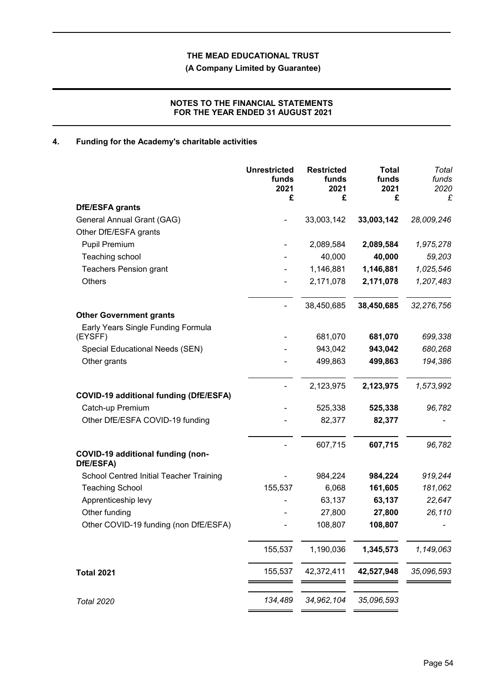**(A Company Limited by Guarantee)**

# **NOTES TO THE FINANCIAL STATEMENTS FOR THE YEAR ENDED 31 AUGUST 2021**

# **4. Funding for the Academy's charitable activities**

|                                                | <b>Unrestricted</b><br>funds<br>2021<br>£ | <b>Restricted</b><br>funds<br>2021<br>£ | <b>Total</b><br>funds<br>2021<br>£ | Total<br>funds<br>2020<br>£ |
|------------------------------------------------|-------------------------------------------|-----------------------------------------|------------------------------------|-----------------------------|
| DfE/ESFA grants                                |                                           |                                         |                                    |                             |
| General Annual Grant (GAG)                     |                                           | 33,003,142                              | 33,003,142                         | 28,009,246                  |
| Other DfE/ESFA grants                          |                                           |                                         |                                    |                             |
| <b>Pupil Premium</b>                           |                                           | 2,089,584                               | 2,089,584                          | 1,975,278                   |
| Teaching school                                |                                           | 40,000                                  | 40,000                             | 59,203                      |
| <b>Teachers Pension grant</b>                  |                                           | 1,146,881                               | 1,146,881                          | 1,025,546                   |
| Others                                         |                                           | 2,171,078                               | 2,171,078                          | 1,207,483                   |
|                                                |                                           | 38,450,685                              | 38,450,685                         | 32,276,756                  |
| <b>Other Government grants</b>                 |                                           |                                         |                                    |                             |
| Early Years Single Funding Formula<br>(EYSFF)  |                                           | 681,070                                 | 681,070                            | 699,338                     |
| Special Educational Needs (SEN)                |                                           | 943,042                                 | 943,042                            | 680,268                     |
| Other grants                                   |                                           | 499,863                                 | 499,863                            | 194,386                     |
|                                                |                                           | 2,123,975                               | 2,123,975                          | 1,573,992                   |
| <b>COVID-19 additional funding (DfE/ESFA)</b>  |                                           |                                         |                                    |                             |
| Catch-up Premium                               |                                           | 525,338                                 | 525,338                            | 96,782                      |
| Other DfE/ESFA COVID-19 funding                |                                           | 82,377                                  | 82,377                             |                             |
|                                                |                                           | 607,715                                 | 607,715                            | 96,782                      |
| COVID-19 additional funding (non-<br>DfE/ESFA) |                                           |                                         |                                    |                             |
| School Centred Initial Teacher Training        |                                           | 984,224                                 | 984,224                            | 919,244                     |
| <b>Teaching School</b>                         | 155,537                                   | 6,068                                   | 161,605                            | 181,062                     |
| Apprenticeship levy                            |                                           | 63,137                                  | 63,137                             | 22,647                      |
| Other funding                                  |                                           | 27,800                                  | 27,800                             | 26,110                      |
| Other COVID-19 funding (non DfE/ESFA)          |                                           | 108,807                                 | 108,807                            | $\overline{\phantom{a}}$    |
|                                                | 155,537                                   | 1,190,036                               | 1,345,573                          | 1,149,063                   |
| <b>Total 2021</b>                              | 155,537                                   | 42,372,411                              | 42,527,948                         | 35,096,593                  |
| <b>Total 2020</b>                              | 134,489                                   | 34,962,104                              | 35,096,593                         |                             |
|                                                |                                           |                                         |                                    |                             |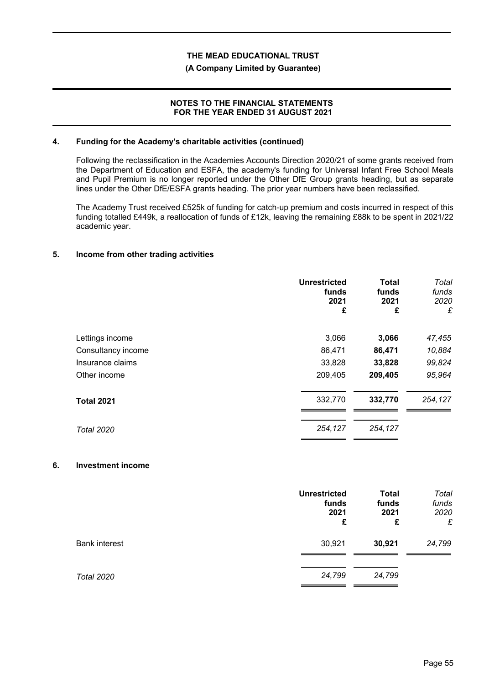### **(A Company Limited by Guarantee)**

## **NOTES TO THE FINANCIAL STATEMENTS FOR THE YEAR ENDED 31 AUGUST 2021**

## **4. Funding for the Academy's charitable activities (continued)**

Following the reclassification in the Academies Accounts Direction 2020/21 of some grants received from the Department of Education and ESFA, the academy's funding for Universal Infant Free School Meals and Pupil Premium is no longer reported under the Other DfE Group grants heading, but as separate lines under the Other DfE/ESFA grants heading. The prior year numbers have been reclassified.

The Academy Trust received £525k of funding for catch-up premium and costs incurred in respect of this funding totalled £449k, a reallocation of funds of £12k, leaving the remaining £88k to be spent in 2021/22 academic year.

# **5. Income from other trading activities**

|                    | <b>Unrestricted</b><br>funds<br>2021<br>£ | <b>Total</b><br>funds<br>2021<br>£ | Total<br>funds<br>2020<br>£ |
|--------------------|-------------------------------------------|------------------------------------|-----------------------------|
| Lettings income    | 3,066                                     | 3,066                              | 47,455                      |
| Consultancy income | 86,471                                    | 86,471                             | 10,884                      |
| Insurance claims   | 33,828                                    | 33,828                             | 99,824                      |
| Other income       | 209,405                                   | 209,405                            | 95,964                      |
| <b>Total 2021</b>  | 332,770                                   | 332,770                            | 254,127                     |
| <b>Total 2020</b>  | 254,127                                   | 254,127                            |                             |

#### **6. Investment income**

|                      | <b>Unrestricted</b><br>funds<br>2021<br>£ | <b>Total</b><br>funds<br>2021<br>£ | Total<br>funds<br>2020<br>£ |
|----------------------|-------------------------------------------|------------------------------------|-----------------------------|
| <b>Bank interest</b> | 30,921                                    | 30,921                             | 24,799                      |
| <b>Total 2020</b>    | 24,799                                    | 24,799                             |                             |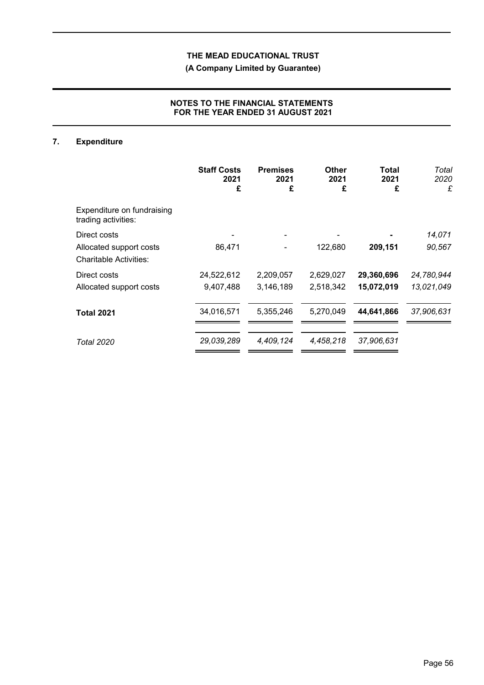**(A Company Limited by Guarantee)**

# **NOTES TO THE FINANCIAL STATEMENTS FOR THE YEAR ENDED 31 AUGUST 2021**

# **7. Expenditure**

|                                                          | <b>Staff Costs</b><br>2021<br>£ | <b>Premises</b><br>2021<br>£ | Other<br>2021<br>£ | Total<br>2021<br>£ | Total<br>2020<br>£ |
|----------------------------------------------------------|---------------------------------|------------------------------|--------------------|--------------------|--------------------|
| Expenditure on fundraising<br>trading activities:        |                                 |                              |                    |                    |                    |
| Direct costs                                             |                                 |                              |                    |                    | 14,071             |
| Allocated support costs<br><b>Charitable Activities:</b> | 86,471                          |                              | 122,680            | 209,151            | 90,567             |
| Direct costs                                             | 24,522,612                      | 2,209,057                    | 2,629,027          | 29,360,696         | 24,780,944         |
| Allocated support costs                                  | 9,407,488                       | 3,146,189                    | 2,518,342          | 15,072,019         | 13,021,049         |
| <b>Total 2021</b>                                        | 34,016,571                      | 5,355,246                    | 5,270,049          | 44,641,866         | 37,906,631         |
| <b>Total 2020</b>                                        | 29,039,289                      | 4,409,124                    | 4,458,218          | 37,906,631         |                    |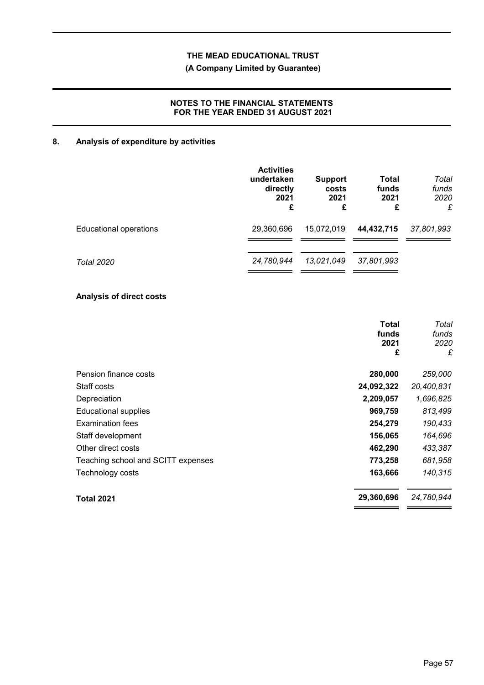# **(A Company Limited by Guarantee)**

# **NOTES TO THE FINANCIAL STATEMENTS FOR THE YEAR ENDED 31 AUGUST 2021**

# **8. Analysis of expenditure by activities**

|                               | <b>Activities</b><br>undertaken<br>directly<br>2021<br>£ | <b>Support</b><br>costs<br>2021<br>£ | Total<br>funds<br>2021<br>£ | Total<br>funds<br>2020<br>£ |
|-------------------------------|----------------------------------------------------------|--------------------------------------|-----------------------------|-----------------------------|
| <b>Educational operations</b> | 29,360,696                                               | 15,072,019                           | 44,432,715                  | 37,801,993                  |
| Total 2020                    | 24,780,944                                               | 13,021,049                           | 37,801,993                  |                             |

# **Analysis of direct costs**

|                                    | Total<br>funds<br>2021<br>£ | Total<br>funds<br>2020<br>£ |
|------------------------------------|-----------------------------|-----------------------------|
| Pension finance costs              | 280,000                     | 259,000                     |
| Staff costs                        | 24,092,322                  | 20,400,831                  |
| Depreciation                       | 2,209,057                   | 1,696,825                   |
| <b>Educational supplies</b>        | 969,759                     | 813,499                     |
| <b>Examination fees</b>            | 254,279                     | 190,433                     |
| Staff development                  | 156,065                     | 164,696                     |
| Other direct costs                 | 462,290                     | 433,387                     |
| Teaching school and SCITT expenses | 773,258                     | 681,958                     |
| Technology costs                   | 163,666                     | 140,315                     |
| <b>Total 2021</b>                  | 29,360,696                  | 24,780,944                  |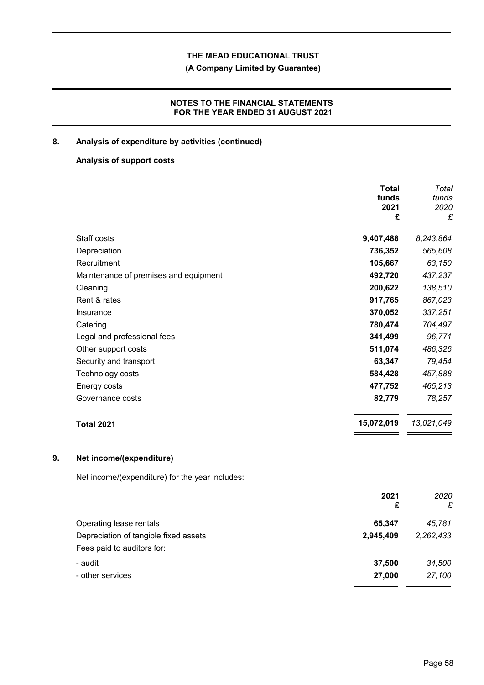**(A Company Limited by Guarantee)**

# **NOTES TO THE FINANCIAL STATEMENTS FOR THE YEAR ENDED 31 AUGUST 2021**

# **8. Analysis of expenditure by activities (continued)**

## **Analysis of support costs**

|                                                 | <b>Total</b> | Total                   |
|-------------------------------------------------|--------------|-------------------------|
|                                                 |              | funds                   |
|                                                 |              | 2020<br>£               |
|                                                 |              |                         |
| Staff costs                                     | 9,407,488    | 8,243,864               |
| Depreciation                                    | 736,352      | 565,608                 |
| Recruitment                                     | 105,667      | 63,150                  |
| Maintenance of premises and equipment           | 492,720      | 437,237                 |
| Cleaning                                        | 200,622      | 138,510                 |
| Rent & rates                                    | 917,765      | 867,023                 |
| Insurance                                       | 370,052      | 337,251                 |
| Catering                                        | 780,474      | 704,497                 |
| Legal and professional fees                     | 341,499      | 96,771                  |
| Other support costs                             | 511,074      | 486,326                 |
| Security and transport                          | 63,347       | 79,454                  |
| Technology costs                                | 584,428      | 457,888                 |
| Energy costs                                    | 477,752      | 465,213                 |
| Governance costs                                | 82,779       | 78,257                  |
| <b>Total 2021</b>                               | 15,072,019   | 13,021,049              |
| Net income/(expenditure)                        |              |                         |
| Net income/(expenditure) for the year includes: |              |                         |
|                                                 | 2021         | 2020                    |
|                                                 |              | £                       |
| Operating lease rentals                         | 65,347       | 45,781                  |
| Depreciation of tangible fixed assets           | 2,945,409    | 2,262,433               |
| Fees paid to auditors for:                      |              |                         |
| - audit                                         | 37,500       | 34,500                  |
| - other services                                | 27,000       | 27,100                  |
|                                                 |              | funds<br>2021<br>£<br>£ |

- -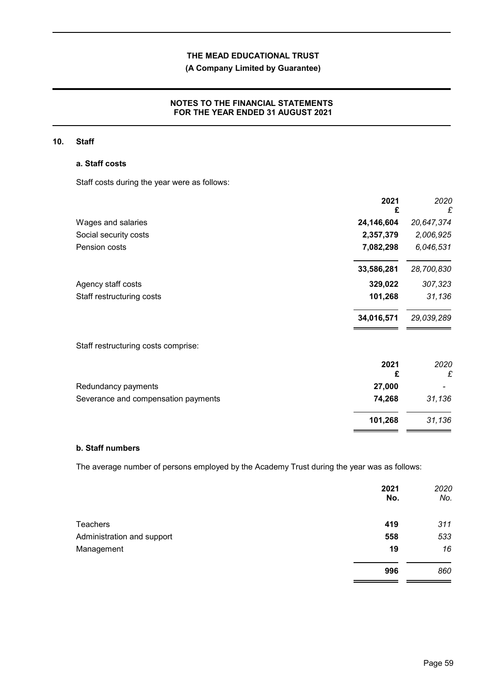# **(A Company Limited by Guarantee)**

# **NOTES TO THE FINANCIAL STATEMENTS FOR THE YEAR ENDED 31 AUGUST 2021**

## **10. Staff**

## **a. Staff costs**

Staff costs during the year were as follows:

| 24,146,604<br>Wages and salaries              | 20,647,374 |
|-----------------------------------------------|------------|
|                                               |            |
| 2,357,379<br>Social security costs            | 2,006,925  |
| Pension costs<br>7,082,298                    | 6,046,531  |
| 33,586,281                                    | 28,700,830 |
| 329,022<br>Agency staff costs                 | 307,323    |
| 101,268<br>Staff restructuring costs          | 31,136     |
| 34,016,571                                    | 29,039,289 |
| Staff restructuring costs comprise:           |            |
| 2021                                          | 2020       |
| £                                             | £          |
| 27,000<br>Redundancy payments                 |            |
| Severance and compensation payments<br>74,268 | 31,136     |
| 101,268                                       | 31,136     |

## **b. Staff numbers**

The average number of persons employed by the Academy Trust during the year was as follows:

|                            | 2021<br>No. | 2020<br>No. |
|----------------------------|-------------|-------------|
| Teachers                   | 419         | 311         |
| Administration and support | 558         | 533         |
| Management                 | 19          | 16          |
|                            | 996         | 860         |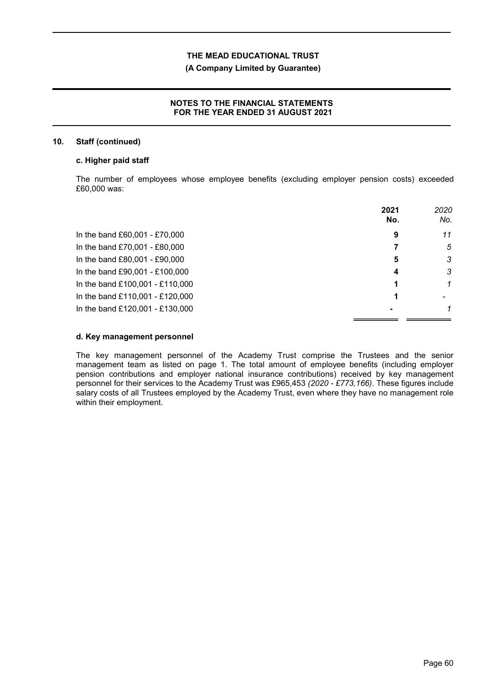## **(A Company Limited by Guarantee)**

## **NOTES TO THE FINANCIAL STATEMENTS FOR THE YEAR ENDED 31 AUGUST 2021**

### **10. Staff (continued)**

## **c. Higher paid staff**

The number of employees whose employee benefits (excluding employer pension costs) exceeded £60,000 was:

|                                 | 2021<br>No. | 2020<br>No. |
|---------------------------------|-------------|-------------|
| In the band £60,001 - £70,000   | 9           | 11          |
| In the band £70,001 - £80,000   |             | 5           |
| In the band £80,001 - £90,000   | 5           | 3           |
| In the band £90,001 - £100,000  | 4           | 3           |
| In the band £100,001 - £110,000 |             | 1           |
| In the band £110,001 - £120,000 |             |             |
| In the band £120,001 - £130,000 |             |             |

## **d. Key management personnel**

The key management personnel of the Academy Trust comprise the Trustees and the senior management team as listed on page 1. The total amount of employee benefits (including employer pension contributions and employer national insurance contributions) received by key management personnel for their services to the Academy Trust was £965,453 *(2020 - £773,166)*. These figures include salary costs of all Trustees employed by the Academy Trust, even where they have no management role within their employment.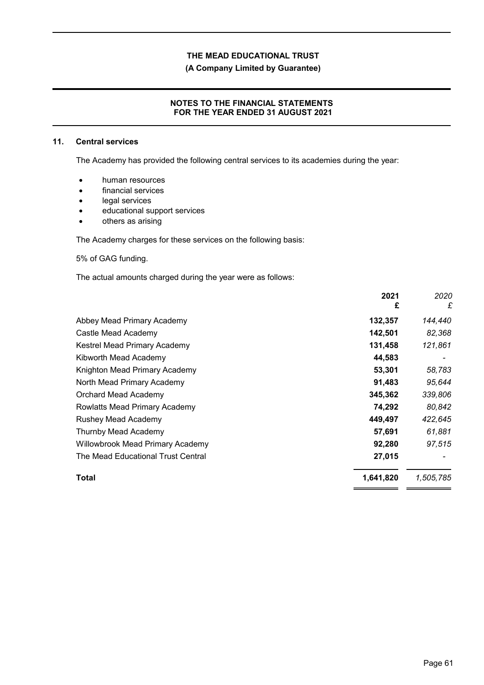**(A Company Limited by Guarantee)**

## **NOTES TO THE FINANCIAL STATEMENTS FOR THE YEAR ENDED 31 AUGUST 2021**

## **11. Central services**

The Academy has provided the following central services to its academies during the year:

- human resources
- financial services
- legal services
- educational support services
- others as arising

The Academy charges for these services on the following basis:

5% of GAG funding.

The actual amounts charged during the year were as follows:

|                                         | 2021<br>£ | 2020<br>£ |
|-----------------------------------------|-----------|-----------|
| Abbey Mead Primary Academy              | 132,357   | 144,440   |
| Castle Mead Academy                     | 142,501   | 82,368    |
| Kestrel Mead Primary Academy            | 131,458   | 121,861   |
| Kibworth Mead Academy                   | 44,583    |           |
| Knighton Mead Primary Academy           | 53,301    | 58,783    |
| North Mead Primary Academy              | 91,483    | 95,644    |
| Orchard Mead Academy                    | 345,362   | 339,806   |
| Rowlatts Mead Primary Academy           | 74,292    | 80,842    |
| <b>Rushey Mead Academy</b>              | 449,497   | 422,645   |
| Thurnby Mead Academy                    | 57,691    | 61,881    |
| <b>Willowbrook Mead Primary Academy</b> | 92,280    | 97,515    |
| The Mead Educational Trust Central      | 27,015    |           |
| Total                                   | 1,641,820 | 1,505,785 |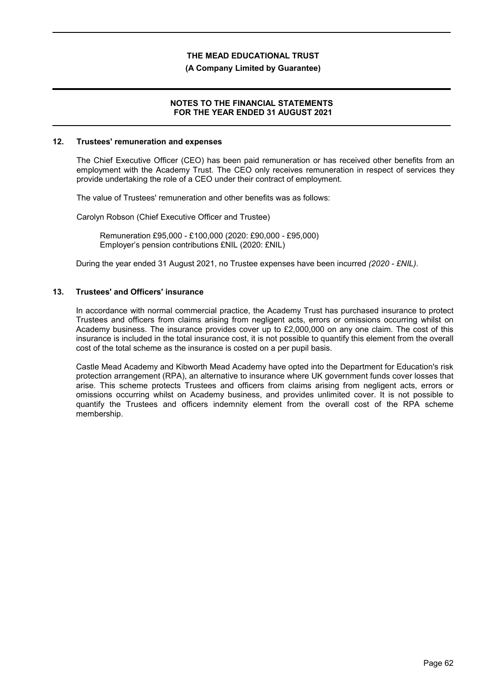### **(A Company Limited by Guarantee)**

## **NOTES TO THE FINANCIAL STATEMENTS FOR THE YEAR ENDED 31 AUGUST 2021**

#### **12. Trustees' remuneration and expenses**

The Chief Executive Officer (CEO) has been paid remuneration or has received other benefits from an employment with the Academy Trust. The CEO only receives remuneration in respect of services they provide undertaking the role of a CEO under their contract of employment.

The value of Trustees' remuneration and other benefits was as follows:

Carolyn Robson (Chief Executive Officer and Trustee)

Remuneration £95,000 - £100,000 (2020: £90,000 - £95,000) Employer's pension contributions £NIL (2020: £NIL)

During the year ended 31 August 2021, no Trustee expenses have been incurred *(2020 - £NIL)*.

## **13. Trustees' and Officers' insurance**

In accordance with normal commercial practice, the Academy Trust has purchased insurance to protect Trustees and officers from claims arising from negligent acts, errors or omissions occurring whilst on Academy business. The insurance provides cover up to £2,000,000 on any one claim. The cost of this insurance is included in the total insurance cost, it is not possible to quantify this element from the overall cost of the total scheme as the insurance is costed on a per pupil basis.

Castle Mead Academy and Kibworth Mead Academy have opted into the Department for Education's risk protection arrangement (RPA), an alternative to insurance where UK government funds cover losses that arise. This scheme protects Trustees and officers from claims arising from negligent acts, errors or omissions occurring whilst on Academy business, and provides unlimited cover. It is not possible to quantify the Trustees and officers indemnity element from the overall cost of the RPA scheme membership.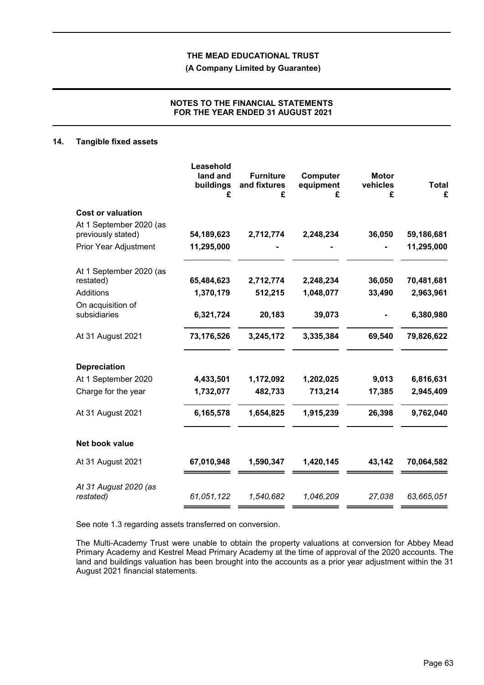**(A Company Limited by Guarantee)**

## **NOTES TO THE FINANCIAL STATEMENTS FOR THE YEAR ENDED 31 AUGUST 2021**

#### **14. Tangible fixed assets**

|                                               | Leasehold<br>land and<br>buildings<br>£ | <b>Furniture</b><br>and fixtures<br>£ | Computer<br>equipment<br>£ | <b>Motor</b><br>vehicles<br>£ | <b>Total</b><br>£ |
|-----------------------------------------------|-----------------------------------------|---------------------------------------|----------------------------|-------------------------------|-------------------|
| <b>Cost or valuation</b>                      |                                         |                                       |                            |                               |                   |
| At 1 September 2020 (as<br>previously stated) | 54,189,623                              | 2,712,774                             | 2,248,234                  | 36,050                        | 59,186,681        |
| <b>Prior Year Adjustment</b>                  | 11,295,000                              |                                       |                            |                               | 11,295,000        |
| At 1 September 2020 (as                       |                                         |                                       |                            |                               |                   |
| restated)                                     | 65,484,623                              | 2,712,774                             | 2,248,234                  | 36,050                        | 70,481,681        |
| <b>Additions</b>                              | 1,370,179                               | 512,215                               | 1,048,077                  | 33,490                        | 2,963,961         |
| On acquisition of<br>subsidiaries             | 6,321,724                               | 20,183                                | 39,073                     |                               | 6,380,980         |
| At 31 August 2021                             | 73,176,526                              | 3,245,172                             | 3,335,384                  | 69,540                        | 79,826,622        |
| <b>Depreciation</b>                           |                                         |                                       |                            |                               |                   |
| At 1 September 2020                           | 4,433,501                               | 1,172,092                             | 1,202,025                  | 9,013                         | 6,816,631         |
| Charge for the year                           | 1,732,077                               | 482,733                               | 713,214                    | 17,385                        | 2,945,409         |
| At 31 August 2021                             | 6,165,578                               | 1,654,825                             | 1,915,239                  | 26,398                        | 9,762,040         |
| Net book value                                |                                         |                                       |                            |                               |                   |
| At 31 August 2021                             | 67,010,948                              | 1,590,347                             | 1,420,145                  | 43,142                        | 70,064,582        |
| At 31 August 2020 (as<br>restated)            | 61,051,122                              | 1,540,682                             | 1,046,209                  | 27,038                        | 63,665,051        |

See note 1.3 regarding assets transferred on conversion.

The Multi-Academy Trust were unable to obtain the property valuations at conversion for Abbey Mead Primary Academy and Kestrel Mead Primary Academy at the time of approval of the 2020 accounts. The land and buildings valuation has been brought into the accounts as a prior year adjustment within the 31 August 2021 financial statements.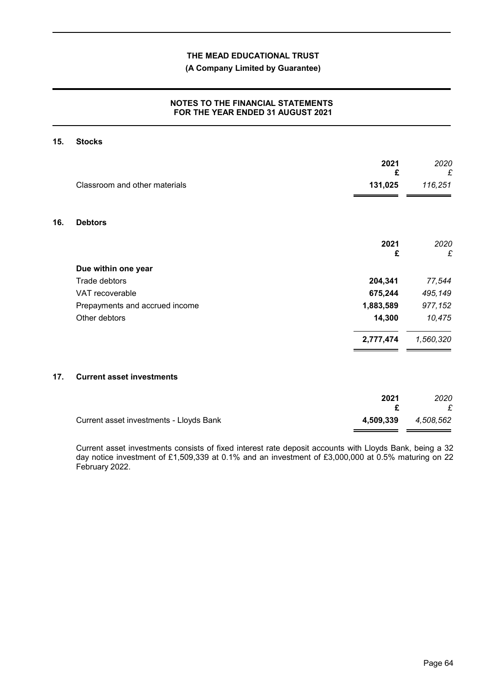# **(A Company Limited by Guarantee)**

## **NOTES TO THE FINANCIAL STATEMENTS FOR THE YEAR ENDED 31 AUGUST 2021**

#### **15. Stocks**

|     |                                         | 2021<br>£ | 2020<br>£ |
|-----|-----------------------------------------|-----------|-----------|
|     | Classroom and other materials           | 131,025   | 116,251   |
| 16. | <b>Debtors</b>                          |           |           |
|     |                                         | 2021<br>£ | 2020<br>£ |
|     | Due within one year                     |           |           |
|     | Trade debtors                           | 204,341   | 77,544    |
|     | VAT recoverable                         | 675,244   | 495,149   |
|     | Prepayments and accrued income          | 1,883,589 | 977,152   |
|     | Other debtors                           | 14,300    | 10,475    |
|     |                                         | 2,777,474 | 1,560,320 |
| 17. | <b>Current asset investments</b>        |           |           |
|     |                                         | 2021<br>£ | 2020<br>£ |
|     | Current asset investments - Lloyds Bank | 4,509,339 | 4,508,562 |

Current asset investments consists of fixed interest rate deposit accounts with Lloyds Bank, being a 32 day notice investment of £1,509,339 at 0.1% and an investment of £3,000,000 at 0.5% maturing on 22 February 2022.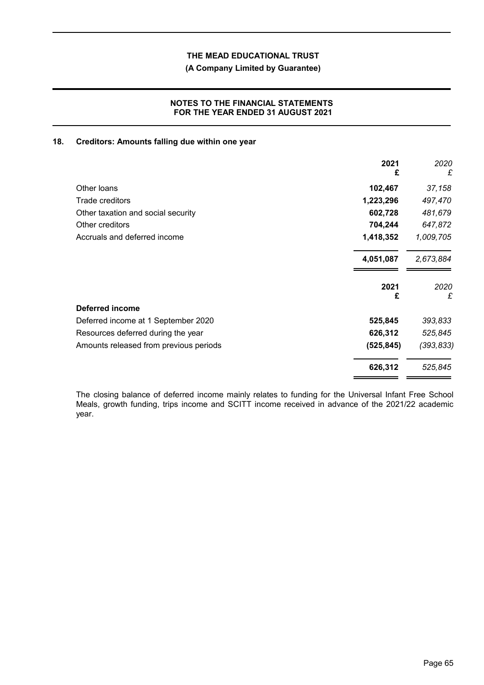# **(A Company Limited by Guarantee)**

## **NOTES TO THE FINANCIAL STATEMENTS FOR THE YEAR ENDED 31 AUGUST 2021**

## **18. Creditors: Amounts falling due within one year**

|                                        | 2021<br>£  | 2020<br>£  |
|----------------------------------------|------------|------------|
| Other loans                            | 102,467    | 37,158     |
| Trade creditors                        | 1,223,296  | 497,470    |
| Other taxation and social security     | 602,728    | 481,679    |
| Other creditors                        | 704,244    | 647,872    |
| Accruals and deferred income           | 1,418,352  | 1,009,705  |
|                                        | 4,051,087  | 2,673,884  |
|                                        | 2021<br>£  | 2020<br>£  |
| Deferred income                        |            |            |
| Deferred income at 1 September 2020    | 525,845    | 393,833    |
| Resources deferred during the year     | 626,312    | 525,845    |
| Amounts released from previous periods | (525, 845) | (393, 833) |
|                                        | 626,312    | 525,845    |

The closing balance of deferred income mainly relates to funding for the Universal Infant Free School Meals, growth funding, trips income and SCITT income received in advance of the 2021/22 academic year.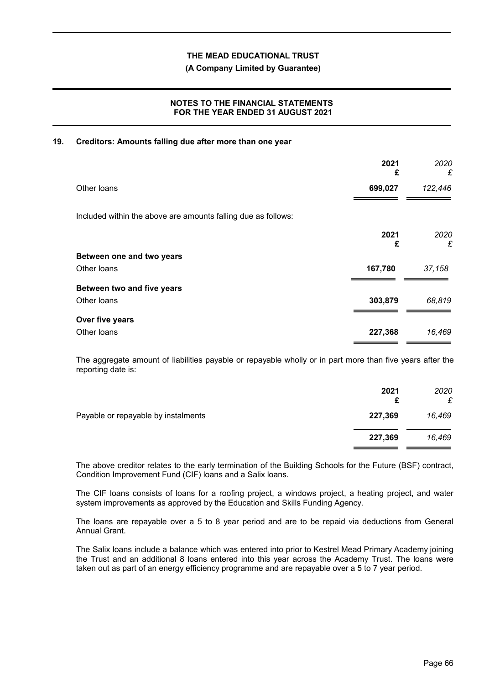### **(A Company Limited by Guarantee)**

## **NOTES TO THE FINANCIAL STATEMENTS FOR THE YEAR ENDED 31 AUGUST 2021**

## **19. Creditors: Amounts falling due after more than one year**

|                                                               | 2021<br>£ | 2020<br>£ |
|---------------------------------------------------------------|-----------|-----------|
| Other loans                                                   | 699,027   | 122,446   |
| Included within the above are amounts falling due as follows: |           |           |
|                                                               | 2021<br>£ | 2020<br>£ |
| Between one and two years                                     |           |           |
| Other loans                                                   | 167,780   | 37,158    |
| Between two and five years                                    |           |           |
| Other loans                                                   | 303,879   | 68,819    |
| Over five years                                               |           |           |
| Other loans                                                   | 227,368   | 16,469    |

The aggregate amount of liabilities payable or repayable wholly or in part more than five years after the reporting date is:

|                                     | 2021    | 2020<br>£ |
|-------------------------------------|---------|-----------|
| Payable or repayable by instalments | 227,369 | 16,469    |
|                                     | 227,369 | 16,469    |

The above creditor relates to the early termination of the Building Schools for the Future (BSF) contract, Condition Improvement Fund (CIF) loans and a Salix loans.

The CIF loans consists of loans for a roofing project, a windows project, a heating project, and water system improvements as approved by the Education and Skills Funding Agency.

The loans are repayable over a 5 to 8 year period and are to be repaid via deductions from General Annual Grant.

The Salix loans include a balance which was entered into prior to Kestrel Mead Primary Academy joining the Trust and an additional 8 loans entered into this year across the Academy Trust. The loans were taken out as part of an energy efficiency programme and are repayable over a 5 to 7 year period.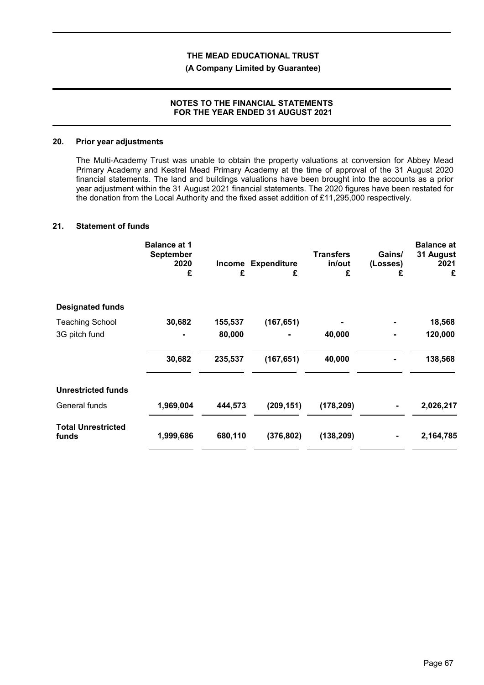### **(A Company Limited by Guarantee)**

## **NOTES TO THE FINANCIAL STATEMENTS FOR THE YEAR ENDED 31 AUGUST 2021**

## **20. Prior year adjustments**

The Multi-Academy Trust was unable to obtain the property valuations at conversion for Abbey Mead Primary Academy and Kestrel Mead Primary Academy at the time of approval of the 31 August 2020 financial statements. The land and buildings valuations have been brought into the accounts as a prior year adjustment within the 31 August 2021 financial statements. The 2020 figures have been restated for the donation from the Local Authority and the fixed asset addition of £11,295,000 respectively.

#### **21. Statement of funds**

|                                    | <b>Balance at 1</b><br><b>September</b><br>2020<br>£ | £       | Income Expenditure<br>£ | <b>Transfers</b><br>in/out<br>£ | Gains/<br>(Losses)<br>£ | <b>Balance at</b><br>31 August<br>2021<br>£ |
|------------------------------------|------------------------------------------------------|---------|-------------------------|---------------------------------|-------------------------|---------------------------------------------|
| <b>Designated funds</b>            |                                                      |         |                         |                                 |                         |                                             |
| <b>Teaching School</b>             | 30,682                                               | 155,537 | (167, 651)              |                                 |                         | 18,568                                      |
| 3G pitch fund                      |                                                      | 80,000  |                         | 40,000                          | $\blacksquare$          | 120,000                                     |
|                                    | 30,682                                               | 235,537 | (167, 651)              | 40,000                          |                         | 138,568                                     |
| <b>Unrestricted funds</b>          |                                                      |         |                         |                                 |                         |                                             |
| General funds                      | 1,969,004                                            | 444,573 | (209, 151)              | (178, 209)                      |                         | 2,026,217                                   |
| <b>Total Unrestricted</b><br>funds | 1,999,686                                            | 680,110 | (376, 802)              | (138, 209)                      |                         | 2,164,785                                   |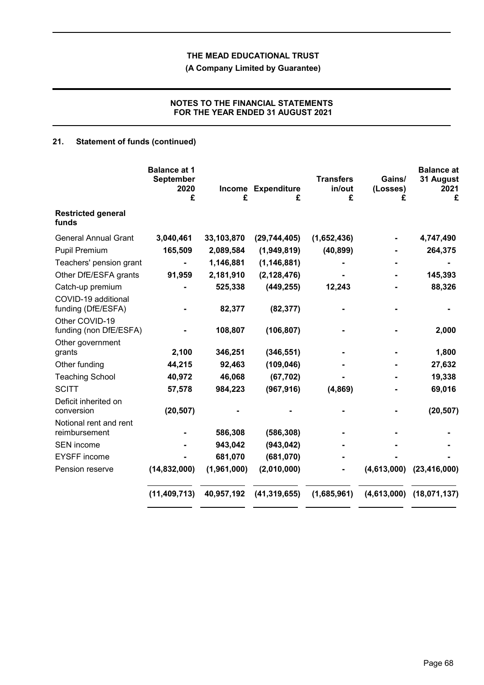**(A Company Limited by Guarantee)**

# **NOTES TO THE FINANCIAL STATEMENTS FOR THE YEAR ENDED 31 AUGUST 2021**

# **21. Statement of funds (continued)**

|                                           | <b>Balance at 1</b><br><b>September</b><br>2020<br>£ | £           | Income Expenditure<br>£ | <b>Transfers</b><br>in/out<br>£ | Gains/<br>(Losses)<br>£ | <b>Balance at</b><br>31 August<br>2021<br>£ |
|-------------------------------------------|------------------------------------------------------|-------------|-------------------------|---------------------------------|-------------------------|---------------------------------------------|
| <b>Restricted general</b><br>funds        |                                                      |             |                         |                                 |                         |                                             |
| <b>General Annual Grant</b>               | 3,040,461                                            | 33,103,870  | (29, 744, 405)          | (1,652,436)                     |                         | 4,747,490                                   |
| <b>Pupil Premium</b>                      | 165,509                                              | 2,089,584   | (1,949,819)             | (40, 899)                       |                         | 264,375                                     |
| Teachers' pension grant                   |                                                      | 1,146,881   | (1, 146, 881)           |                                 |                         |                                             |
| Other DfE/ESFA grants                     | 91,959                                               | 2,181,910   | (2, 128, 476)           |                                 |                         | 145,393                                     |
| Catch-up premium                          |                                                      | 525,338     | (449, 255)              | 12,243                          |                         | 88,326                                      |
| COVID-19 additional<br>funding (DfE/ESFA) |                                                      | 82,377      | (82, 377)               |                                 |                         |                                             |
| Other COVID-19<br>funding (non DfE/ESFA)  |                                                      | 108,807     | (106, 807)              |                                 |                         | 2,000                                       |
| Other government<br>grants                | 2,100                                                | 346,251     | (346, 551)              |                                 |                         | 1,800                                       |
| Other funding                             | 44,215                                               | 92,463      | (109, 046)              |                                 |                         | 27,632                                      |
| <b>Teaching School</b>                    | 40,972                                               | 46,068      | (67, 702)               |                                 |                         | 19,338                                      |
| <b>SCITT</b>                              | 57,578                                               | 984,223     | (967, 916)              | (4,869)                         |                         | 69,016                                      |
| Deficit inherited on<br>conversion        | (20, 507)                                            |             |                         |                                 |                         | (20, 507)                                   |
| Notional rent and rent<br>reimbursement   |                                                      | 586,308     | (586, 308)              |                                 |                         |                                             |
| <b>SEN</b> income                         |                                                      | 943,042     | (943, 042)              |                                 |                         |                                             |
| <b>EYSFF</b> income                       |                                                      | 681,070     | (681,070)               |                                 |                         |                                             |
| Pension reserve                           | (14,832,000)                                         | (1,961,000) | (2,010,000)             |                                 | (4,613,000)             | (23, 416, 000)                              |
|                                           | (11, 409, 713)                                       | 40,957,192  | (41, 319, 655)          | (1,685,961)                     | (4,613,000)             | (18,071,137)                                |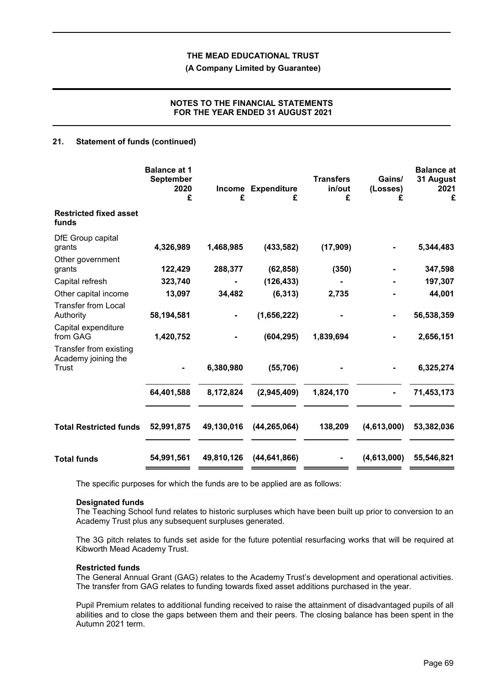**(A Company Limited by Guarantee)**

## **NOTES TO THE FINANCIAL STATEMENTS FOR THE YEAR ENDED 31 AUGUST 2021**

## **21. Statement of funds (continued)**

|                                                        | <b>Balance at 1</b><br><b>September</b><br>2020<br>£ | £          | Income Expenditure<br>£ | <b>Transfers</b><br>in/out<br>£ | Gains/<br>(Losses)<br>£ | <b>Balance</b> at<br>31 August<br>2021<br>£ |
|--------------------------------------------------------|------------------------------------------------------|------------|-------------------------|---------------------------------|-------------------------|---------------------------------------------|
| <b>Restricted fixed asset</b><br>funds                 |                                                      |            |                         |                                 |                         |                                             |
| DfE Group capital<br>grants<br>Other government        | 4,326,989                                            | 1,468,985  | (433, 582)              | (17,909)                        |                         | 5,344,483                                   |
| grants                                                 | 122,429                                              | 288,377    | (62, 858)               | (350)                           |                         | 347,598                                     |
| Capital refresh                                        | 323,740                                              |            | (126, 433)              |                                 |                         | 197,307                                     |
| Other capital income                                   | 13,097                                               | 34,482     | (6, 313)                | 2,735                           |                         | 44,001                                      |
| <b>Transfer from Local</b><br>Authority                | 58,194,581                                           |            | (1,656,222)             |                                 |                         | 56,538,359                                  |
| Capital expenditure<br>from GAG                        | 1,420,752                                            |            | (604, 295)              | 1,839,694                       |                         | 2,656,151                                   |
| Transfer from existing<br>Academy joining the<br>Trust |                                                      | 6,380,980  | (55, 706)               |                                 |                         | 6,325,274                                   |
|                                                        | 64,401,588                                           | 8,172,824  | (2,945,409)             | 1,824,170                       |                         | 71,453,173                                  |
| <b>Total Restricted funds</b>                          | 52,991,875                                           | 49,130,016 | (44, 265, 064)          | 138,209                         | (4,613,000)             | 53,382,036                                  |
| <b>Total funds</b>                                     | 54,991,561                                           | 49,810,126 | (44, 641, 866)          |                                 | (4,613,000)             | 55,546,821                                  |

The specific purposes for which the funds are to be applied are as follows:

#### **Designated funds**

The Teaching School fund relates to historic surpluses which have been built up prior to conversion to an Academy Trust plus any subsequent surpluses generated.

The 3G pitch relates to funds set aside for the future potential resurfacing works that will be required at Kibworth Mead Academy Trust.

#### **Restricted funds**

The General Annual Grant (GAG) relates to the Academy Trust's development and operational activities. The transfer from GAG relates to funding towards fixed asset additions purchased in the year.

Pupil Premium relates to additional funding received to raise the attainment of disadvantaged pupils of all abilities and to close the gaps between them and their peers. The closing balance has been spent in the Autumn 2021 term.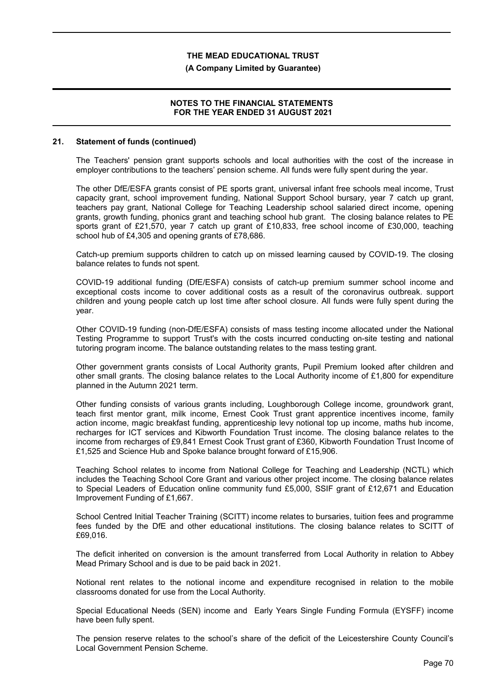### **(A Company Limited by Guarantee)**

## **NOTES TO THE FINANCIAL STATEMENTS FOR THE YEAR ENDED 31 AUGUST 2021**

#### **21. Statement of funds (continued)**

The Teachers' pension grant supports schools and local authorities with the cost of the increase in employer contributions to the teachers' pension scheme. All funds were fully spent during the year.

The other DfE/ESFA grants consist of PE sports grant, universal infant free schools meal income, Trust capacity grant, school improvement funding, National Support School bursary, year 7 catch up grant, teachers pay grant, National College for Teaching Leadership school salaried direct income, opening grants, growth funding, phonics grant and teaching school hub grant. The closing balance relates to PE sports grant of £21,570, year 7 catch up grant of £10,833, free school income of £30,000, teaching school hub of £4,305 and opening grants of £78,686.

Catch-up premium supports children to catch up on missed learning caused by COVID-19. The closing balance relates to funds not spent.

COVID-19 additional funding (DfE/ESFA) consists of catch-up premium summer school income and exceptional costs income to cover additional costs as a result of the coronavirus outbreak. support children and young people catch up lost time after school closure. All funds were fully spent during the year.

Other COVID-19 funding (non-DfE/ESFA) consists of mass testing income allocated under the National Testing Programme to support Trust's with the costs incurred conducting on-site testing and national tutoring program income. The balance outstanding relates to the mass testing grant.

Other government grants consists of Local Authority grants, Pupil Premium looked after children and other small grants. The closing balance relates to the Local Authority income of £1,800 for expenditure planned in the Autumn 2021 term.

Other funding consists of various grants including, Loughborough College income, groundwork grant, teach first mentor grant, milk income, Ernest Cook Trust grant apprentice incentives income, family action income, magic breakfast funding, apprenticeship levy notional top up income, maths hub income, recharges for ICT services and Kibworth Foundation Trust income. The closing balance relates to the income from recharges of £9,841 Ernest Cook Trust grant of £360, Kibworth Foundation Trust Income of £1,525 and Science Hub and Spoke balance brought forward of £15,906.

Teaching School relates to income from National College for Teaching and Leadership (NCTL) which includes the Teaching School Core Grant and various other project income. The closing balance relates to Special Leaders of Education online community fund £5,000, SSIF grant of £12,671 and Education Improvement Funding of £1,667.

School Centred Initial Teacher Training (SCITT) income relates to bursaries, tuition fees and programme fees funded by the DfE and other educational institutions. The closing balance relates to SCITT of £69,016.

The deficit inherited on conversion is the amount transferred from Local Authority in relation to Abbey Mead Primary School and is due to be paid back in 2021.

Notional rent relates to the notional income and expenditure recognised in relation to the mobile classrooms donated for use from the Local Authority.

Special Educational Needs (SEN) income and Early Years Single Funding Formula (EYSFF) income have been fully spent.

The pension reserve relates to the school's share of the deficit of the Leicestershire County Council's Local Government Pension Scheme.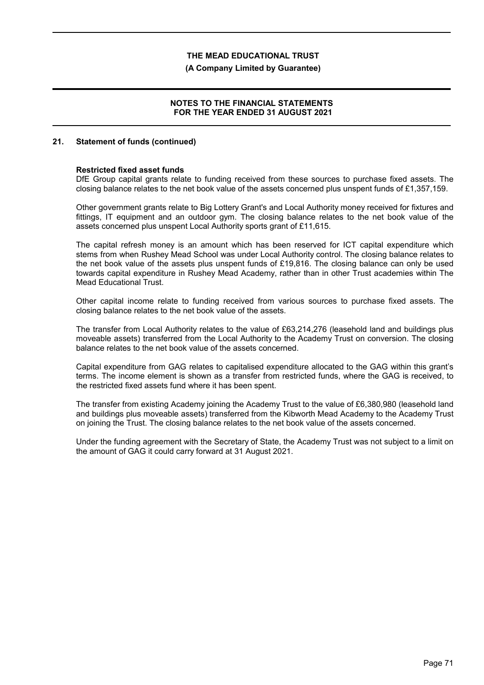#### **(A Company Limited by Guarantee)**

### **NOTES TO THE FINANCIAL STATEMENTS FOR THE YEAR ENDED 31 AUGUST 2021**

#### **21. Statement of funds (continued)**

#### **Restricted fixed asset funds**

DfE Group capital grants relate to funding received from these sources to purchase fixed assets. The closing balance relates to the net book value of the assets concerned plus unspent funds of £1,357,159.

Other government grants relate to Big Lottery Grant's and Local Authority money received for fixtures and fittings, IT equipment and an outdoor gym. The closing balance relates to the net book value of the assets concerned plus unspent Local Authority sports grant of £11,615.

The capital refresh money is an amount which has been reserved for ICT capital expenditure which stems from when Rushey Mead School was under Local Authority control. The closing balance relates to the net book value of the assets plus unspent funds of £19,816. The closing balance can only be used towards capital expenditure in Rushey Mead Academy, rather than in other Trust academies within The Mead Educational Trust.

Other capital income relate to funding received from various sources to purchase fixed assets. The closing balance relates to the net book value of the assets.

The transfer from Local Authority relates to the value of £63,214,276 (leasehold land and buildings plus moveable assets) transferred from the Local Authority to the Academy Trust on conversion. The closing balance relates to the net book value of the assets concerned.

Capital expenditure from GAG relates to capitalised expenditure allocated to the GAG within this grant's terms. The income element is shown as a transfer from restricted funds, where the GAG is received, to the restricted fixed assets fund where it has been spent.

The transfer from existing Academy joining the Academy Trust to the value of £6,380,980 (leasehold land and buildings plus moveable assets) transferred from the Kibworth Mead Academy to the Academy Trust on joining the Trust. The closing balance relates to the net book value of the assets concerned.

Under the funding agreement with the Secretary of State, the Academy Trust was not subject to a limit on the amount of GAG it could carry forward at 31 August 2021.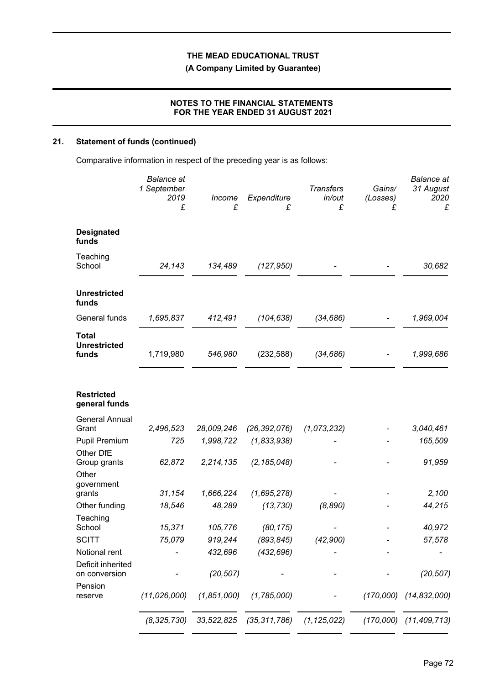**(A Company Limited by Guarantee)**

## **NOTES TO THE FINANCIAL STATEMENTS FOR THE YEAR ENDED 31 AUGUST 2021**

# **21. Statement of funds (continued)**

Comparative information in respect of the preceding year is as follows:

|                                              | <b>Balance</b> at<br>1 September<br>2019<br>£ | Income<br>£ | Expenditure<br>£                                        | <b>Transfers</b><br>in/out<br>£ | Gains/<br>(Losses)<br>£ | <b>Balance</b> at<br>31 August<br>2020<br>£ |
|----------------------------------------------|-----------------------------------------------|-------------|---------------------------------------------------------|---------------------------------|-------------------------|---------------------------------------------|
| <b>Designated</b><br>funds                   |                                               |             |                                                         |                                 |                         |                                             |
| Teaching<br>School                           | 24,143                                        | 134,489     | (127, 950)                                              |                                 |                         | 30,682                                      |
| <b>Unrestricted</b><br>funds                 |                                               |             |                                                         |                                 |                         |                                             |
| General funds                                | 1,695,837                                     | 412,491     | (104, 638)                                              | (34, 686)                       |                         | 1,969,004                                   |
| <b>Total</b><br><b>Unrestricted</b><br>funds | 1,719,980                                     | 546,980     | (232, 588)                                              | (34, 686)                       |                         | 1,999,686                                   |
| <b>Restricted</b><br>general funds           |                                               |             |                                                         |                                 |                         |                                             |
| <b>General Annual</b><br>Grant               | 2,496,523                                     | 28,009,246  | (26, 392, 076)                                          | (1,073,232)                     |                         | 3,040,461                                   |
| <b>Pupil Premium</b>                         | 725                                           | 1,998,722   | (1, 833, 938)                                           |                                 |                         | 165,509                                     |
| Other DfE<br>Group grants<br>Other           | 62,872                                        | 2,214,135   | (2, 185, 048)                                           |                                 |                         | 91,959                                      |
| government<br>grants                         | 31,154                                        | 1,666,224   | (1,695,278)                                             |                                 |                         | 2,100                                       |
| Other funding                                | 18,546                                        | 48,289      | (13, 730)                                               | (8, 890)                        |                         | 44,215                                      |
| Teaching<br>School                           | 15,371                                        | 105,776     | (80, 175)                                               |                                 |                         | 40,972                                      |
| <b>SCITT</b>                                 | 75,079                                        | 919,244     | (893,845)                                               | (42,900)                        |                         | 57,578                                      |
| Notional rent                                |                                               | 432,696     | (432, 696)                                              |                                 |                         |                                             |
| Deficit inherited<br>on conversion           |                                               | (20, 507)   |                                                         |                                 |                         | (20, 507)                                   |
| Pension<br>reserve                           | (11, 026, 000)                                | (1,851,000) | (1,785,000)                                             |                                 | (170,000)               | (14, 832, 000)                              |
|                                              |                                               |             | $(8,325,730)$ $33,522,825$ $(35,311,786)$ $(1,125,022)$ |                                 |                         | $(170,000)$ $(11,409,713)$                  |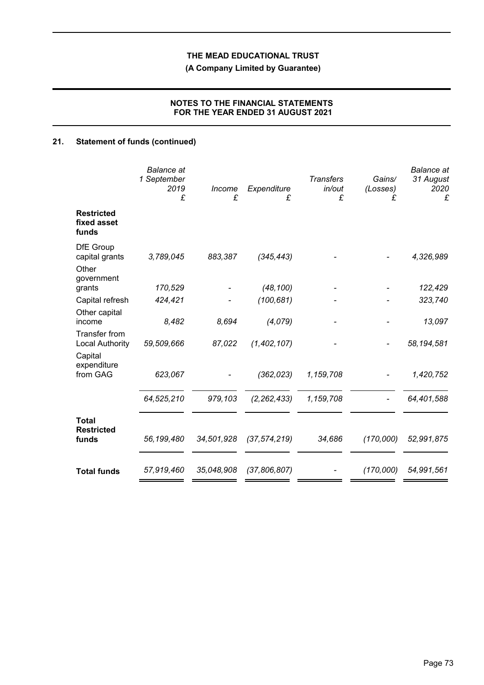**(A Company Limited by Guarantee)**

## **NOTES TO THE FINANCIAL STATEMENTS FOR THE YEAR ENDED 31 AUGUST 2021**

# **21. Statement of funds (continued)**

|                                                           | <b>Balance</b> at<br>1 September<br>2019<br>£ | Income<br>£ | Expenditure<br>£ | <b>Transfers</b><br>in/out<br>£ | Gains/<br>(Losses)<br>£ | <b>Balance</b> at<br>31 August<br>2020<br>£ |
|-----------------------------------------------------------|-----------------------------------------------|-------------|------------------|---------------------------------|-------------------------|---------------------------------------------|
| <b>Restricted</b><br>fixed asset<br>funds                 |                                               |             |                  |                                 |                         |                                             |
| <b>DfE</b> Group<br>capital grants<br>Other<br>government | 3,789,045                                     | 883,387     | (345, 443)       |                                 |                         | 4,326,989                                   |
| grants                                                    | 170,529                                       |             | (48, 100)        |                                 |                         | 122,429                                     |
| Capital refresh                                           | 424,421                                       |             | (100, 681)       |                                 |                         | 323,740                                     |
| Other capital<br>income                                   | 8,482                                         | 8,694       | (4,079)          |                                 |                         | 13,097                                      |
| Transfer from<br><b>Local Authority</b><br>Capital        | 59,509,666                                    | 87,022      | (1, 402, 107)    |                                 |                         | 58,194,581                                  |
| expenditure<br>from GAG                                   | 623,067                                       |             | (362, 023)       | 1,159,708                       |                         | 1,420,752                                   |
|                                                           | 64,525,210                                    | 979,103     | (2, 262, 433)    | 1,159,708                       |                         | 64,401,588                                  |
| <b>Total</b><br><b>Restricted</b><br>funds                | 56,199,480                                    | 34,501,928  | (37, 574, 219)   | 34,686                          | (170,000)               | 52,991,875                                  |
| <b>Total funds</b>                                        | 57,919,460                                    | 35,048,908  | (37,806,807)     |                                 | (170,000)               | 54,991,561                                  |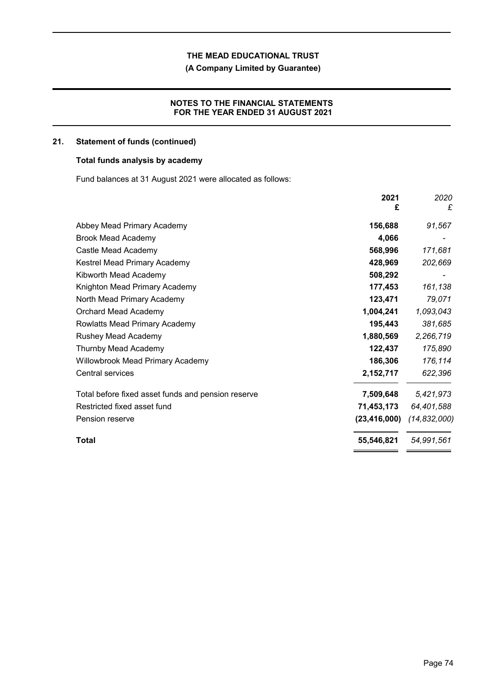**(A Company Limited by Guarantee)**

## **NOTES TO THE FINANCIAL STATEMENTS FOR THE YEAR ENDED 31 AUGUST 2021**

## **21. Statement of funds (continued)**

## **Total funds analysis by academy**

Fund balances at 31 August 2021 were allocated as follows:

|                                                    | 2021<br>£      | 2020<br>£      |
|----------------------------------------------------|----------------|----------------|
| Abbey Mead Primary Academy                         | 156,688        | 91,567         |
| <b>Brook Mead Academy</b>                          | 4,066          |                |
| Castle Mead Academy                                | 568,996        | 171,681        |
| Kestrel Mead Primary Academy                       | 428,969        | 202,669        |
| Kibworth Mead Academy                              | 508,292        |                |
| Knighton Mead Primary Academy                      | 177,453        | 161,138        |
| North Mead Primary Academy                         | 123,471        | 79,071         |
| Orchard Mead Academy                               | 1,004,241      | 1,093,043      |
| Rowlatts Mead Primary Academy                      | 195,443        | 381,685        |
| Rushey Mead Academy                                | 1,880,569      | 2,266,719      |
| Thurnby Mead Academy                               | 122,437        | 175,890        |
| Willowbrook Mead Primary Academy                   | 186,306        | 176,114        |
| <b>Central services</b>                            | 2,152,717      | 622,396        |
| Total before fixed asset funds and pension reserve | 7,509,648      | 5,421,973      |
| Restricted fixed asset fund                        | 71,453,173     | 64,401,588     |
| Pension reserve                                    | (23, 416, 000) | (14, 832, 000) |
| Total                                              | 55,546,821     | 54,991,561     |
|                                                    |                |                |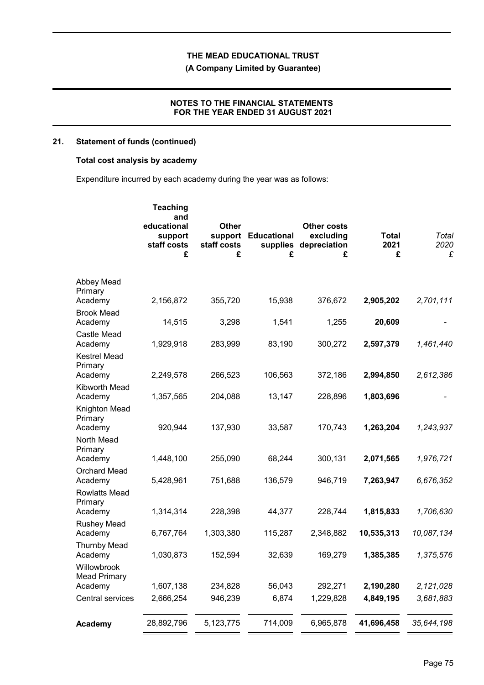**(A Company Limited by Guarantee)**

### **NOTES TO THE FINANCIAL STATEMENTS FOR THE YEAR ENDED 31 AUGUST 2021**

## **21. Statement of funds (continued)**

## **Total cost analysis by academy**

Expenditure incurred by each academy during the year was as follows:

|                                               | <b>Teaching</b><br>and<br>educational<br>support<br>staff costs<br>£ | <b>Other</b><br>support<br>staff costs<br>£ | <b>Educational</b><br>supplies<br>£ | <b>Other costs</b><br>excluding<br>depreciation<br>£ | <b>Total</b><br>2021<br>£ | Total<br>2020<br>£ |
|-----------------------------------------------|----------------------------------------------------------------------|---------------------------------------------|-------------------------------------|------------------------------------------------------|---------------------------|--------------------|
| Abbey Mead<br>Primary                         |                                                                      |                                             |                                     |                                                      |                           |                    |
| Academy<br><b>Brook Mead</b><br>Academy       | 2,156,872<br>14,515                                                  | 355,720<br>3,298                            | 15,938<br>1,541                     | 376,672<br>1,255                                     | 2,905,202<br>20,609       | 2,701,111          |
| Castle Mead<br>Academy                        | 1,929,918                                                            | 283,999                                     | 83,190                              | 300,272                                              | 2,597,379                 | 1,461,440          |
| <b>Kestrel Mead</b><br>Primary<br>Academy     | 2,249,578                                                            | 266,523                                     | 106,563                             | 372,186                                              | 2,994,850                 | 2,612,386          |
| Kibworth Mead<br>Academy                      | 1,357,565                                                            | 204,088                                     | 13,147                              | 228,896                                              | 1,803,696                 |                    |
| Knighton Mead<br>Primary<br>Academy           | 920,944                                                              | 137,930                                     | 33,587                              | 170,743                                              | 1,263,204                 | 1,243,937          |
| North Mead<br>Primary<br>Academy              | 1,448,100                                                            | 255,090                                     | 68,244                              | 300,131                                              | 2,071,565                 | 1,976,721          |
| <b>Orchard Mead</b><br>Academy                | 5,428,961                                                            | 751,688                                     | 136,579                             | 946,719                                              | 7,263,947                 | 6,676,352          |
| <b>Rowlatts Mead</b><br>Primary<br>Academy    | 1,314,314                                                            | 228,398                                     | 44,377                              | 228,744                                              | 1,815,833                 | 1,706,630          |
| <b>Rushey Mead</b><br>Academy                 | 6,767,764                                                            | 1,303,380                                   | 115,287                             | 2,348,882                                            | 10,535,313                | 10,087,134         |
| <b>Thurnby Mead</b><br>Academy                | 1,030,873                                                            | 152,594                                     | 32,639                              | 169,279                                              | 1,385,385                 | 1,375,576          |
| Willowbrook<br><b>Mead Primary</b><br>Academy | 1,607,138                                                            | 234,828                                     | 56,043                              | 292,271                                              | 2,190,280                 | 2,121,028          |
| Central services                              | 2,666,254                                                            | 946,239                                     | 6,874                               | 1,229,828                                            | 4,849,195                 | 3,681,883          |
| Academy                                       | 28,892,796                                                           | 5,123,775                                   | 714,009                             | 6,965,878                                            | 41,696,458                | 35,644,198         |
|                                               |                                                                      |                                             |                                     |                                                      |                           |                    |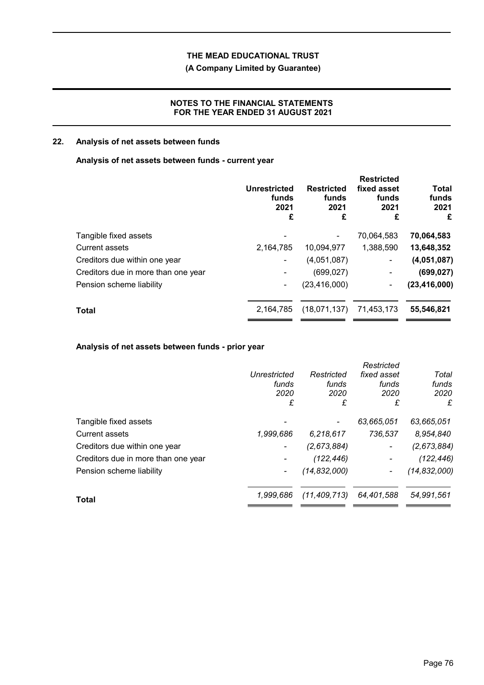# **(A Company Limited by Guarantee)**

### **NOTES TO THE FINANCIAL STATEMENTS FOR THE YEAR ENDED 31 AUGUST 2021**

# **22. Analysis of net assets between funds**

## **Analysis of net assets between funds - current year**

|                                     | <b>Unrestricted</b><br>funds<br>2021<br>£ | <b>Restricted</b><br>funds<br>2021<br>£ | <b>Restricted</b><br>fixed asset<br>funds<br>2021<br>£ | <b>Total</b><br>funds<br>2021<br>£ |
|-------------------------------------|-------------------------------------------|-----------------------------------------|--------------------------------------------------------|------------------------------------|
| Tangible fixed assets               |                                           |                                         | 70,064,583                                             | 70,064,583                         |
| <b>Current assets</b>               | 2,164,785                                 | 10,094,977                              | 1,388,590                                              | 13,648,352                         |
| Creditors due within one year       | ٠                                         | (4,051,087)                             | $\blacksquare$                                         | (4,051,087)                        |
| Creditors due in more than one year |                                           | (699, 027)                              | ۰                                                      | (699, 027)                         |
| Pension scheme liability            | ٠                                         | (23, 416, 000)                          | $\blacksquare$                                         | (23, 416, 000)                     |
| <b>Total</b>                        | 2,164,785                                 | (18,071,137)                            | 71,453,173                                             | 55,546,821                         |
|                                     |                                           |                                         |                                                        |                                    |

## **Analysis of net assets between funds - prior year**

|                                     |                          |                | Restricted               |                |
|-------------------------------------|--------------------------|----------------|--------------------------|----------------|
|                                     | <b>Unrestricted</b>      | Restricted     | fixed asset              | Total          |
|                                     | funds                    | funds          | funds                    | funds          |
|                                     | 2020                     | 2020           | 2020                     | 2020           |
|                                     | £                        | £              | £                        | £              |
| Tangible fixed assets               |                          |                | 63,665,051               | 63,665,051     |
| <b>Current assets</b>               | 1,999,686                | 6,218,617      | 736,537                  | 8,954,840      |
| Creditors due within one year       | $\overline{\phantom{a}}$ | (2,673,884)    | $\overline{\phantom{a}}$ | (2,673,884)    |
| Creditors due in more than one year |                          | (122, 446)     |                          | (122, 446)     |
| Pension scheme liability            | $\blacksquare$           | (14, 832, 000) |                          | (14, 832, 000) |
| Total                               | 1.999.686                | (11, 409, 713) | 64.401.588               | 54,991,561     |
|                                     |                          |                |                          |                |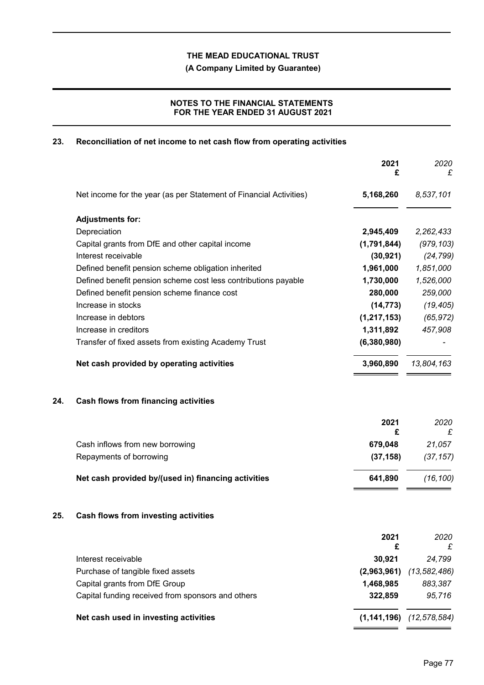**(A Company Limited by Guarantee)**

## **NOTES TO THE FINANCIAL STATEMENTS FOR THE YEAR ENDED 31 AUGUST 2021**

## **23. Reconciliation of net income to net cash flow from operating activities**

|                                                                    | £                                                                                         | £                                            |
|--------------------------------------------------------------------|-------------------------------------------------------------------------------------------|----------------------------------------------|
| Net income for the year (as per Statement of Financial Activities) | 5,168,260                                                                                 | 8,537,101                                    |
| <b>Adjustments for:</b>                                            |                                                                                           |                                              |
| Depreciation                                                       | 2,945,409                                                                                 | 2,262,433                                    |
| Capital grants from DfE and other capital income                   | (1,791,844)                                                                               | (979, 103)                                   |
| Interest receivable                                                | (30, 921)                                                                                 | (24, 799)                                    |
| Defined benefit pension scheme obligation inherited                | 1,961,000                                                                                 | 1,851,000                                    |
| Defined benefit pension scheme cost less contributions payable     | 1,730,000                                                                                 | 1,526,000                                    |
| Defined benefit pension scheme finance cost                        | 280,000                                                                                   | 259,000                                      |
| Increase in stocks                                                 | (14, 773)                                                                                 | (19, 405)                                    |
| Increase in debtors                                                | (1, 217, 153)                                                                             | (65, 972)                                    |
| Increase in creditors                                              | 1,311,892                                                                                 | 457,908                                      |
| Transfer of fixed assets from existing Academy Trust               | (6,380,980)                                                                               |                                              |
| Net cash provided by operating activities                          | 3,960,890                                                                                 | 13,804,163                                   |
| <b>Cash flows from financing activities</b>                        |                                                                                           |                                              |
|                                                                    | 2021                                                                                      | 2020<br>£                                    |
| Cash inflows from new borrowing                                    | 679,048                                                                                   | 21,057                                       |
| Repayments of borrowing                                            | (37, 158)                                                                                 | (37, 157)                                    |
| Net cash provided by/(used in) financing activities                | 641,890                                                                                   | (16, 100)                                    |
| <b>Cash flows from investing activities</b>                        |                                                                                           |                                              |
|                                                                    | 2021                                                                                      | 2020<br>£                                    |
|                                                                    |                                                                                           | 24,799                                       |
|                                                                    |                                                                                           | (13, 582, 486)                               |
|                                                                    |                                                                                           | 883,387                                      |
| Capital funding received from sponsors and others                  | 322,859                                                                                   | 95,716                                       |
| Net cash used in investing activities                              | $(1,141,196)$ $(12,578,584)$                                                              |                                              |
|                                                                    | Interest receivable<br>Purchase of tangible fixed assets<br>Capital grants from DfE Group | £<br>£<br>30,921<br>(2,963,961)<br>1,468,985 |

**2021** *2020*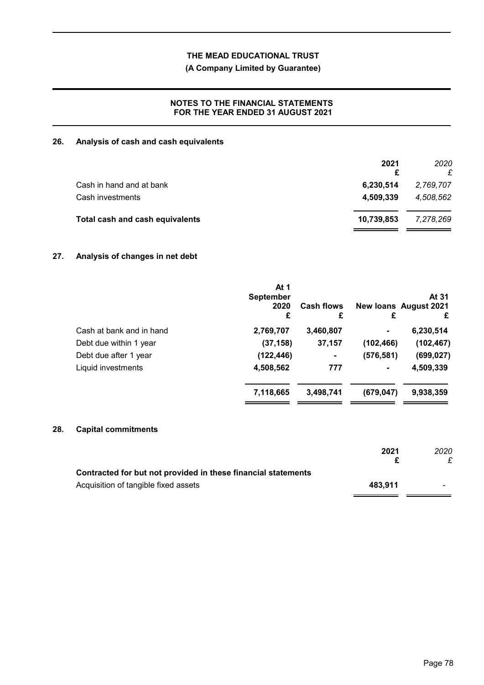**(A Company Limited by Guarantee)**

## **NOTES TO THE FINANCIAL STATEMENTS FOR THE YEAR ENDED 31 AUGUST 2021**

## **26. Analysis of cash and cash equivalents**

|                                 | 2021<br>£  | 2020<br>£ |
|---------------------------------|------------|-----------|
| Cash in hand and at bank        | 6,230,514  | 2,769,707 |
| Cash investments                | 4,509,339  | 4,508,562 |
| Total cash and cash equivalents | 10,739,853 | 7,278,269 |

## **27. Analysis of changes in net debt**

|                          | At 1<br><b>September</b><br>2020<br>£ | <b>Cash flows</b><br>£ | £              | At 31<br><b>New loans August 2021</b><br>£ |
|--------------------------|---------------------------------------|------------------------|----------------|--------------------------------------------|
| Cash at bank and in hand | 2,769,707                             | 3,460,807              |                | 6,230,514                                  |
| Debt due within 1 year   | (37, 158)                             | 37,157                 | (102, 466)     | (102, 467)                                 |
| Debt due after 1 year    | (122, 446)                            | $\blacksquare$         | (576, 581)     | (699, 027)                                 |
| Liquid investments       | 4,508,562                             | 777                    | $\blacksquare$ | 4,509,339                                  |
|                          | 7,118,665                             | 3,498,741              | (679, 047)     | 9,938,359                                  |
|                          |                                       |                        |                |                                            |

## **28. Capital commitments**

| 2021    | 2020 |
|---------|------|
|         |      |
| 483.911 |      |
|         |      |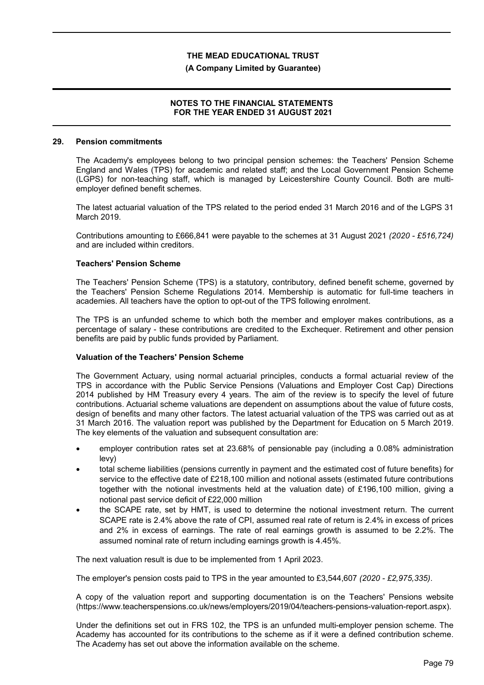#### **(A Company Limited by Guarantee)**

### **NOTES TO THE FINANCIAL STATEMENTS FOR THE YEAR ENDED 31 AUGUST 2021**

#### **29. Pension commitments**

The Academy's employees belong to two principal pension schemes: the Teachers' Pension Scheme England and Wales (TPS) for academic and related staff; and the Local Government Pension Scheme (LGPS) for non-teaching staff, which is managed by Leicestershire County Council. Both are multiemployer defined benefit schemes.

The latest actuarial valuation of the TPS related to the period ended 31 March 2016 and of the LGPS 31 March 2019.

Contributions amounting to £666,841 were payable to the schemes at 31 August 2021 *(2020 - £516,724)* and are included within creditors.

#### **Teachers' Pension Scheme**

The Teachers' Pension Scheme (TPS) is a statutory, contributory, defined benefit scheme, governed by the Teachers' Pension Scheme Regulations 2014. Membership is automatic for full-time teachers in academies. All teachers have the option to opt-out of the TPS following enrolment.

The TPS is an unfunded scheme to which both the member and employer makes contributions, as a percentage of salary - these contributions are credited to the Exchequer. Retirement and other pension benefits are paid by public funds provided by Parliament.

#### **Valuation of the Teachers' Pension Scheme**

The Government Actuary, using normal actuarial principles, conducts a formal actuarial review of the TPS in accordance with the Public Service Pensions (Valuations and Employer Cost Cap) Directions 2014 published by HM Treasury every 4 years. The aim of the review is to specify the level of future contributions. Actuarial scheme valuations are dependent on assumptions about the value of future costs, design of benefits and many other factors. The latest actuarial valuation of the TPS was carried out as at 31 March 2016. The valuation report was published by the Department for Education on 5 March 2019. The key elements of the valuation and subsequent consultation are:

- employer contribution rates set at 23.68% of pensionable pay (including a 0.08% administration levy)
- total scheme liabilities (pensions currently in payment and the estimated cost of future benefits) for service to the effective date of £218,100 million and notional assets (estimated future contributions together with the notional investments held at the valuation date) of £196,100 million, giving a notional past service deficit of £22,000 million
- the SCAPE rate, set by HMT, is used to determine the notional investment return. The current SCAPE rate is 2.4% above the rate of CPI, assumed real rate of return is 2.4% in excess of prices and 2% in excess of earnings. The rate of real earnings growth is assumed to be 2.2%. The assumed nominal rate of return including earnings growth is 4.45%.

The next valuation result is due to be implemented from 1 April 2023.

The employer's pension costs paid to TPS in the year amounted to £3,544,607 *(2020 - £2,975,335)*.

A copy of the valuation report and supporting documentation is on the Teachers' Pensions website (https://www.teacherspensions.co.uk/news/employers/2019/04/teachers-pensions-valuation-report.aspx).

Under the definitions set out in FRS 102, the TPS is an unfunded multi-employer pension scheme. The Academy has accounted for its contributions to the scheme as if it were a defined contribution scheme. The Academy has set out above the information available on the scheme.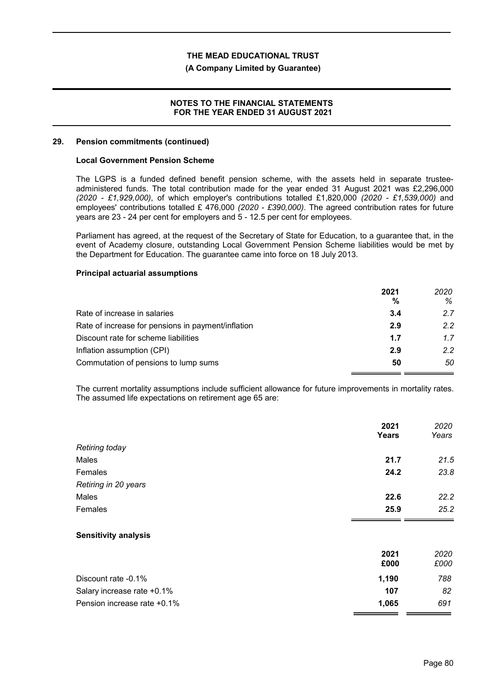#### **(A Company Limited by Guarantee)**

### **NOTES TO THE FINANCIAL STATEMENTS FOR THE YEAR ENDED 31 AUGUST 2021**

#### **29. Pension commitments (continued)**

#### **Local Government Pension Scheme**

The LGPS is a funded defined benefit pension scheme, with the assets held in separate trusteeadministered funds. The total contribution made for the year ended 31 August 2021 was £2,296,000 *(2020 - £1,929,000)*, of which employer's contributions totalled £1,820,000 *(2020 - £1,539,000)* and employees' contributions totalled £ 476,000 *(2020 - £390,000)*. The agreed contribution rates for future years are 23 - 24 per cent for employers and 5 - 12.5 per cent for employees.

Parliament has agreed, at the request of the Secretary of State for Education, to a guarantee that, in the event of Academy closure, outstanding Local Government Pension Scheme liabilities would be met by the Department for Education. The guarantee came into force on 18 July 2013.

#### **Principal actuarial assumptions**

|                                                    | 2021<br>% | 2020<br>℅ |
|----------------------------------------------------|-----------|-----------|
| Rate of increase in salaries                       | 3.4       | 2.7       |
| Rate of increase for pensions in payment/inflation | 2.9       | 22        |
| Discount rate for scheme liabilities               | 1.7       | 17        |
| Inflation assumption (CPI)                         | 2.9       | 22        |
| Commutation of pensions to lump sums               | 50        | 50        |

The current mortality assumptions include sufficient allowance for future improvements in mortality rates. The assumed life expectations on retirement age 65 are:

|                             | 2021<br><b>Years</b> | 2020<br>Years |
|-----------------------------|----------------------|---------------|
| Retiring today              |                      |               |
| Males                       | 21.7                 | 21.5          |
| Females                     | 24.2                 | 23.8          |
| Retiring in 20 years        |                      |               |
| Males                       | 22.6                 | 22.2          |
| <b>Females</b>              | 25.9                 | 25.2          |
| <b>Sensitivity analysis</b> |                      |               |
|                             | 2021<br>£000         | 2020<br>£000  |
| Discount rate -0.1%         | 1,190                | 788           |
| Salary increase rate +0.1%  | 107                  | 82            |
| Pension increase rate +0.1% | 1,065                | 691           |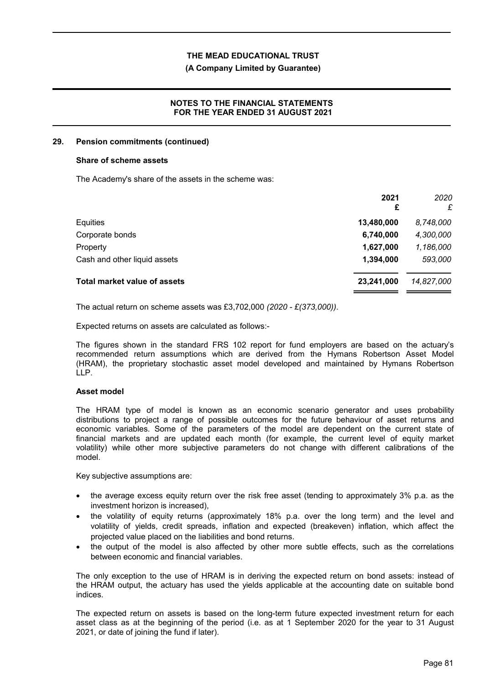#### **(A Company Limited by Guarantee)**

### **NOTES TO THE FINANCIAL STATEMENTS FOR THE YEAR ENDED 31 AUGUST 2021**

#### **29. Pension commitments (continued)**

#### **Share of scheme assets**

The Academy's share of the assets in the scheme was:

|                                     | 2021<br>£  | 2020<br>£  |
|-------------------------------------|------------|------------|
| Equities                            | 13,480,000 | 8,748,000  |
| Corporate bonds                     | 6,740,000  | 4,300,000  |
| Property                            | 1,627,000  | 1,186,000  |
| Cash and other liquid assets        | 1,394,000  | 593,000    |
| <b>Total market value of assets</b> | 23,241,000 | 14,827,000 |

The actual return on scheme assets was £3,702,000 *(2020 - £(373,000))*.

Expected returns on assets are calculated as follows:-

The figures shown in the standard FRS 102 report for fund employers are based on the actuary's recommended return assumptions which are derived from the Hymans Robertson Asset Model (HRAM), the proprietary stochastic asset model developed and maintained by Hymans Robertson LLP.

### **Asset model**

The HRAM type of model is known as an economic scenario generator and uses probability distributions to project a range of possible outcomes for the future behaviour of asset returns and economic variables. Some of the parameters of the model are dependent on the current state of financial markets and are updated each month (for example, the current level of equity market volatility) while other more subjective parameters do not change with different calibrations of the model.

Key subjective assumptions are:

- the average excess equity return over the risk free asset (tending to approximately 3% p.a. as the investment horizon is increased),
- the volatility of equity returns (approximately 18% p.a. over the long term) and the level and volatility of yields, credit spreads, inflation and expected (breakeven) inflation, which affect the projected value placed on the liabilities and bond returns.
- the output of the model is also affected by other more subtle effects, such as the correlations between economic and financial variables.

The only exception to the use of HRAM is in deriving the expected return on bond assets: instead of the HRAM output, the actuary has used the yields applicable at the accounting date on suitable bond indices.

The expected return on assets is based on the long-term future expected investment return for each asset class as at the beginning of the period (i.e. as at 1 September 2020 for the year to 31 August 2021, or date of joining the fund if later).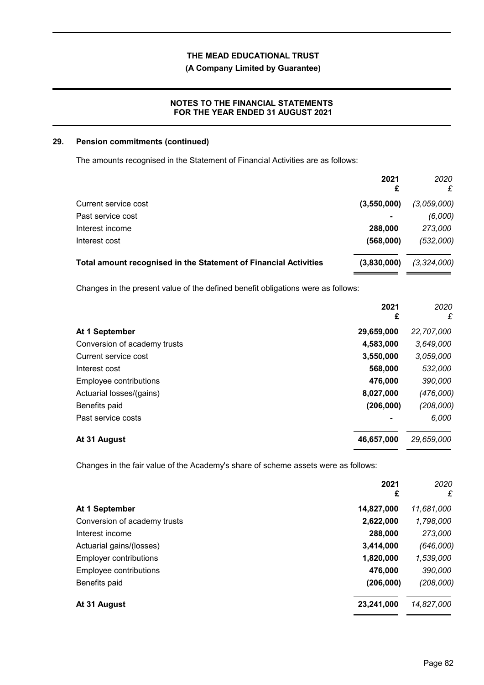### **(A Company Limited by Guarantee)**

### **NOTES TO THE FINANCIAL STATEMENTS FOR THE YEAR ENDED 31 AUGUST 2021**

### **29. Pension commitments (continued)**

The amounts recognised in the Statement of Financial Activities are as follows:

|                                                                  | 2021<br>£      | 2020<br>£     |
|------------------------------------------------------------------|----------------|---------------|
| Current service cost                                             | (3,550,000)    | (3,059,000)   |
| Past service cost                                                | $\blacksquare$ | (6,000)       |
| Interest income                                                  | 288,000        | 273,000       |
| Interest cost                                                    | (568,000)      | (532,000)     |
| Total amount recognised in the Statement of Financial Activities | (3,830,000)    | (3, 324, 000) |

Changes in the present value of the defined benefit obligations were as follows:

|                              | 2021<br>£  | 2020<br>£  |
|------------------------------|------------|------------|
| At 1 September               | 29,659,000 | 22,707,000 |
| Conversion of academy trusts | 4,583,000  | 3,649,000  |
| Current service cost         | 3,550,000  | 3,059,000  |
| Interest cost                | 568,000    | 532,000    |
| Employee contributions       | 476,000    | 390,000    |
| Actuarial losses/(gains)     | 8,027,000  | (476,000)  |
| Benefits paid                | (206, 000) | (208,000)  |
| Past service costs           |            | 6,000      |
| At 31 August                 | 46,657,000 | 29,659,000 |

Changes in the fair value of the Academy's share of scheme assets were as follows:

|                              | 2021<br>£  | 2020<br>£  |
|------------------------------|------------|------------|
| At 1 September               | 14,827,000 | 11,681,000 |
| Conversion of academy trusts | 2,622,000  | 1,798,000  |
| Interest income              | 288,000    | 273,000    |
| Actuarial gains/(losses)     | 3,414,000  | (646,000)  |
| Employer contributions       | 1,820,000  | 1,539,000  |
| Employee contributions       | 476,000    | 390,000    |
| Benefits paid                | (206, 000) | (208,000)  |
| At 31 August                 | 23,241,000 | 14,827,000 |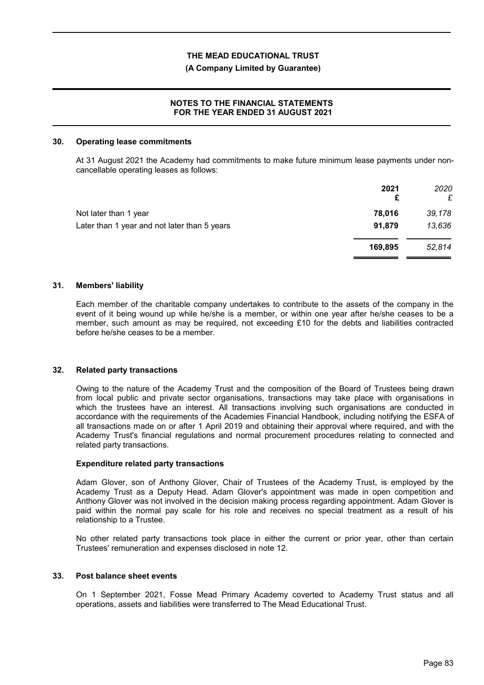#### **(A Company Limited by Guarantee)**

### **NOTES TO THE FINANCIAL STATEMENTS FOR THE YEAR ENDED 31 AUGUST 2021**

#### **30. Operating lease commitments**

At 31 August 2021 the Academy had commitments to make future minimum lease payments under noncancellable operating leases as follows:

|                                              | 2021<br>£ | 2020<br>£ |
|----------------------------------------------|-----------|-----------|
| Not later than 1 year                        | 78,016    | 39,178    |
| Later than 1 year and not later than 5 years | 91,879    | 13,636    |
|                                              | 169,895   | 52,814    |
|                                              |           |           |

#### **31. Members' liability**

Each member of the charitable company undertakes to contribute to the assets of the company in the event of it being wound up while he/she is a member, or within one year after he/she ceases to be a member, such amount as may be required, not exceeding £10 for the debts and liabilities contracted before he/she ceases to be a member.

#### **32. Related party transactions**

Owing to the nature of the Academy Trust and the composition of the Board of Trustees being drawn from local public and private sector organisations, transactions may take place with organisations in which the trustees have an interest. All transactions involving such organisations are conducted in accordance with the requirements of the Academies Financial Handbook, including notifying the ESFA of all transactions made on or after 1 April 2019 and obtaining their approval where required, and with the Academy Trust's financial regulations and normal procurement procedures relating to connected and related party transactions.

#### **Expenditure related party transactions**

Adam Glover, son of Anthony Glover, Chair of Trustees of the Academy Trust, is employed by the Academy Trust as a Deputy Head. Adam Glover's appointment was made in open competition and Anthony Glover was not involved in the decision making process regarding appointment. Adam Glover is paid within the normal pay scale for his role and receives no special treatment as a result of his relationship to a Trustee.

No other related party transactions took place in either the current or prior year, other than certain Trustees' remuneration and expenses disclosed in note 12.

#### **33. Post balance sheet events**

On 1 September 2021, Fosse Mead Primary Academy coverted to Academy Trust status and all operations, assets and liabilities were transferred to The Mead Educational Trust.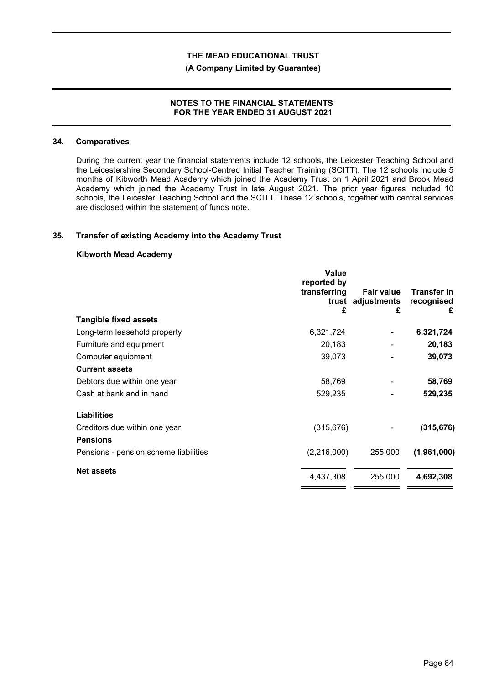#### **(A Company Limited by Guarantee)**

### **NOTES TO THE FINANCIAL STATEMENTS FOR THE YEAR ENDED 31 AUGUST 2021**

#### **34. Comparatives**

During the current year the financial statements include 12 schools, the Leicester Teaching School and the Leicestershire Secondary School-Centred Initial Teacher Training (SCITT). The 12 schools include 5 months of Kibworth Mead Academy which joined the Academy Trust on 1 April 2021 and Brook Mead Academy which joined the Academy Trust in late August 2021. The prior year figures included 10 schools, the Leicester Teaching School and the SCITT. These 12 schools, together with central services are disclosed within the statement of funds note.

#### **35. Transfer of existing Academy into the Academy Trust**

### **Kibworth Mead Academy**

|                                       | <b>Value</b><br>reported by<br>transferring<br>£ | <b>Fair value</b><br>trust adjustments<br>£ | Transfer in<br>recognised<br>£ |
|---------------------------------------|--------------------------------------------------|---------------------------------------------|--------------------------------|
| <b>Tangible fixed assets</b>          |                                                  |                                             |                                |
| Long-term leasehold property          | 6,321,724                                        |                                             | 6,321,724                      |
| Furniture and equipment               | 20,183                                           |                                             | 20,183                         |
| Computer equipment                    | 39,073                                           |                                             | 39,073                         |
| <b>Current assets</b>                 |                                                  |                                             |                                |
| Debtors due within one year           | 58,769                                           |                                             | 58,769                         |
| Cash at bank and in hand              | 529,235                                          |                                             | 529,235                        |
| <b>Liabilities</b>                    |                                                  |                                             |                                |
| Creditors due within one year         | (315, 676)                                       |                                             | (315, 676)                     |
| <b>Pensions</b>                       |                                                  |                                             |                                |
| Pensions - pension scheme liabilities | (2,216,000)                                      | 255,000                                     | (1,961,000)                    |
| <b>Net assets</b>                     | 4,437,308                                        | 255,000                                     | 4,692,308                      |